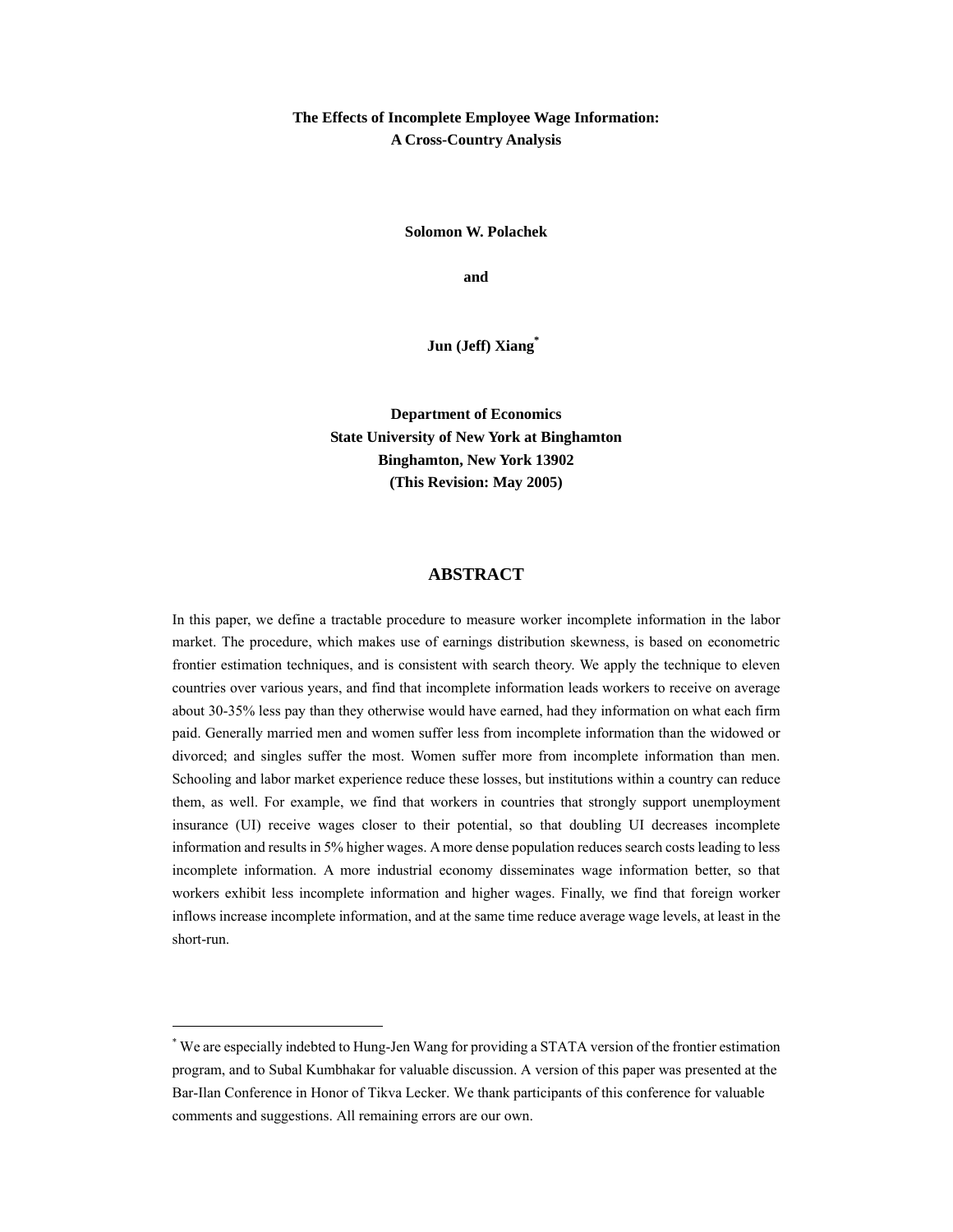# **The Effects of Incomplete Employee Wage Information: A Cross-Country Analysis**

**Solomon W. Polachek** 

**and** 

**Jun (Jeff) Xiang\***

**Department of Economics State University of New York at Binghamton Binghamton, New York 13902 (This Revision: May 2005)** 

# **ABSTRACT**

In this paper, we define a tractable procedure to measure worker incomplete information in the labor market. The procedure, which makes use of earnings distribution skewness, is based on econometric frontier estimation techniques, and is consistent with search theory. We apply the technique to eleven countries over various years, and find that incomplete information leads workers to receive on average about 30-35% less pay than they otherwise would have earned, had they information on what each firm paid. Generally married men and women suffer less from incomplete information than the widowed or divorced; and singles suffer the most. Women suffer more from incomplete information than men. Schooling and labor market experience reduce these losses, but institutions within a country can reduce them, as well. For example, we find that workers in countries that strongly support unemployment insurance (UI) receive wages closer to their potential, so that doubling UI decreases incomplete information and results in 5% higher wages. A more dense population reduces search costs leading to less incomplete information. A more industrial economy disseminates wage information better, so that workers exhibit less incomplete information and higher wages. Finally, we find that foreign worker inflows increase incomplete information, and at the same time reduce average wage levels, at least in the short-run.

l

<sup>\*</sup> We are especially indebted to Hung-Jen Wang for providing a STATA version of the frontier estimation program, and to Subal Kumbhakar for valuable discussion. A version of this paper was presented at the Bar-Ilan Conference in Honor of Tikva Lecker. We thank participants of this conference for valuable comments and suggestions. All remaining errors are our own.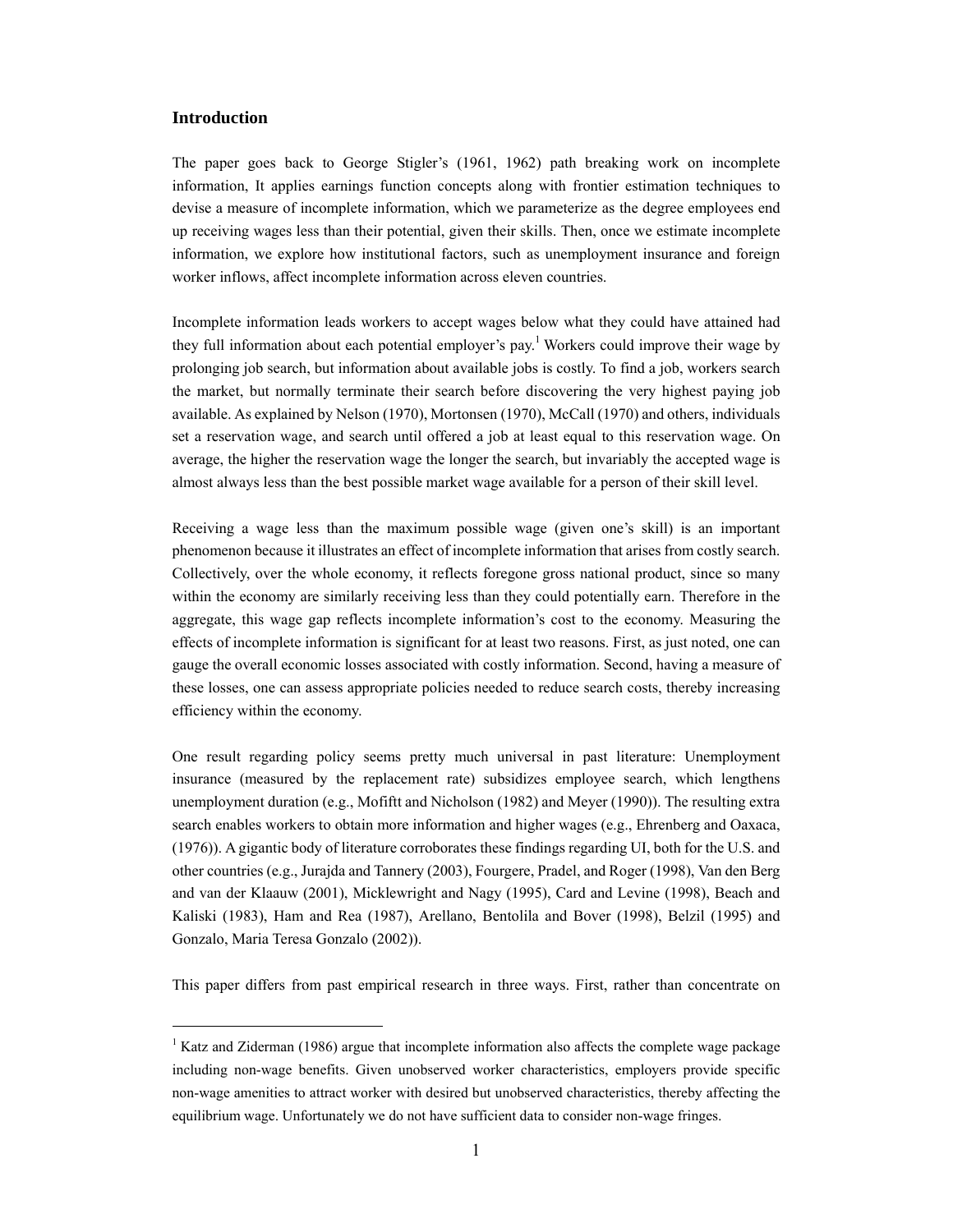# **Introduction**

l

The paper goes back to George Stigler's (1961, 1962) path breaking work on incomplete information, It applies earnings function concepts along with frontier estimation techniques to devise a measure of incomplete information, which we parameterize as the degree employees end up receiving wages less than their potential, given their skills. Then, once we estimate incomplete information, we explore how institutional factors, such as unemployment insurance and foreign worker inflows, affect incomplete information across eleven countries.

Incomplete information leads workers to accept wages below what they could have attained had they full information about each potential employer's  $pay<sup>1</sup>$  Workers could improve their wage by prolonging job search, but information about available jobs is costly. To find a job, workers search the market, but normally terminate their search before discovering the very highest paying job available. As explained by Nelson (1970), Mortonsen (1970), McCall (1970) and others, individuals set a reservation wage, and search until offered a job at least equal to this reservation wage. On average, the higher the reservation wage the longer the search, but invariably the accepted wage is almost always less than the best possible market wage available for a person of their skill level.

Receiving a wage less than the maximum possible wage (given one's skill) is an important phenomenon because it illustrates an effect of incomplete information that arises from costly search. Collectively, over the whole economy, it reflects foregone gross national product, since so many within the economy are similarly receiving less than they could potentially earn. Therefore in the aggregate, this wage gap reflects incomplete information's cost to the economy. Measuring the effects of incomplete information is significant for at least two reasons. First, as just noted, one can gauge the overall economic losses associated with costly information. Second, having a measure of these losses, one can assess appropriate policies needed to reduce search costs, thereby increasing efficiency within the economy.

One result regarding policy seems pretty much universal in past literature: Unemployment insurance (measured by the replacement rate) subsidizes employee search, which lengthens unemployment duration (e.g., Mofiftt and Nicholson (1982) and Meyer (1990)). The resulting extra search enables workers to obtain more information and higher wages (e.g., Ehrenberg and Oaxaca, (1976)). A gigantic body of literature corroborates these findings regarding UI, both for the U.S. and other countries (e.g., Jurajda and Tannery (2003), Fourgere, Pradel, and Roger (1998), Van den Berg and van der Klaauw (2001), Micklewright and Nagy (1995), Card and Levine (1998), Beach and Kaliski (1983), Ham and Rea (1987), Arellano, Bentolila and Bover (1998), Belzil (1995) and Gonzalo, Maria Teresa Gonzalo (2002)).

This paper differs from past empirical research in three ways. First, rather than concentrate on

<sup>&</sup>lt;sup>1</sup> Katz and Ziderman (1986) argue that incomplete information also affects the complete wage package including non-wage benefits. Given unobserved worker characteristics, employers provide specific non-wage amenities to attract worker with desired but unobserved characteristics, thereby affecting the equilibrium wage. Unfortunately we do not have sufficient data to consider non-wage fringes.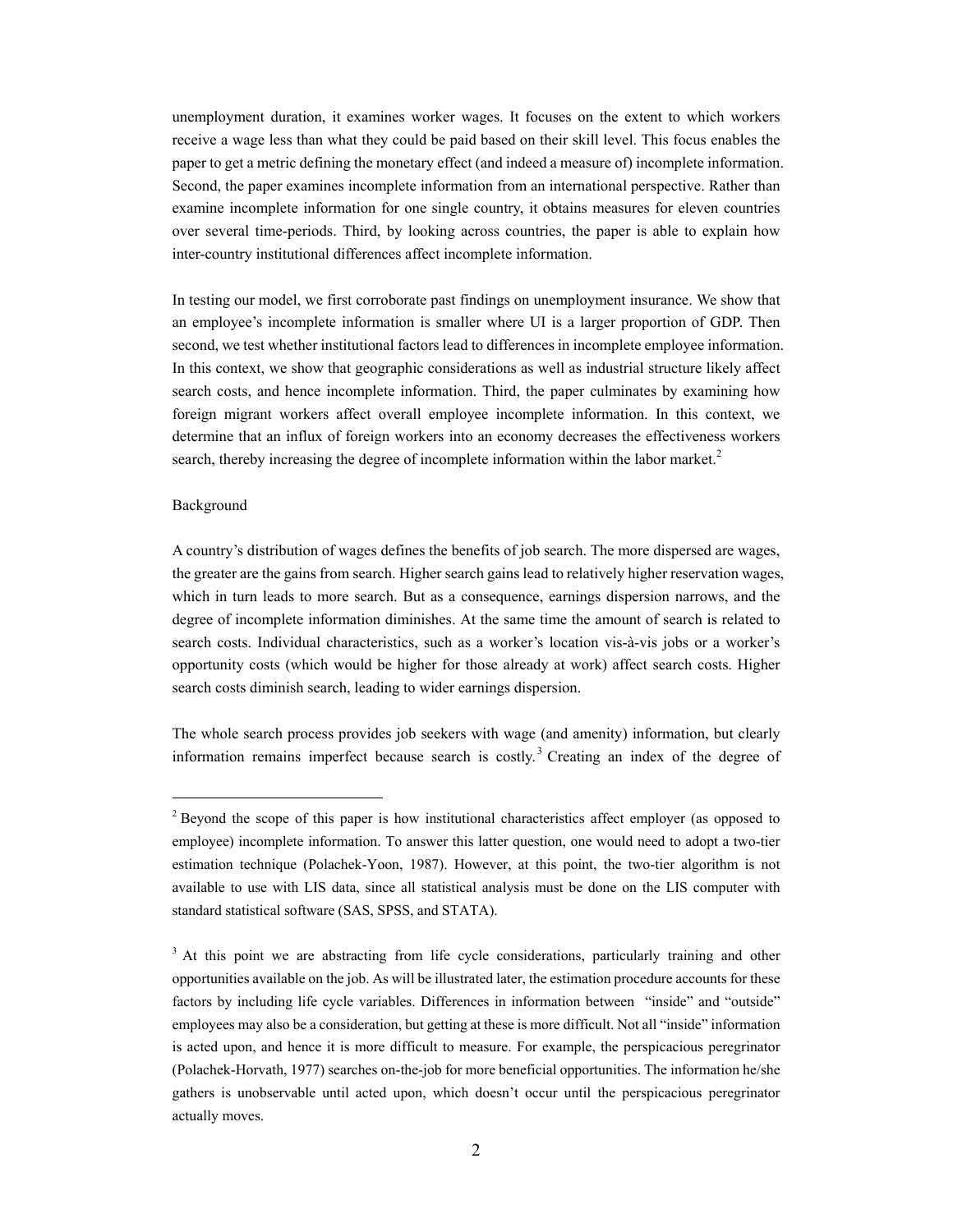unemployment duration, it examines worker wages. It focuses on the extent to which workers receive a wage less than what they could be paid based on their skill level. This focus enables the paper to get a metric defining the monetary effect (and indeed a measure of) incomplete information. Second, the paper examines incomplete information from an international perspective. Rather than examine incomplete information for one single country, it obtains measures for eleven countries over several time-periods. Third, by looking across countries, the paper is able to explain how inter-country institutional differences affect incomplete information.

In testing our model, we first corroborate past findings on unemployment insurance. We show that an employee's incomplete information is smaller where UI is a larger proportion of GDP. Then second, we test whether institutional factors lead to differences in incomplete employee information. In this context, we show that geographic considerations as well as industrial structure likely affect search costs, and hence incomplete information. Third, the paper culminates by examining how foreign migrant workers affect overall employee incomplete information. In this context, we determine that an influx of foreign workers into an economy decreases the effectiveness workers search, thereby increasing the degree of incomplete information within the labor market.<sup>2</sup>

#### Background

 $\overline{a}$ 

A country's distribution of wages defines the benefits of job search. The more dispersed are wages, the greater are the gains from search. Higher search gains lead to relatively higher reservation wages, which in turn leads to more search. But as a consequence, earnings dispersion narrows, and the degree of incomplete information diminishes. At the same time the amount of search is related to search costs. Individual characteristics, such as a worker's location vis-à-vis jobs or a worker's opportunity costs (which would be higher for those already at work) affect search costs. Higher search costs diminish search, leading to wider earnings dispersion.

The whole search process provides job seekers with wage (and amenity) information, but clearly information remains imperfect because search is costly.<sup>3</sup> Creating an index of the degree of

 $2^{2}$  Beyond the scope of this paper is how institutional characteristics affect employer (as opposed to employee) incomplete information. To answer this latter question, one would need to adopt a two-tier estimation technique (Polachek-Yoon, 1987). However, at this point, the two-tier algorithm is not available to use with LIS data, since all statistical analysis must be done on the LIS computer with standard statistical software (SAS, SPSS, and STATA).

<sup>&</sup>lt;sup>3</sup> At this point we are abstracting from life cycle considerations, particularly training and other opportunities available on the job. As will be illustrated later, the estimation procedure accounts for these factors by including life cycle variables. Differences in information between "inside" and "outside" employees may also be a consideration, but getting at these is more difficult. Not all "inside" information is acted upon, and hence it is more difficult to measure. For example, the perspicacious peregrinator (Polachek-Horvath, 1977) searches on-the-job for more beneficial opportunities. The information he/she gathers is unobservable until acted upon, which doesn't occur until the perspicacious peregrinator actually moves.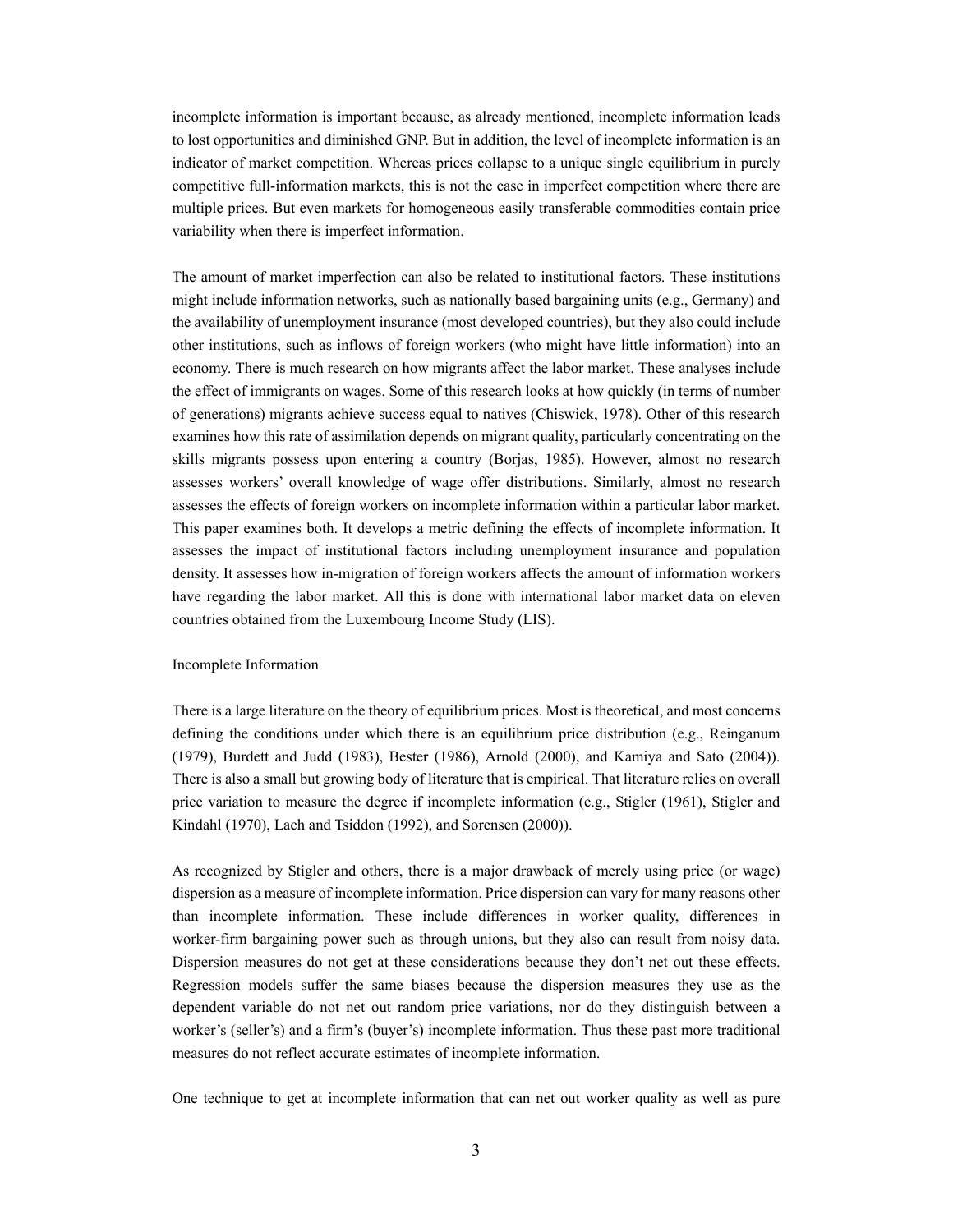incomplete information is important because, as already mentioned, incomplete information leads to lost opportunities and diminished GNP. But in addition, the level of incomplete information is an indicator of market competition. Whereas prices collapse to a unique single equilibrium in purely competitive full-information markets, this is not the case in imperfect competition where there are multiple prices. But even markets for homogeneous easily transferable commodities contain price variability when there is imperfect information.

The amount of market imperfection can also be related to institutional factors. These institutions might include information networks, such as nationally based bargaining units (e.g., Germany) and the availability of unemployment insurance (most developed countries), but they also could include other institutions, such as inflows of foreign workers (who might have little information) into an economy. There is much research on how migrants affect the labor market. These analyses include the effect of immigrants on wages. Some of this research looks at how quickly (in terms of number of generations) migrants achieve success equal to natives (Chiswick, 1978). Other of this research examines how this rate of assimilation depends on migrant quality, particularly concentrating on the skills migrants possess upon entering a country (Borjas, 1985). However, almost no research assesses workers' overall knowledge of wage offer distributions. Similarly, almost no research assesses the effects of foreign workers on incomplete information within a particular labor market. This paper examines both. It develops a metric defining the effects of incomplete information. It assesses the impact of institutional factors including unemployment insurance and population density. It assesses how in-migration of foreign workers affects the amount of information workers have regarding the labor market. All this is done with international labor market data on eleven countries obtained from the Luxembourg Income Study (LIS).

### Incomplete Information

There is a large literature on the theory of equilibrium prices. Most is theoretical, and most concerns defining the conditions under which there is an equilibrium price distribution (e.g., Reinganum (1979), Burdett and Judd (1983), Bester (1986), Arnold (2000), and Kamiya and Sato (2004)). There is also a small but growing body of literature that is empirical. That literature relies on overall price variation to measure the degree if incomplete information (e.g., Stigler (1961), Stigler and Kindahl (1970), Lach and Tsiddon (1992), and Sorensen (2000)).

As recognized by Stigler and others, there is a major drawback of merely using price (or wage) dispersion as a measure of incomplete information. Price dispersion can vary for many reasons other than incomplete information. These include differences in worker quality, differences in worker-firm bargaining power such as through unions, but they also can result from noisy data. Dispersion measures do not get at these considerations because they don't net out these effects. Regression models suffer the same biases because the dispersion measures they use as the dependent variable do not net out random price variations, nor do they distinguish between a worker's (seller's) and a firm's (buyer's) incomplete information. Thus these past more traditional measures do not reflect accurate estimates of incomplete information.

One technique to get at incomplete information that can net out worker quality as well as pure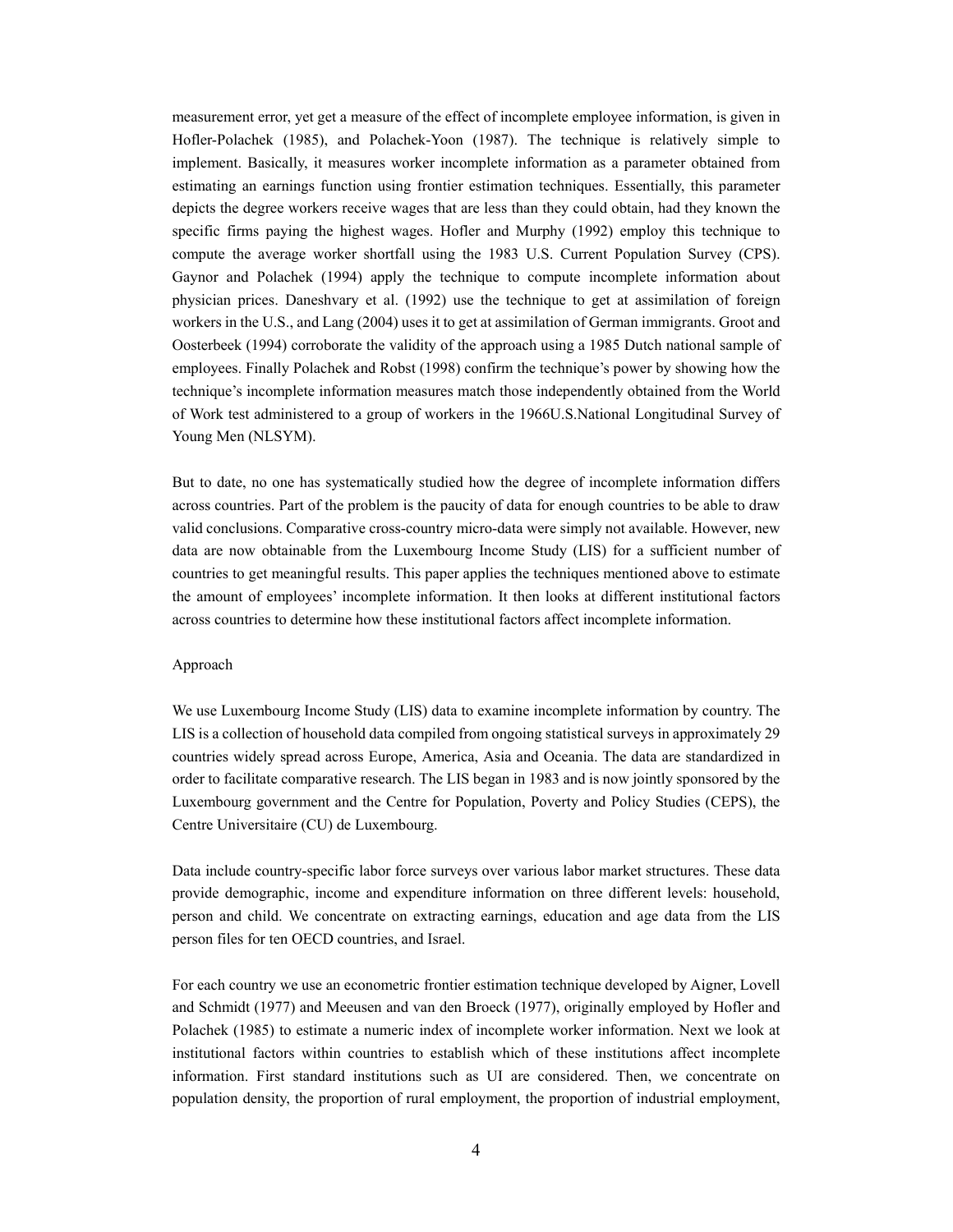measurement error, yet get a measure of the effect of incomplete employee information, is given in Hofler-Polachek (1985), and Polachek-Yoon (1987). The technique is relatively simple to implement. Basically, it measures worker incomplete information as a parameter obtained from estimating an earnings function using frontier estimation techniques. Essentially, this parameter depicts the degree workers receive wages that are less than they could obtain, had they known the specific firms paying the highest wages. Hofler and Murphy (1992) employ this technique to compute the average worker shortfall using the 1983 U.S. Current Population Survey (CPS). Gaynor and Polachek (1994) apply the technique to compute incomplete information about physician prices. Daneshvary et al. (1992) use the technique to get at assimilation of foreign workers in the U.S., and Lang (2004) uses it to get at assimilation of German immigrants. Groot and Oosterbeek (1994) corroborate the validity of the approach using a 1985 Dutch national sample of employees. Finally Polachek and Robst (1998) confirm the technique's power by showing how the technique's incomplete information measures match those independently obtained from the World of Work test administered to a group of workers in the 1966U.S.National Longitudinal Survey of Young Men (NLSYM).

But to date, no one has systematically studied how the degree of incomplete information differs across countries. Part of the problem is the paucity of data for enough countries to be able to draw valid conclusions. Comparative cross-country micro-data were simply not available. However, new data are now obtainable from the Luxembourg Income Study (LIS) for a sufficient number of countries to get meaningful results. This paper applies the techniques mentioned above to estimate the amount of employees' incomplete information. It then looks at different institutional factors across countries to determine how these institutional factors affect incomplete information.

### Approach

We use Luxembourg Income Study (LIS) data to examine incomplete information by country. The LIS is a collection of household data compiled from ongoing statistical surveys in approximately 29 countries widely spread across Europe, America, Asia and Oceania. The data are standardized in order to facilitate comparative research. The LIS began in 1983 and is now jointly sponsored by the Luxembourg government and the Centre for Population, Poverty and Policy Studies (CEPS), the Centre Universitaire (CU) de Luxembourg.

Data include country-specific labor force surveys over various labor market structures. These data provide demographic, income and expenditure information on three different levels: household, person and child. We concentrate on extracting earnings, education and age data from the LIS person files for ten OECD countries, and Israel.

For each country we use an econometric frontier estimation technique developed by Aigner, Lovell and Schmidt (1977) and Meeusen and van den Broeck (1977), originally employed by Hofler and Polachek (1985) to estimate a numeric index of incomplete worker information. Next we look at institutional factors within countries to establish which of these institutions affect incomplete information. First standard institutions such as UI are considered. Then, we concentrate on population density, the proportion of rural employment, the proportion of industrial employment,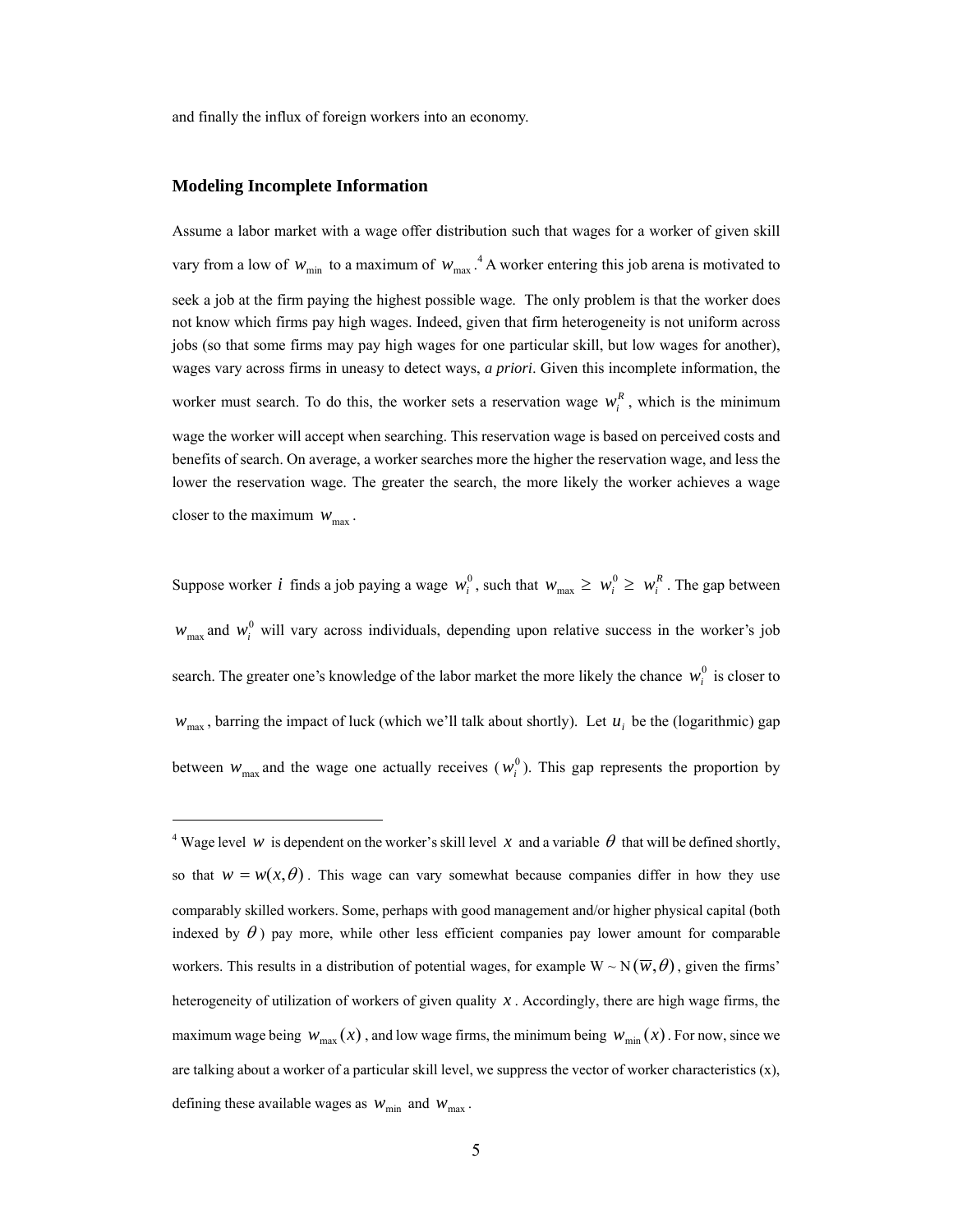and finally the influx of foreign workers into an economy.

#### **Modeling Incomplete Information**

 $\overline{a}$ 

Assume a labor market with a wage offer distribution such that wages for a worker of given skill vary from a low of  $w_{min}$  to a maximum of  $w_{max}$ .<sup>4</sup> A worker entering this job arena is motivated to seek a job at the firm paying the highest possible wage. The only problem is that the worker does not know which firms pay high wages. Indeed, given that firm heterogeneity is not uniform across jobs (so that some firms may pay high wages for one particular skill, but low wages for another), wages vary across firms in uneasy to detect ways, *a priori*. Given this incomplete information, the worker must search. To do this, the worker sets a reservation wage  $w_i^R$ , which is the minimum wage the worker will accept when searching. This reservation wage is based on perceived costs and benefits of search. On average, a worker searches more the higher the reservation wage, and less the lower the reservation wage. The greater the search, the more likely the worker achieves a wage closer to the maximum  $W_{\text{max}}$ .

Suppose worker *i* finds a job paying a wage  $w_i^0$ , such that  $w_{\text{max}} \geq w_i^0 \geq w_i^R$ . The gap between  $w_{\text{max}}$  and  $w_i^0$  will vary across individuals, depending upon relative success in the worker's job search. The greater one's knowledge of the labor market the more likely the chance  $w_i^0$  is closer to  $W_{\text{max}}$ , barring the impact of luck (which we'll talk about shortly). Let  $u_i$  be the (logarithmic) gap between  $w_{\text{max}}$  and the wage one actually receives  $(w_i^0)$ . This gap represents the proportion by

<sup>&</sup>lt;sup>4</sup> Wage level *w* is dependent on the worker's skill level *x* and a variable  $\theta$  that will be defined shortly, so that  $w = w(x, \theta)$ . This wage can vary somewhat because companies differ in how they use comparably skilled workers. Some, perhaps with good management and/or higher physical capital (both indexed by  $\theta$ ) pay more, while other less efficient companies pay lower amount for comparable workers. This results in a distribution of potential wages, for example  $W \sim N(\overline{w}, \theta)$ , given the firms' heterogeneity of utilization of workers of given quality *x* . Accordingly, there are high wage firms, the maximum wage being  $w_{\text{max}}(x)$ , and low wage firms, the minimum being  $w_{\text{min}}(x)$ . For now, since we are talking about a worker of a particular skill level, we suppress the vector of worker characteristics (x), defining these available wages as  $W_{\text{min}}$  and  $W_{\text{max}}$ .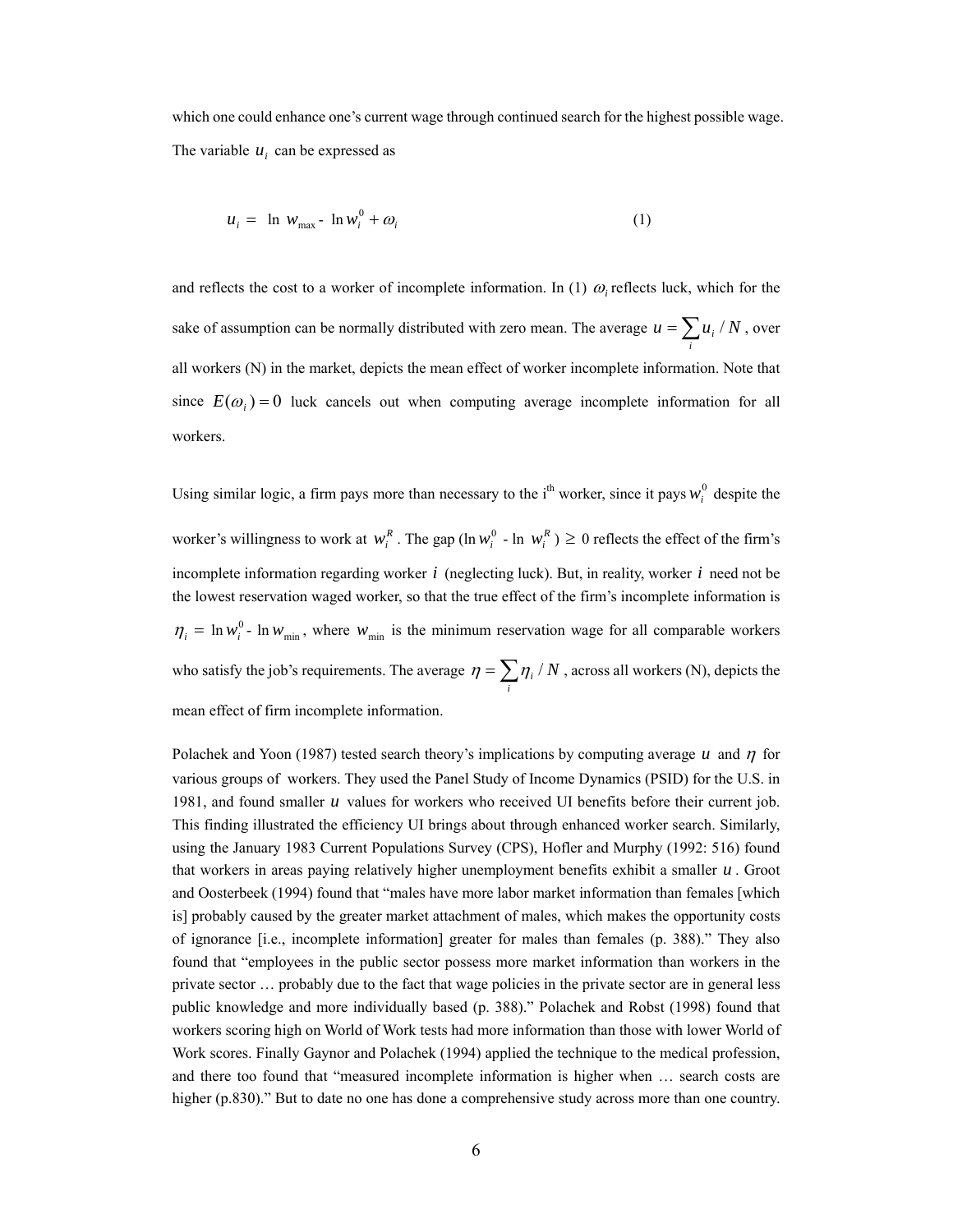which one could enhance one's current wage through continued search for the highest possible wage. The variable  $u_i$  can be expressed as

$$
u_i = \ln w_{\text{max}} - \ln w_i^0 + \omega_i \tag{1}
$$

and reflects the cost to a worker of incomplete information. In (1)  $\omega_i$  reflects luck, which for the sake of assumption can be normally distributed with zero mean. The average  $u = \sum_i u_i / N$ , over all workers (N) in the market, depicts the mean effect of worker incomplete information. Note that since  $E(\omega_i) = 0$  luck cancels out when computing average incomplete information for all workers.

Using similar logic, a firm pays more than necessary to the i<sup>th</sup> worker, since it pays  $w_i^0$  despite the worker's willingness to work at  $w_i^R$ . The gap (ln  $w_i^0$  - ln  $w_i^R$ )  $\geq 0$  reflects the effect of the firm's incomplete information regarding worker *i* (neglecting luck). But, in reality, worker *i* need not be the lowest reservation waged worker, so that the true effect of the firm's incomplete information is  $\eta_i = \ln w_i^0$  -  $\ln w_{\min}$ , where  $w_{\min}$  is the minimum reservation wage for all comparable workers who satisfy the job's requirements. The average  $\eta = \sum_{i} \eta_i / N$  $\eta = \sum_i \eta_i / N$ , across all workers (N), depicts the mean effect of firm incomplete information.

Polachek and Yoon (1987) tested search theory's implications by computing average *u* and  $\eta$  for various groups of workers. They used the Panel Study of Income Dynamics (PSID) for the U.S. in 1981, and found smaller *u* values for workers who received UI benefits before their current job. This finding illustrated the efficiency UI brings about through enhanced worker search. Similarly, using the January 1983 Current Populations Survey (CPS), Hofler and Murphy (1992: 516) found that workers in areas paying relatively higher unemployment benefits exhibit a smaller *u* . Groot and Oosterbeek (1994) found that "males have more labor market information than females [which is] probably caused by the greater market attachment of males, which makes the opportunity costs of ignorance [i.e., incomplete information] greater for males than females (p. 388)." They also found that "employees in the public sector possess more market information than workers in the private sector … probably due to the fact that wage policies in the private sector are in general less public knowledge and more individually based (p. 388)." Polachek and Robst (1998) found that workers scoring high on World of Work tests had more information than those with lower World of Work scores. Finally Gaynor and Polachek (1994) applied the technique to the medical profession, and there too found that "measured incomplete information is higher when … search costs are higher (p.830)." But to date no one has done a comprehensive study across more than one country.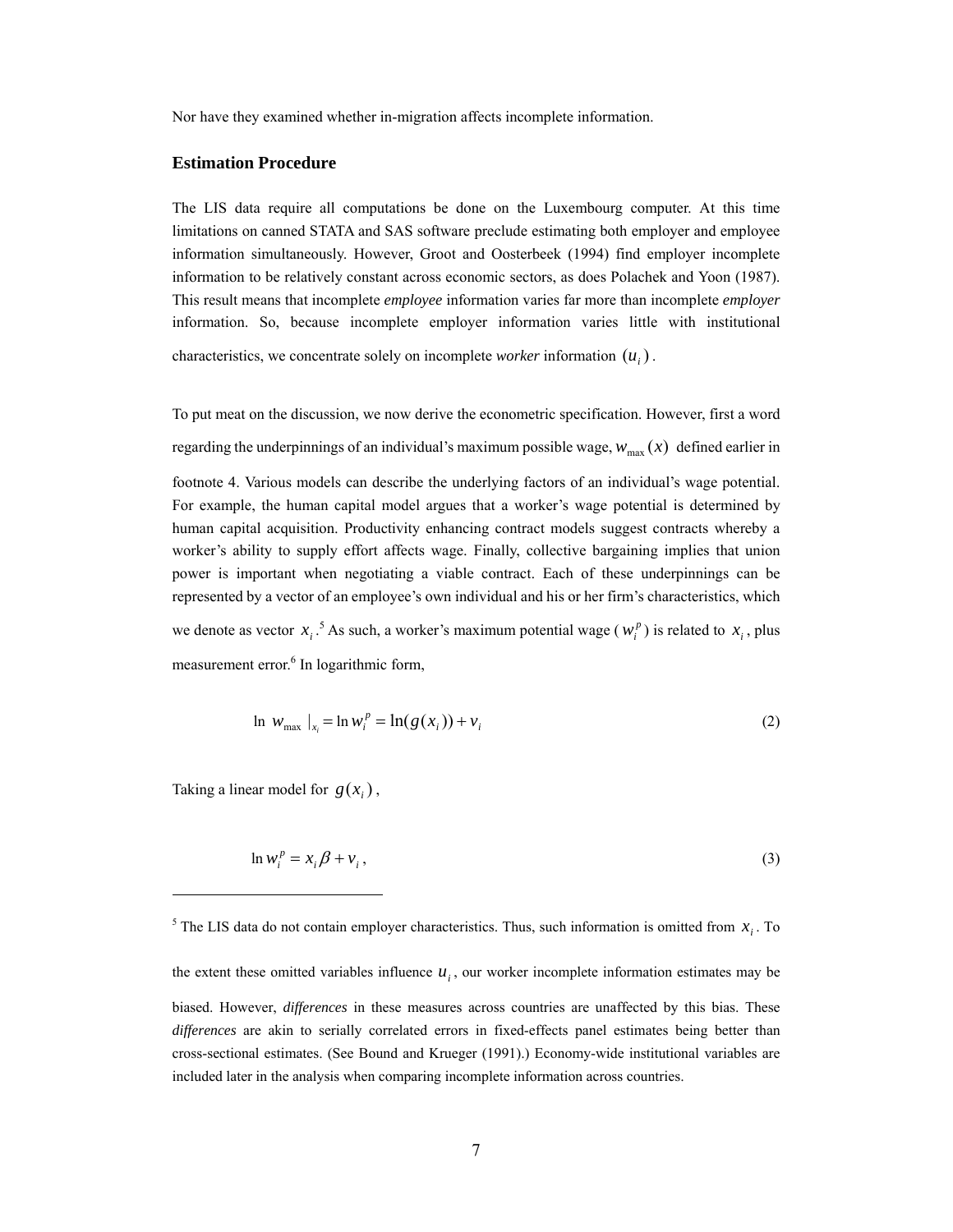Nor have they examined whether in-migration affects incomplete information.

### **Estimation Procedure**

The LIS data require all computations be done on the Luxembourg computer. At this time limitations on canned STATA and SAS software preclude estimating both employer and employee information simultaneously. However, Groot and Oosterbeek (1994) find employer incomplete information to be relatively constant across economic sectors, as does Polachek and Yoon (1987). This result means that incomplete *employee* information varies far more than incomplete *employer* information. So, because incomplete employer information varies little with institutional characteristics, we concentrate solely on incomplete *worker* information  $(u_i)$ .

To put meat on the discussion, we now derive the econometric specification. However, first a word regarding the underpinnings of an individual's maximum possible wage,  $w_{\text{max}}(x)$  defined earlier in

footnote 4. Various models can describe the underlying factors of an individual's wage potential. For example, the human capital model argues that a worker's wage potential is determined by human capital acquisition. Productivity enhancing contract models suggest contracts whereby a worker's ability to supply effort affects wage. Finally, collective bargaining implies that union power is important when negotiating a viable contract. Each of these underpinnings can be represented by a vector of an employee's own individual and his or her firm's characteristics, which we denote as vector  $x_i$ .<sup>5</sup> As such, a worker's maximum potential wage ( $w_i^p$ ) is related to  $x_i$ , plus

measurement error.<sup>6</sup> In logarithmic form,

$$
\ln w_{\text{max}} \big|_{x_i} = \ln w_i^p = \ln(g(x_i)) + v_i \tag{2}
$$

Taking a linear model for  $g(x_i)$ ,

 $\overline{a}$ 

$$
\ln w_i^p = x_i \beta + v_i, \tag{3}
$$

<sup>5</sup> The LIS data do not contain employer characteristics. Thus, such information is omitted from  $x_i$ . To

the extent these omitted variables influence  $u_i$ , our worker incomplete information estimates may be biased. However, *differences* in these measures across countries are unaffected by this bias. These *differences* are akin to serially correlated errors in fixed-effects panel estimates being better than cross-sectional estimates. (See Bound and Krueger (1991).) Economy-wide institutional variables are included later in the analysis when comparing incomplete information across countries.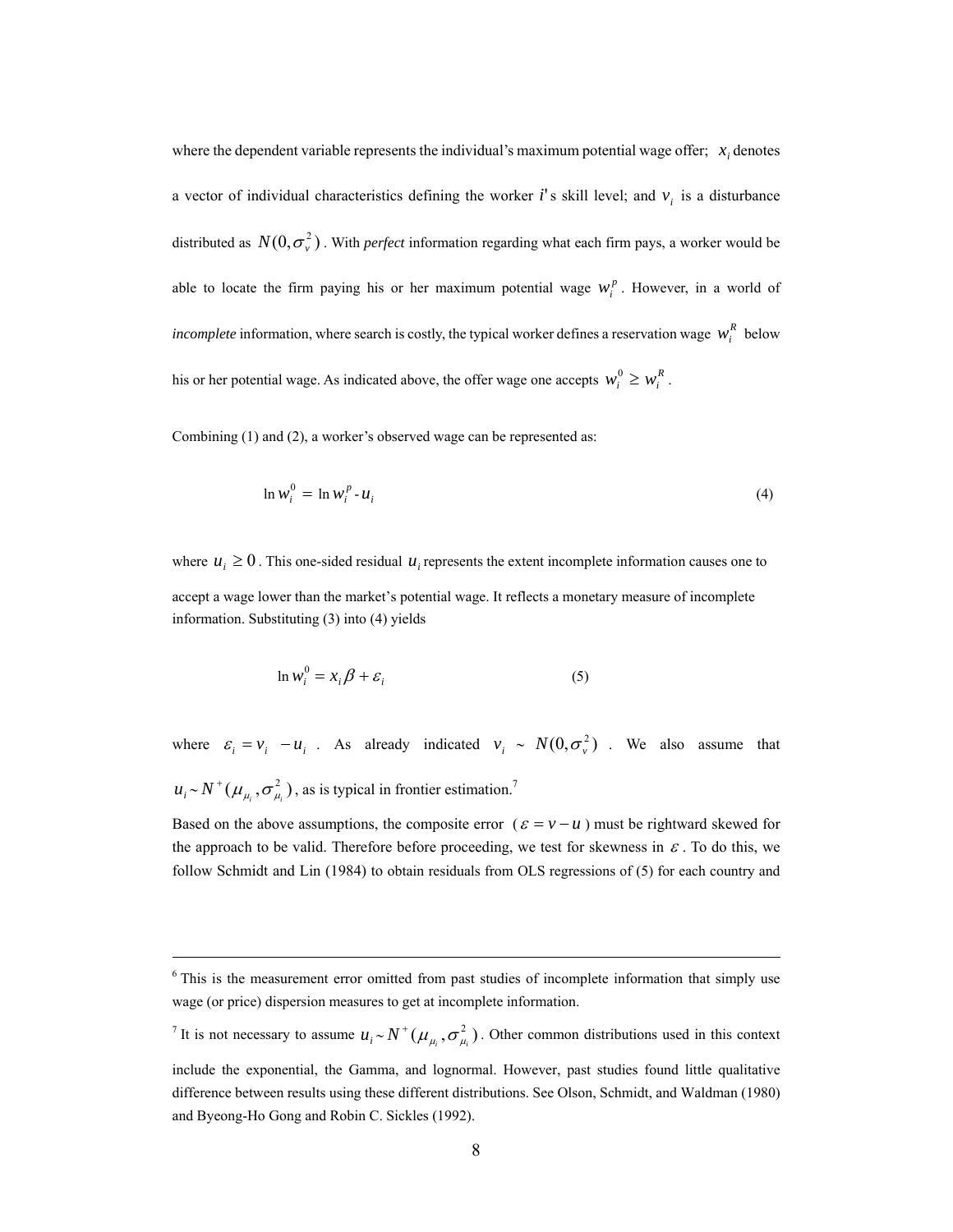where the dependent variable represents the individual's maximum potential wage offer;  $x_i$  denotes a vector of individual characteristics defining the worker  $i$ 's skill level; and  $v_i$  is a disturbance distributed as  $N(0, \sigma_v^2)$ . With *perfect* information regarding what each firm pays, a worker would be able to locate the firm paying his or her maximum potential wage  $w_i^p$ . However, in a world of *incomplete* information, where search is costly, the typical worker defines a reservation wage  $w_i^R$  below his or her potential wage. As indicated above, the offer wage one accepts  $w_i^0 \geq w_i^R$ .

Combining (1) and (2), a worker's observed wage can be represented as:

$$
\ln w_i^0 = \ln w_i^p - u_i \tag{4}
$$

where  $u_i \ge 0$ . This one-sided residual  $u_i$  represents the extent incomplete information causes one to accept a wage lower than the market's potential wage. It reflects a monetary measure of incomplete information. Substituting (3) into (4) yields

$$
\ln w_i^0 = x_i \beta + \varepsilon_i \tag{5}
$$

where  $\varepsilon_i = v_i - u_i$ . As already indicated  $v_i \sim N(0, \sigma_v^2)$  . We also assume that  $u_i \sim N^+ (\mu_{\mu_i}, \sigma_{\mu_i}^2)$ , as is typical in frontier estimation.<sup>7</sup>

Based on the above assumptions, the composite error  $(\varepsilon = v - u)$  must be rightward skewed for the approach to be valid. Therefore before proceeding, we test for skewness in  $\varepsilon$ . To do this, we follow Schmidt and Lin (1984) to obtain residuals from OLS regressions of (5) for each country and

 $\overline{a}$ 

<sup>7</sup> It is not necessary to assume  $u_i \sim N^+ (\mu_{\mu_i}, \sigma^2_{\mu_i})$ . Other common distributions used in this context include the exponential, the Gamma, and lognormal. However, past studies found little qualitative difference between results using these different distributions. See Olson, Schmidt, and Waldman (1980) and Byeong-Ho Gong and Robin C. Sickles (1992).

<sup>&</sup>lt;sup>6</sup> This is the measurement error omitted from past studies of incomplete information that simply use wage (or price) dispersion measures to get at incomplete information.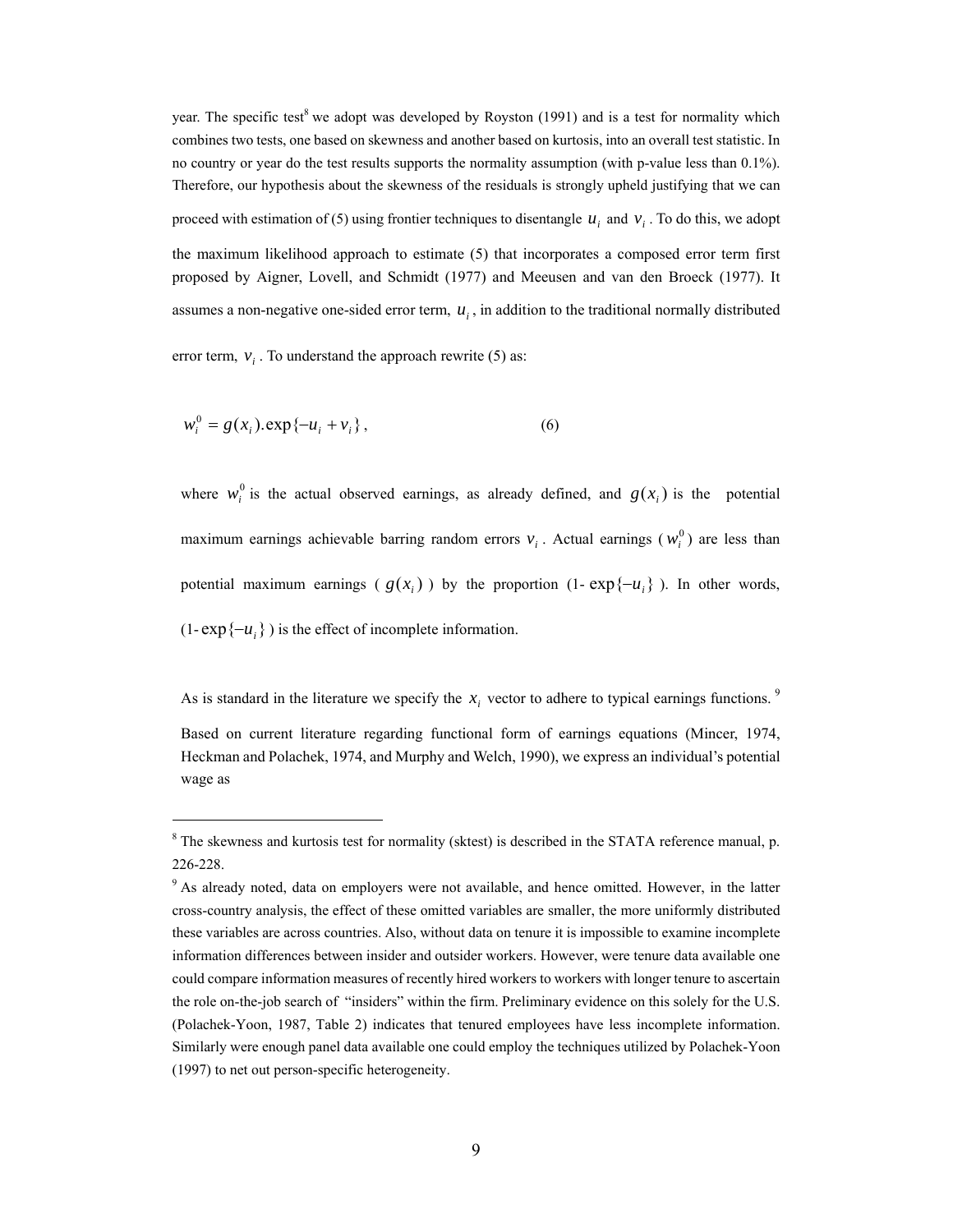year. The specific test<sup>8</sup> we adopt was developed by Royston (1991) and is a test for normality which combines two tests, one based on skewness and another based on kurtosis, into an overall test statistic. In no country or year do the test results supports the normality assumption (with p-value less than 0.1%). Therefore, our hypothesis about the skewness of the residuals is strongly upheld justifying that we can proceed with estimation of (5) using frontier techniques to disentangle  $u_i$  and  $v_i$ . To do this, we adopt the maximum likelihood approach to estimate (5) that incorporates a composed error term first proposed by Aigner, Lovell, and Schmidt (1977) and Meeusen and van den Broeck (1977). It

assumes a non-negative one-sided error term,  $u_i$ , in addition to the traditional normally distributed

error term,  $v_i$ . To understand the approach rewrite (5) as:

 $\overline{a}$ 

$$
w_i^0 = g(x_i). \exp\{-u_i + v_i\},\tag{6}
$$

where  $w_i^0$  is the actual observed earnings, as already defined, and  $g(x_i)$  is the potential maximum earnings achievable barring random errors  $v_i$ . Actual earnings ( $w_i^0$ ) are less than potential maximum earnings ( $g(x_i)$ ) by the proportion (1- $\exp\{-u_i\}$ ). In other words,  $(1 - \exp{-u_i})$  is the effect of incomplete information.

As is standard in the literature we specify the  $x_i$  vector to adhere to typical earnings functions.<sup>9</sup>

Based on current literature regarding functional form of earnings equations (Mincer, 1974, Heckman and Polachek, 1974, and Murphy and Welch, 1990), we express an individual's potential wage as

<sup>&</sup>lt;sup>8</sup> The skewness and kurtosis test for normality (sktest) is described in the STATA reference manual, p. 226-228.

<sup>&</sup>lt;sup>9</sup> As already noted, data on employers were not available, and hence omitted. However, in the latter cross-country analysis, the effect of these omitted variables are smaller, the more uniformly distributed these variables are across countries. Also, without data on tenure it is impossible to examine incomplete information differences between insider and outsider workers. However, were tenure data available one could compare information measures of recently hired workers to workers with longer tenure to ascertain the role on-the-job search of "insiders" within the firm. Preliminary evidence on this solely for the U.S. (Polachek-Yoon, 1987, Table 2) indicates that tenured employees have less incomplete information. Similarly were enough panel data available one could employ the techniques utilized by Polachek-Yoon (1997) to net out person-specific heterogeneity.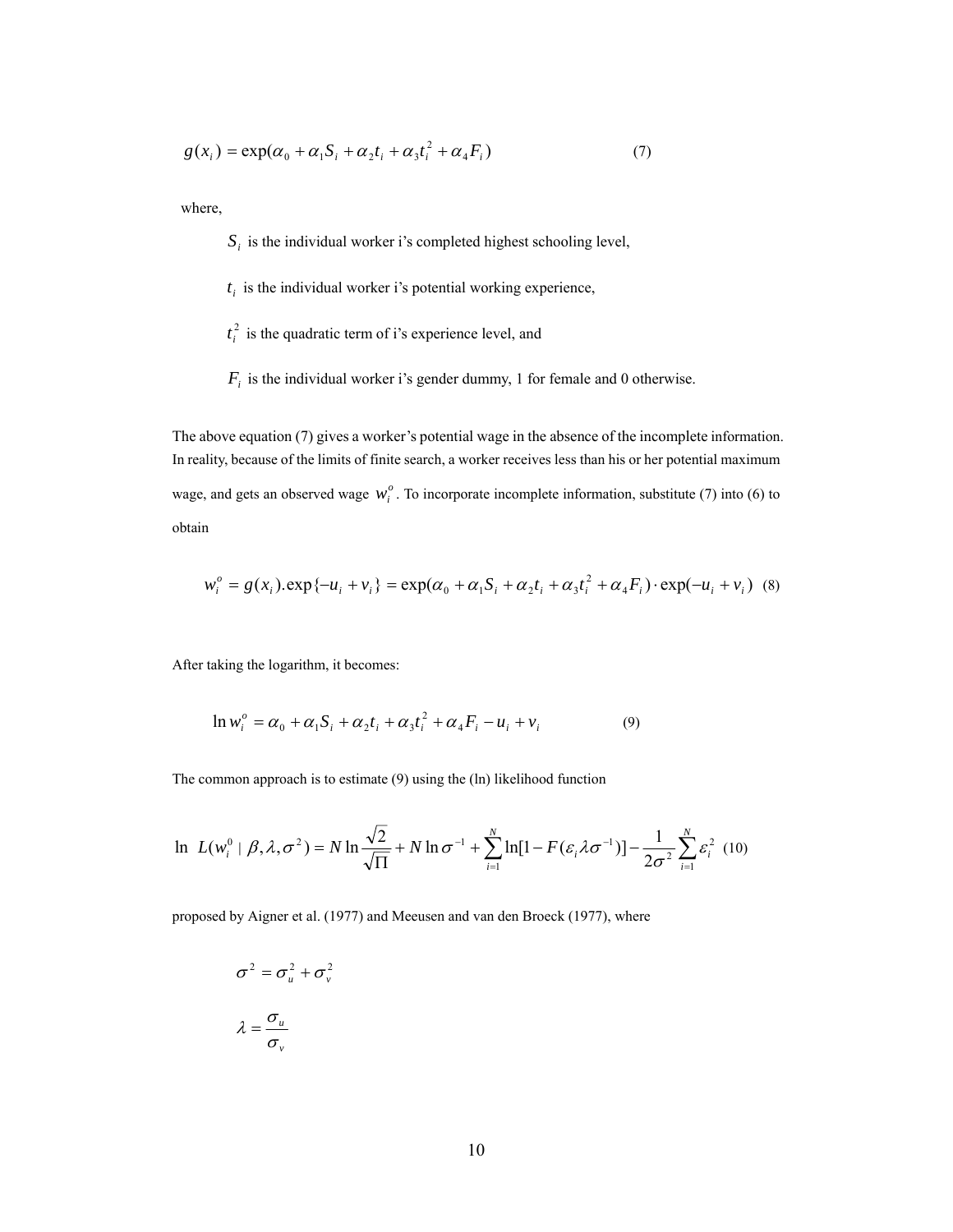$$
g(x_i) = \exp(\alpha_0 + \alpha_1 S_i + \alpha_2 t_i + \alpha_3 t_i^2 + \alpha_4 F_i)
$$
\n<sup>(7)</sup>

where,

- $S<sub>i</sub>$  is the individual worker i's completed highest schooling level,
- $t_i$  is the individual worker i's potential working experience,
- $t_i^2$  is the quadratic term of i's experience level, and
- $F<sub>i</sub>$  is the individual worker i's gender dummy, 1 for female and 0 otherwise.

The above equation (7) gives a worker's potential wage in the absence of the incomplete information. In reality, because of the limits of finite search, a worker receives less than his or her potential maximum wage, and gets an observed wage  $w_i^o$ . To incorporate incomplete information, substitute (7) into (6) to obtain

$$
w_i^o = g(x_i) . \exp\{-u_i + v_i\} = \exp(\alpha_0 + \alpha_1 S_i + \alpha_2 t_i + \alpha_3 t_i^2 + \alpha_4 F_i) \cdot \exp(-u_i + v_i)
$$
 (8)

After taking the logarithm, it becomes:

$$
\ln w_i^o = \alpha_0 + \alpha_1 S_i + \alpha_2 t_i + \alpha_3 t_i^2 + \alpha_4 F_i - u_i + v_i
$$
 (9)

The common approach is to estimate (9) using the (ln) likelihood function

$$
\ln L(w_i^0 \mid \beta, \lambda, \sigma^2) = N \ln \frac{\sqrt{2}}{\sqrt{\Pi}} + N \ln \sigma^{-1} + \sum_{i=1}^N \ln[1 - F(\varepsilon_i \lambda \sigma^{-1})] - \frac{1}{2\sigma^2} \sum_{i=1}^N \varepsilon_i^2
$$
 (10)

proposed by Aigner et al. (1977) and Meeusen and van den Broeck (1977), where

$$
\sigma^2 = \sigma_u^2 + \sigma_v^2
$$

$$
\lambda = \frac{\sigma_u}{\sigma_v}
$$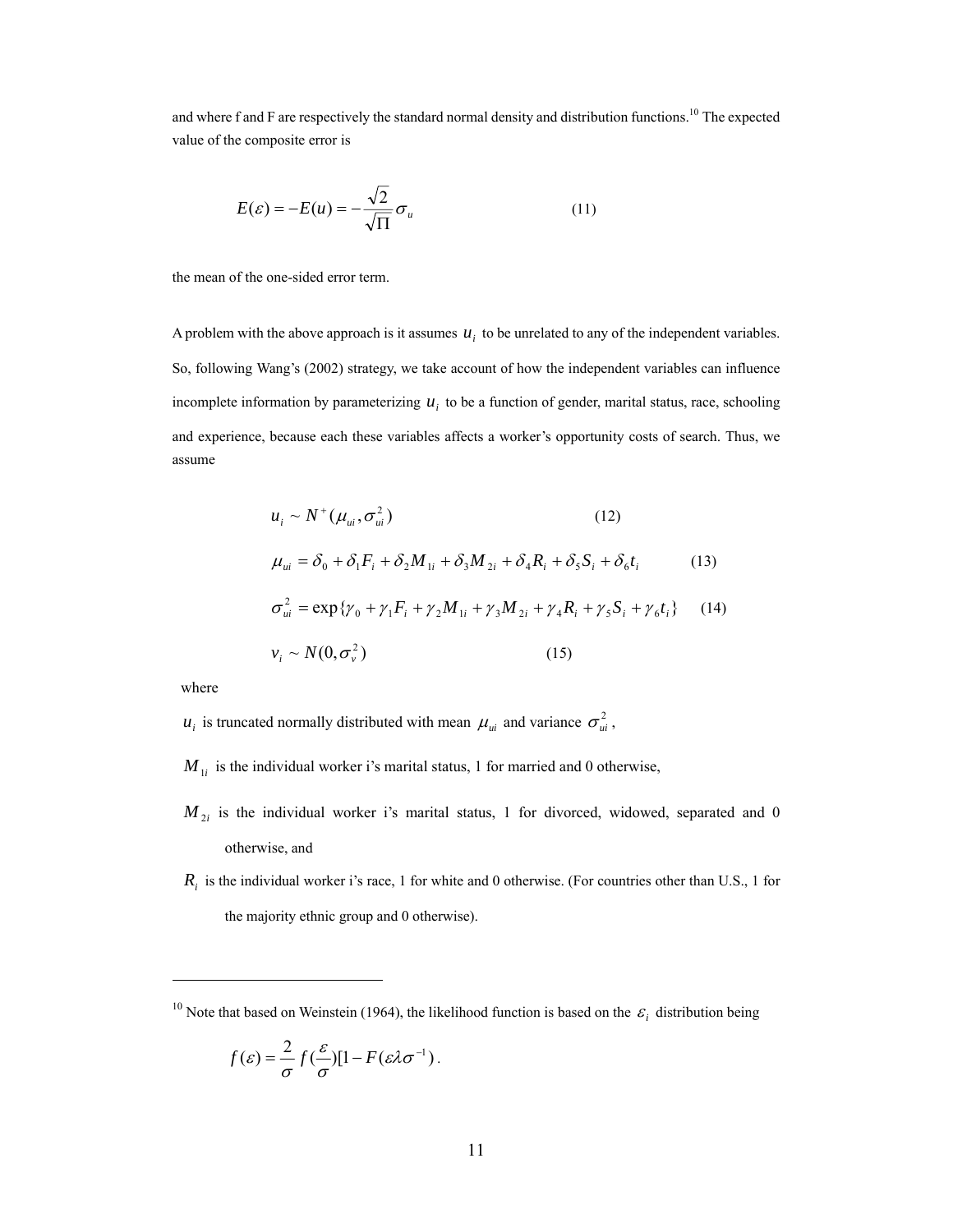and where f and F are respectively the standard normal density and distribution functions.<sup>10</sup> The expected value of the composite error is

$$
E(\varepsilon) = -E(u) = -\frac{\sqrt{2}}{\sqrt{\Pi}} \sigma_u \tag{11}
$$

the mean of the one-sided error term.

A problem with the above approach is it assumes  $u_i$  to be unrelated to any of the independent variables. So, following Wang's (2002) strategy, we take account of how the independent variables can influence incomplete information by parameterizing  $u_i$  to be a function of gender, marital status, race, schooling and experience, because each these variables affects a worker's opportunity costs of search. Thus, we assume

$$
u_{i} \sim N^{+}(\mu_{ui}, \sigma_{ui}^{2})
$$
\n
$$
\mu_{ui} = \delta_{0} + \delta_{1}F_{i} + \delta_{2}M_{1i} + \delta_{3}M_{2i} + \delta_{4}R_{i} + \delta_{5}S_{i} + \delta_{6}t_{i}
$$
\n
$$
\sigma_{ui}^{2} = \exp\{\gamma_{0} + \gamma_{1}F_{i} + \gamma_{2}M_{1i} + \gamma_{3}M_{2i} + \gamma_{4}R_{i} + \gamma_{5}S_{i} + \gamma_{6}t_{i}\}
$$
\n
$$
v_{i} \sim N(0, \sigma_{v}^{2})
$$
\n
$$
(15)
$$

where

 $\overline{a}$ 

- $u_i$  is truncated normally distributed with mean  $\mu_{ui}$  and variance  $\sigma_{ui}^2$ ,
- $M_{1i}$  is the individual worker i's marital status, 1 for married and 0 otherwise,
- $M_{2i}$  is the individual worker i's marital status, 1 for divorced, widowed, separated and 0 otherwise, and
- $R_i$  is the individual worker i's race, 1 for white and 0 otherwise. (For countries other than U.S., 1 for the majority ethnic group and 0 otherwise).

$$
f(\varepsilon) = \frac{2}{\sigma} f(\frac{\varepsilon}{\sigma})[1 - F(\varepsilon \lambda \sigma^{-1}).
$$

<sup>&</sup>lt;sup>10</sup> Note that based on Weinstein (1964), the likelihood function is based on the  $\varepsilon_i$  distribution being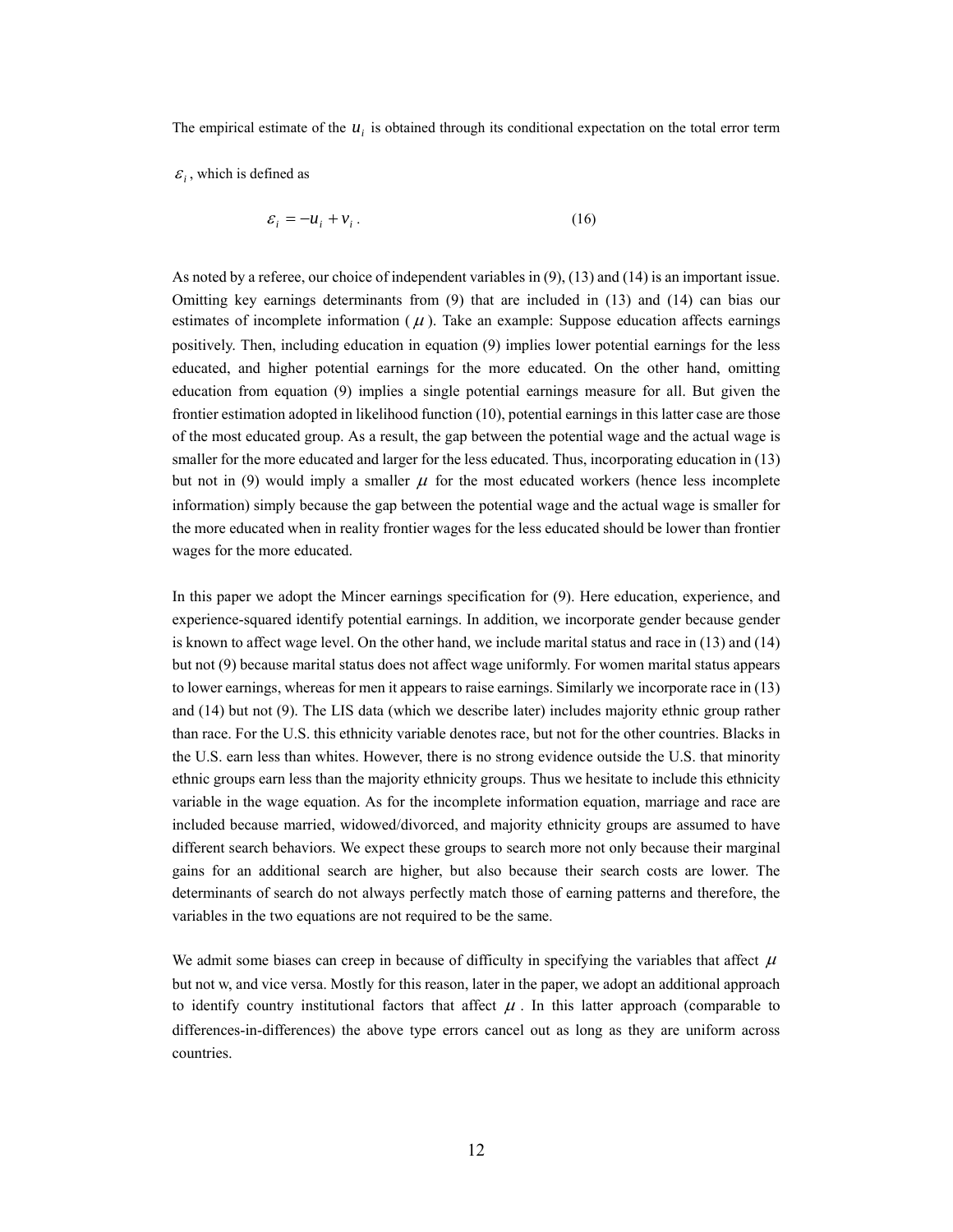The empirical estimate of the  $u_i$  is obtained through its conditional expectation on the total error term

 $\varepsilon_i$ , which is defined as

$$
\varepsilon_i = -u_i + v_i. \tag{16}
$$

As noted by a referee, our choice of independent variables in (9), (13) and (14) is an important issue. Omitting key earnings determinants from (9) that are included in (13) and (14) can bias our estimates of incomplete information  $(\mu)$ . Take an example: Suppose education affects earnings positively. Then, including education in equation (9) implies lower potential earnings for the less educated, and higher potential earnings for the more educated. On the other hand, omitting education from equation (9) implies a single potential earnings measure for all. But given the frontier estimation adopted in likelihood function (10), potential earnings in this latter case are those of the most educated group. As a result, the gap between the potential wage and the actual wage is smaller for the more educated and larger for the less educated. Thus, incorporating education in (13) but not in (9) would imply a smaller  $\mu$  for the most educated workers (hence less incomplete information) simply because the gap between the potential wage and the actual wage is smaller for the more educated when in reality frontier wages for the less educated should be lower than frontier wages for the more educated.

In this paper we adopt the Mincer earnings specification for (9). Here education, experience, and experience-squared identify potential earnings. In addition, we incorporate gender because gender is known to affect wage level. On the other hand, we include marital status and race in (13) and (14) but not (9) because marital status does not affect wage uniformly. For women marital status appears to lower earnings, whereas for men it appears to raise earnings. Similarly we incorporate race in (13) and (14) but not (9). The LIS data (which we describe later) includes majority ethnic group rather than race. For the U.S. this ethnicity variable denotes race, but not for the other countries. Blacks in the U.S. earn less than whites. However, there is no strong evidence outside the U.S. that minority ethnic groups earn less than the majority ethnicity groups. Thus we hesitate to include this ethnicity variable in the wage equation. As for the incomplete information equation, marriage and race are included because married, widowed/divorced, and majority ethnicity groups are assumed to have different search behaviors. We expect these groups to search more not only because their marginal gains for an additional search are higher, but also because their search costs are lower. The determinants of search do not always perfectly match those of earning patterns and therefore, the variables in the two equations are not required to be the same.

We admit some biases can creep in because of difficulty in specifying the variables that affect  $\mu$ but not w, and vice versa. Mostly for this reason, later in the paper, we adopt an additional approach to identify country institutional factors that affect  $\mu$ . In this latter approach (comparable to differences-in-differences) the above type errors cancel out as long as they are uniform across countries.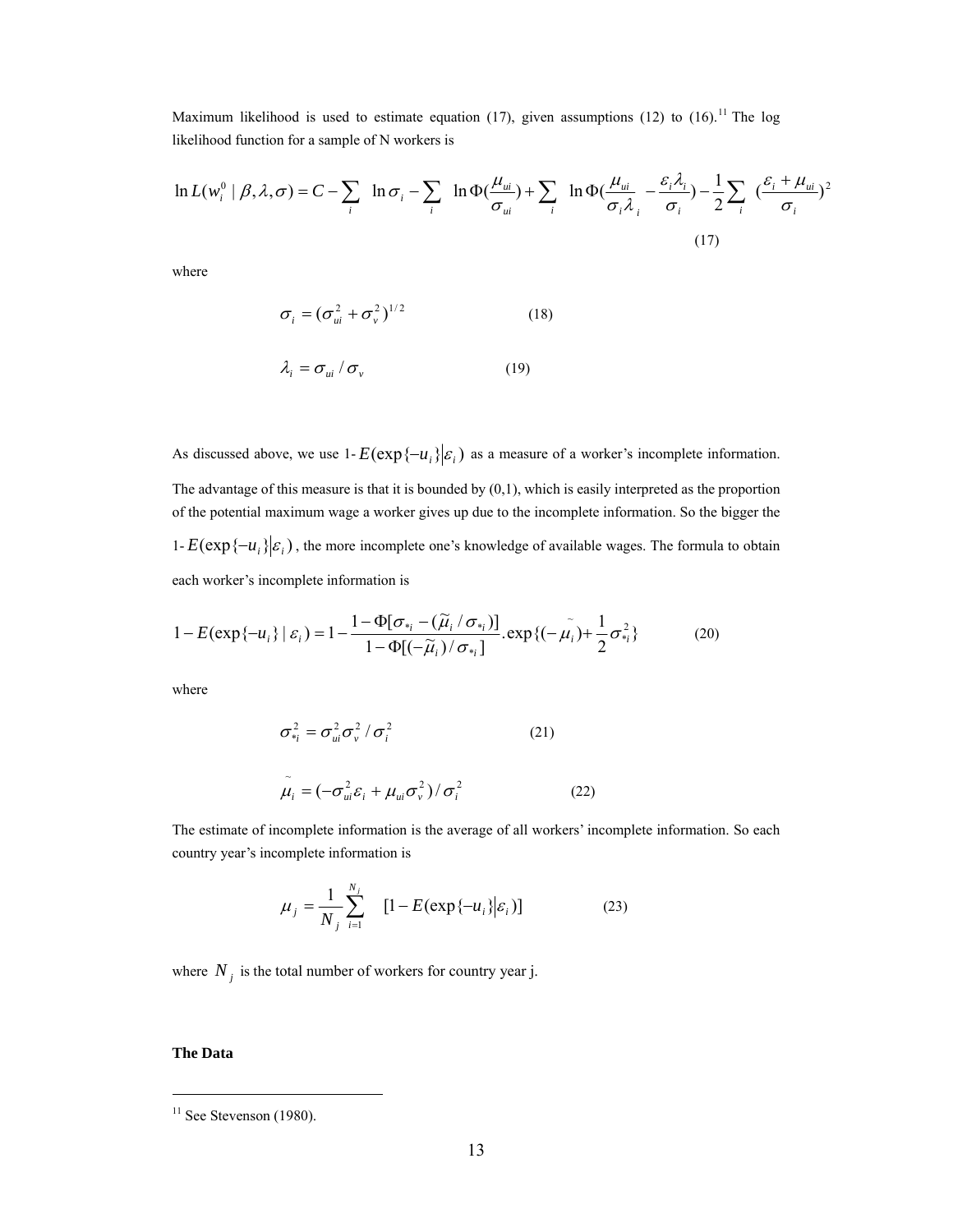Maximum likelihood is used to estimate equation (17), given assumptions (12) to (16).<sup>11</sup> The log likelihood function for a sample of N workers is

$$
\ln L(w_i^0 \mid \beta, \lambda, \sigma) = C - \sum_i \ln \sigma_i - \sum_i \ln \Phi(\frac{\mu_{ui}}{\sigma_{ui}}) + \sum_i \ln \Phi(\frac{\mu_{ui}}{\sigma_i \lambda_i} - \frac{\varepsilon_i \lambda_i}{\sigma_i}) - \frac{1}{2} \sum_i (\frac{\varepsilon_i + \mu_{ui}}{\sigma_i})^2
$$
\n(17)

where

$$
\sigma_i = (\sigma_{ui}^2 + \sigma_v^2)^{1/2}
$$
\n
$$
\lambda_i = \sigma_{ui} / \sigma_v
$$
\n(18)

As discussed above, we use  $1-E(\exp{\{-u_i\}}|\varepsilon_i)$  as a measure of a worker's incomplete information. The advantage of this measure is that it is bounded by  $(0,1)$ , which is easily interpreted as the proportion of the potential maximum wage a worker gives up due to the incomplete information. So the bigger the 1-  $E(\exp{-u_i}\vert \varepsilon_i)$ , the more incomplete one's knowledge of available wages. The formula to obtain each worker's incomplete information is

$$
1 - E(\exp\{-u_i\} \mid \varepsilon_i) = 1 - \frac{1 - \Phi[\sigma_{*_i} - (\widetilde{\mu}_i / \sigma_{*_i})]}{1 - \Phi[(-\widetilde{\mu}_i) / \sigma_{*_i}]} \cdot \exp\{(-\widetilde{\mu}_i) + \frac{1}{2}\sigma_{*_i}^2\}
$$
(20)

where

$$
\sigma_{*_{i}}^{2} = \sigma_{ui}^{2} \sigma_{v}^{2} / \sigma_{i}^{2}
$$
\n
$$
\tilde{\mu}_{i} = (-\sigma_{ui}^{2} \varepsilon_{i} + \mu_{ui} \sigma_{v}^{2}) / \sigma_{i}^{2}
$$
\n(22)

The estimate of incomplete information is the average of all workers' incomplete information. So each country year's incomplete information is

$$
\mu_j = \frac{1}{N_j} \sum_{i=1}^{N_j} \left[ 1 - E(\exp\{-u_i\} | \varepsilon_i) \right]
$$
 (23)

where  $N_i$  is the total number of workers for country year j.

**The Data** 

 $\overline{a}$ 

 $11$  See Stevenson (1980).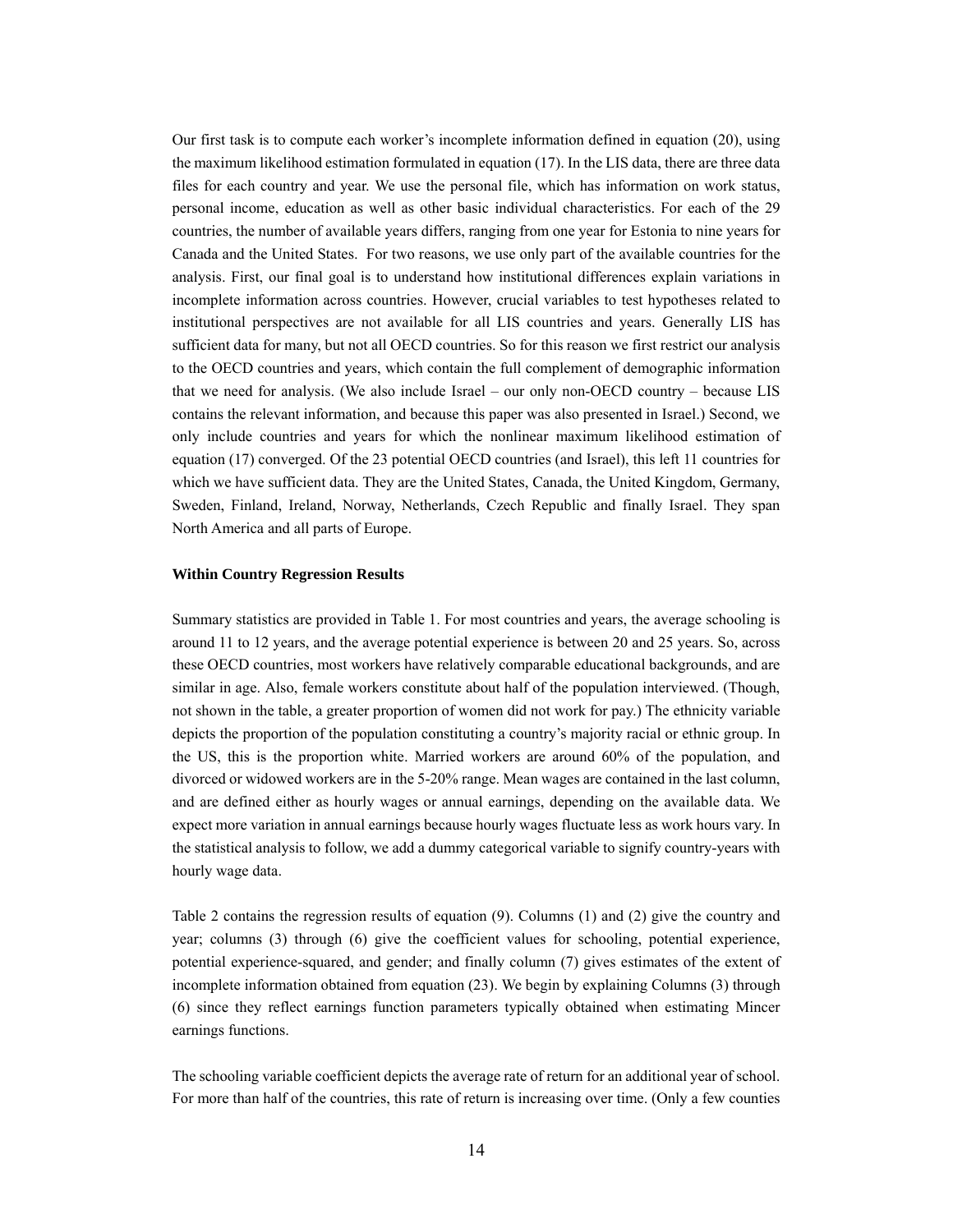Our first task is to compute each worker's incomplete information defined in equation (20), using the maximum likelihood estimation formulated in equation (17). In the LIS data, there are three data files for each country and year. We use the personal file, which has information on work status, personal income, education as well as other basic individual characteristics. For each of the 29 countries, the number of available years differs, ranging from one year for Estonia to nine years for Canada and the United States. For two reasons, we use only part of the available countries for the analysis. First, our final goal is to understand how institutional differences explain variations in incomplete information across countries. However, crucial variables to test hypotheses related to institutional perspectives are not available for all LIS countries and years. Generally LIS has sufficient data for many, but not all OECD countries. So for this reason we first restrict our analysis to the OECD countries and years, which contain the full complement of demographic information that we need for analysis. (We also include Israel – our only non-OECD country – because LIS contains the relevant information, and because this paper was also presented in Israel.) Second, we only include countries and years for which the nonlinear maximum likelihood estimation of equation (17) converged. Of the 23 potential OECD countries (and Israel), this left 11 countries for which we have sufficient data. They are the United States, Canada, the United Kingdom, Germany, Sweden, Finland, Ireland, Norway, Netherlands, Czech Republic and finally Israel. They span North America and all parts of Europe.

#### **Within Country Regression Results**

Summary statistics are provided in Table 1. For most countries and years, the average schooling is around 11 to 12 years, and the average potential experience is between 20 and 25 years. So, across these OECD countries, most workers have relatively comparable educational backgrounds, and are similar in age. Also, female workers constitute about half of the population interviewed. (Though, not shown in the table, a greater proportion of women did not work for pay.) The ethnicity variable depicts the proportion of the population constituting a country's majority racial or ethnic group. In the US, this is the proportion white. Married workers are around 60% of the population, and divorced or widowed workers are in the 5-20% range. Mean wages are contained in the last column, and are defined either as hourly wages or annual earnings, depending on the available data. We expect more variation in annual earnings because hourly wages fluctuate less as work hours vary. In the statistical analysis to follow, we add a dummy categorical variable to signify country-years with hourly wage data.

Table 2 contains the regression results of equation (9). Columns (1) and (2) give the country and year; columns (3) through (6) give the coefficient values for schooling, potential experience, potential experience-squared, and gender; and finally column (7) gives estimates of the extent of incomplete information obtained from equation (23). We begin by explaining Columns (3) through (6) since they reflect earnings function parameters typically obtained when estimating Mincer earnings functions.

The schooling variable coefficient depicts the average rate of return for an additional year of school. For more than half of the countries, this rate of return is increasing over time. (Only a few counties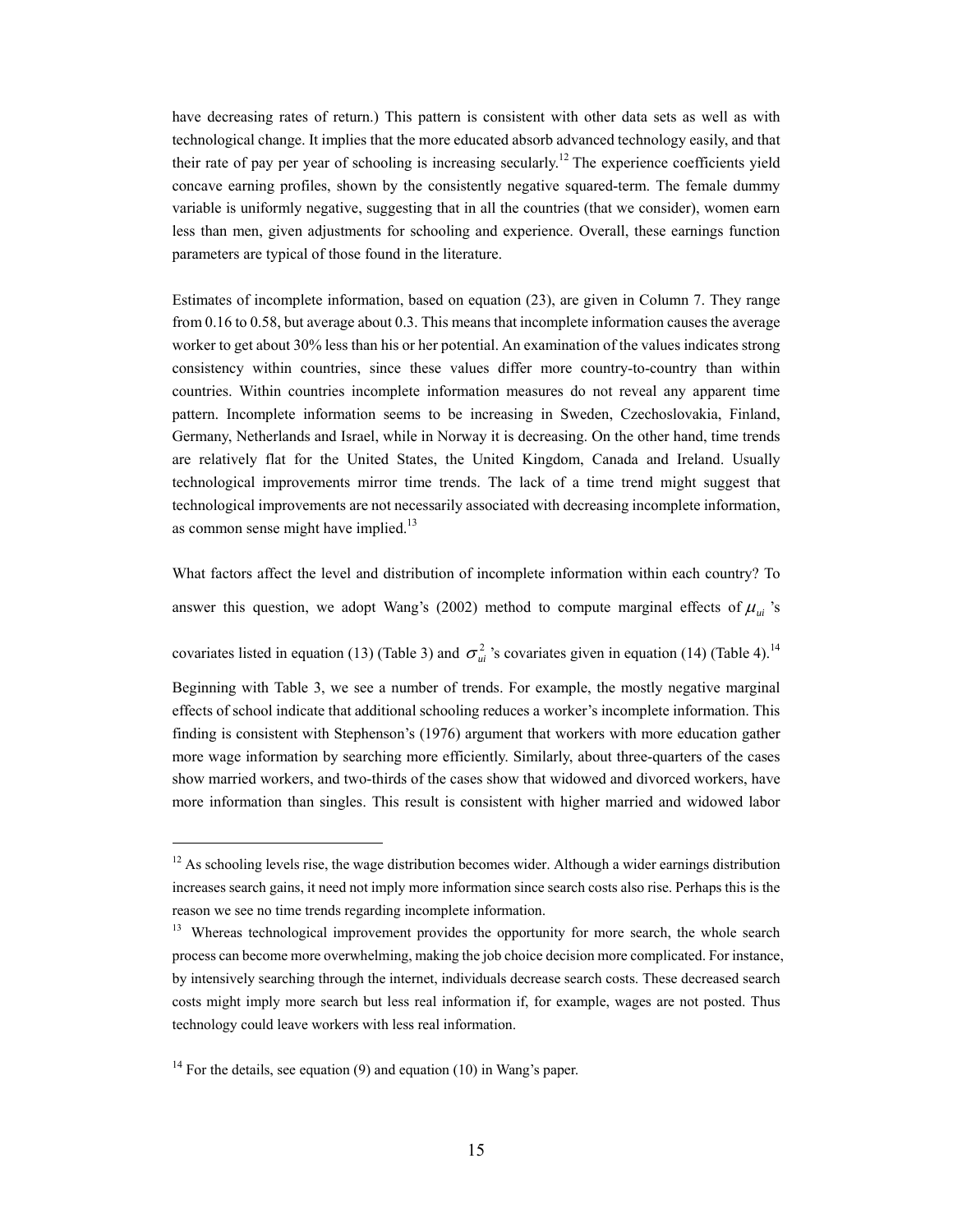have decreasing rates of return.) This pattern is consistent with other data sets as well as with technological change. It implies that the more educated absorb advanced technology easily, and that their rate of pay per year of schooling is increasing secularly.<sup>12</sup> The experience coefficients yield concave earning profiles, shown by the consistently negative squared-term. The female dummy variable is uniformly negative, suggesting that in all the countries (that we consider), women earn less than men, given adjustments for schooling and experience. Overall, these earnings function parameters are typical of those found in the literature.

Estimates of incomplete information, based on equation (23), are given in Column 7. They range from 0.16 to 0.58, but average about 0.3. This means that incomplete information causes the average worker to get about 30% less than his or her potential. An examination of the values indicates strong consistency within countries, since these values differ more country-to-country than within countries. Within countries incomplete information measures do not reveal any apparent time pattern. Incomplete information seems to be increasing in Sweden, Czechoslovakia, Finland, Germany, Netherlands and Israel, while in Norway it is decreasing. On the other hand, time trends are relatively flat for the United States, the United Kingdom, Canada and Ireland. Usually technological improvements mirror time trends. The lack of a time trend might suggest that technological improvements are not necessarily associated with decreasing incomplete information, as common sense might have implied. $13$ 

What factors affect the level and distribution of incomplete information within each country? To answer this question, we adopt Wang's (2002) method to compute marginal effects of  $\mu_{\mu}$ 's

covariates listed in equation (13) (Table 3) and  $\sigma_{ui}^2$ 's covariates given in equation (14) (Table 4).<sup>14</sup>

Beginning with Table 3, we see a number of trends. For example, the mostly negative marginal effects of school indicate that additional schooling reduces a worker's incomplete information. This finding is consistent with Stephenson's (1976) argument that workers with more education gather more wage information by searching more efficiently. Similarly, about three-quarters of the cases show married workers, and two-thirds of the cases show that widowed and divorced workers, have more information than singles. This result is consistent with higher married and widowed labor

l

 $12$  As schooling levels rise, the wage distribution becomes wider. Although a wider earnings distribution increases search gains, it need not imply more information since search costs also rise. Perhaps this is the reason we see no time trends regarding incomplete information.

<sup>&</sup>lt;sup>13</sup> Whereas technological improvement provides the opportunity for more search, the whole search process can become more overwhelming, making the job choice decision more complicated. For instance, by intensively searching through the internet, individuals decrease search costs. These decreased search costs might imply more search but less real information if, for example, wages are not posted. Thus technology could leave workers with less real information.

<sup>&</sup>lt;sup>14</sup> For the details, see equation (9) and equation (10) in Wang's paper.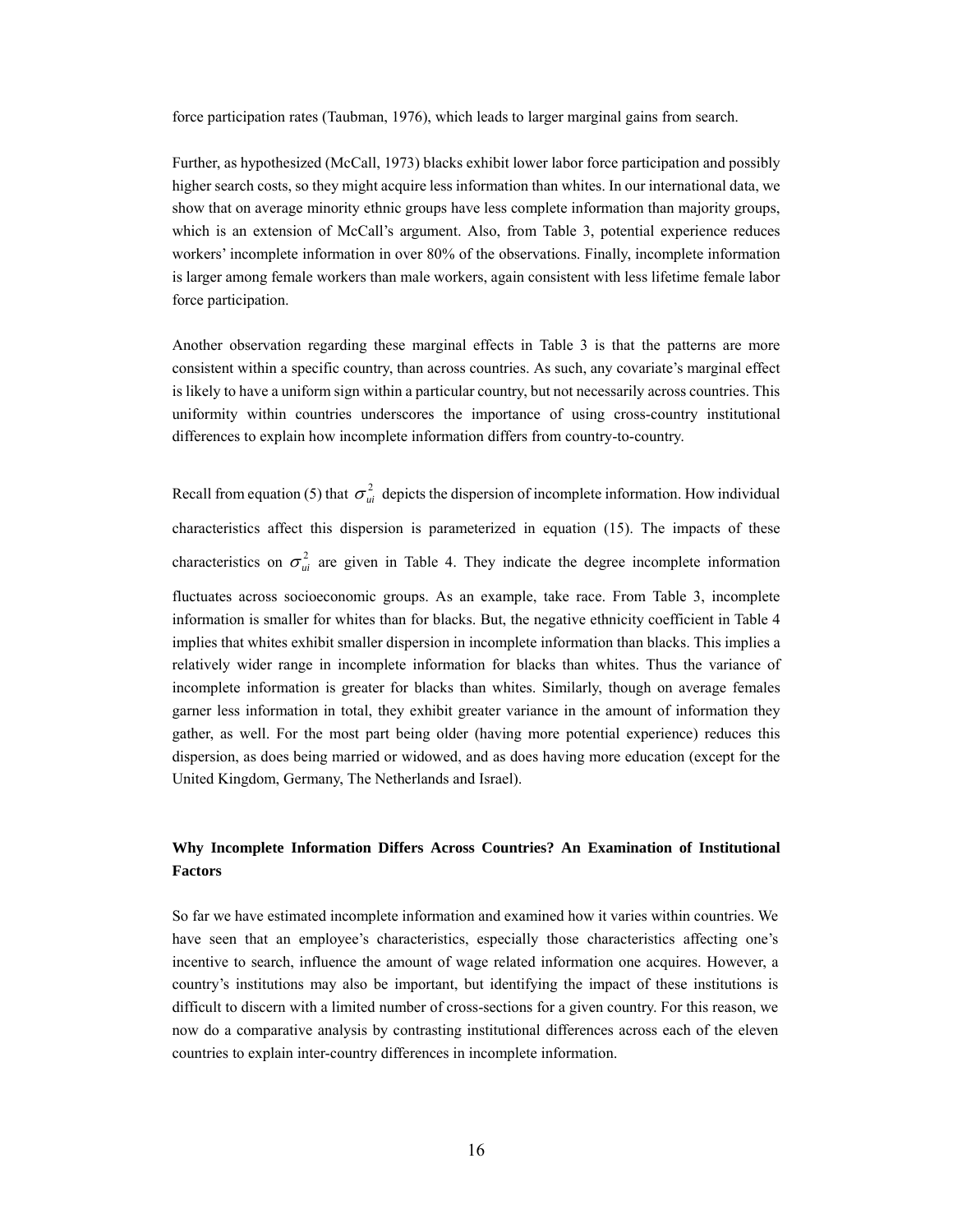force participation rates (Taubman, 1976), which leads to larger marginal gains from search.

Further, as hypothesized (McCall, 1973) blacks exhibit lower labor force participation and possibly higher search costs, so they might acquire less information than whites. In our international data, we show that on average minority ethnic groups have less complete information than majority groups, which is an extension of McCall's argument. Also, from Table 3, potential experience reduces workers' incomplete information in over 80% of the observations. Finally, incomplete information is larger among female workers than male workers, again consistent with less lifetime female labor force participation.

Another observation regarding these marginal effects in Table 3 is that the patterns are more consistent within a specific country, than across countries. As such, any covariate's marginal effect is likely to have a uniform sign within a particular country, but not necessarily across countries. This uniformity within countries underscores the importance of using cross-country institutional differences to explain how incomplete information differs from country-to-country.

Recall from equation (5) that  $\sigma_{ui}^2$  depicts the dispersion of incomplete information. How individual characteristics affect this dispersion is parameterized in equation (15). The impacts of these characteristics on  $\sigma_{ui}^2$  are given in Table 4. They indicate the degree incomplete information fluctuates across socioeconomic groups. As an example, take race. From Table 3, incomplete information is smaller for whites than for blacks. But, the negative ethnicity coefficient in Table 4 implies that whites exhibit smaller dispersion in incomplete information than blacks. This implies a relatively wider range in incomplete information for blacks than whites. Thus the variance of incomplete information is greater for blacks than whites. Similarly, though on average females garner less information in total, they exhibit greater variance in the amount of information they gather, as well. For the most part being older (having more potential experience) reduces this dispersion, as does being married or widowed, and as does having more education (except for the United Kingdom, Germany, The Netherlands and Israel).

# **Why Incomplete Information Differs Across Countries? An Examination of Institutional Factors**

So far we have estimated incomplete information and examined how it varies within countries. We have seen that an employee's characteristics, especially those characteristics affecting one's incentive to search, influence the amount of wage related information one acquires. However, a country's institutions may also be important, but identifying the impact of these institutions is difficult to discern with a limited number of cross-sections for a given country. For this reason, we now do a comparative analysis by contrasting institutional differences across each of the eleven countries to explain inter-country differences in incomplete information.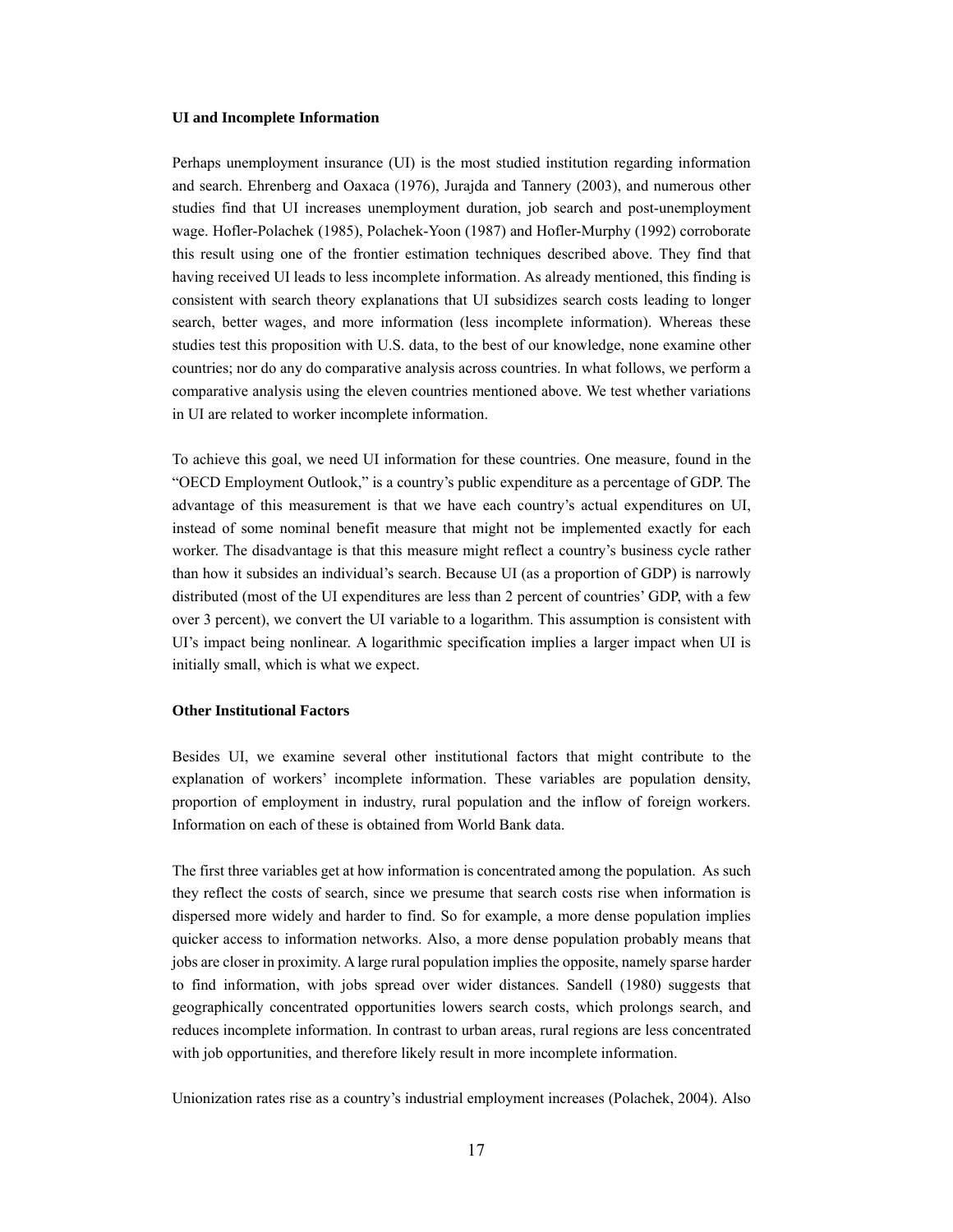#### **UI and Incomplete Information**

Perhaps unemployment insurance (UI) is the most studied institution regarding information and search. Ehrenberg and Oaxaca (1976), Jurajda and Tannery (2003), and numerous other studies find that UI increases unemployment duration, job search and post-unemployment wage. Hofler-Polachek (1985), Polachek-Yoon (1987) and Hofler-Murphy (1992) corroborate this result using one of the frontier estimation techniques described above. They find that having received UI leads to less incomplete information. As already mentioned, this finding is consistent with search theory explanations that UI subsidizes search costs leading to longer search, better wages, and more information (less incomplete information). Whereas these studies test this proposition with U.S. data, to the best of our knowledge, none examine other countries; nor do any do comparative analysis across countries. In what follows, we perform a comparative analysis using the eleven countries mentioned above. We test whether variations in UI are related to worker incomplete information.

To achieve this goal, we need UI information for these countries. One measure, found in the "OECD Employment Outlook," is a country's public expenditure as a percentage of GDP. The advantage of this measurement is that we have each country's actual expenditures on UI, instead of some nominal benefit measure that might not be implemented exactly for each worker. The disadvantage is that this measure might reflect a country's business cycle rather than how it subsides an individual's search. Because UI (as a proportion of GDP) is narrowly distributed (most of the UI expenditures are less than 2 percent of countries' GDP, with a few over 3 percent), we convert the UI variable to a logarithm. This assumption is consistent with UI's impact being nonlinear. A logarithmic specification implies a larger impact when UI is initially small, which is what we expect.

#### **Other Institutional Factors**

Besides UI, we examine several other institutional factors that might contribute to the explanation of workers' incomplete information. These variables are population density, proportion of employment in industry, rural population and the inflow of foreign workers. Information on each of these is obtained from World Bank data.

The first three variables get at how information is concentrated among the population. As such they reflect the costs of search, since we presume that search costs rise when information is dispersed more widely and harder to find. So for example, a more dense population implies quicker access to information networks. Also, a more dense population probably means that jobs are closer in proximity. A large rural population implies the opposite, namely sparse harder to find information, with jobs spread over wider distances. Sandell (1980) suggests that geographically concentrated opportunities lowers search costs, which prolongs search, and reduces incomplete information. In contrast to urban areas, rural regions are less concentrated with job opportunities, and therefore likely result in more incomplete information.

Unionization rates rise as a country's industrial employment increases (Polachek, 2004). Also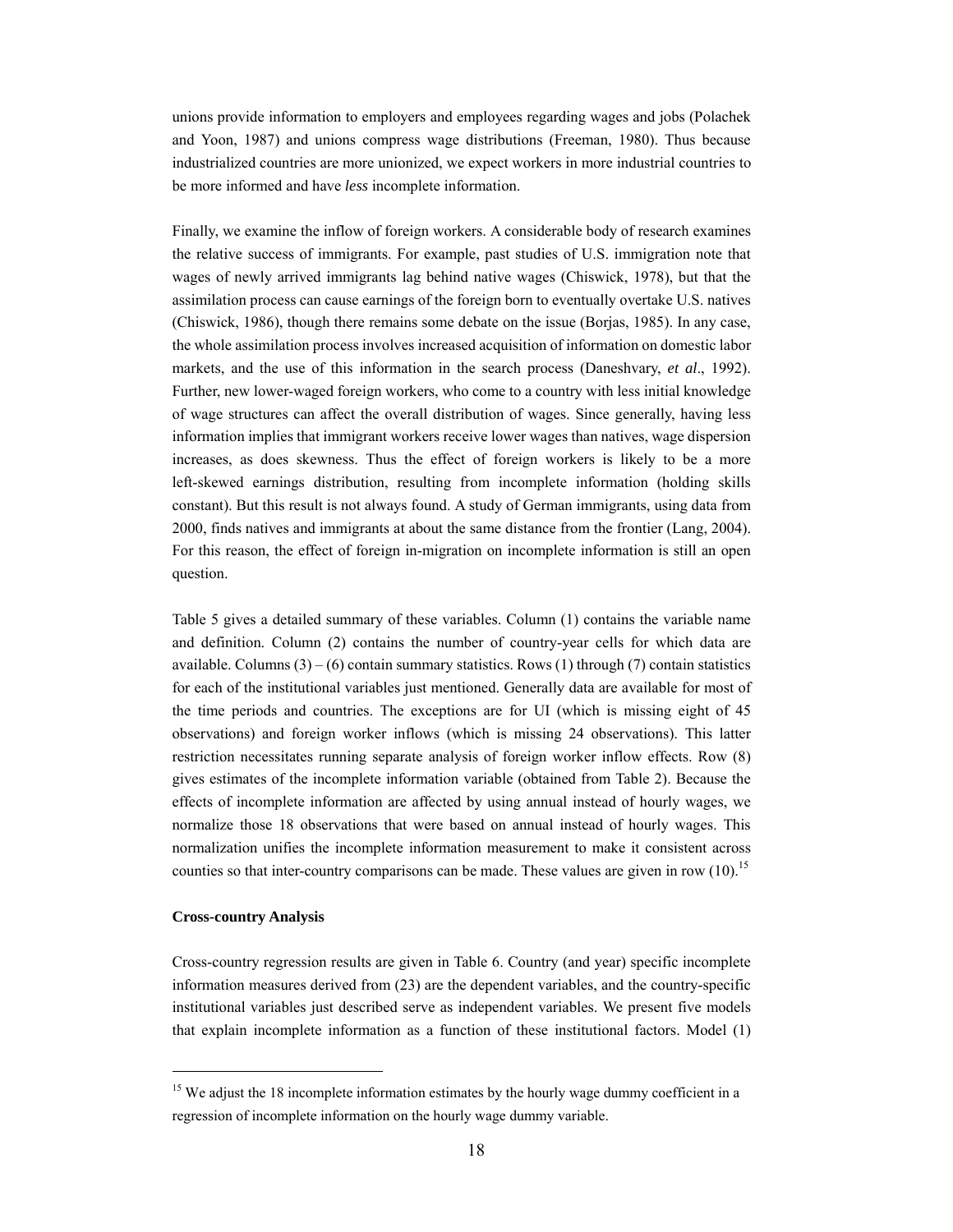unions provide information to employers and employees regarding wages and jobs (Polachek and Yoon, 1987) and unions compress wage distributions (Freeman, 1980). Thus because industrialized countries are more unionized, we expect workers in more industrial countries to be more informed and have *less* incomplete information.

Finally, we examine the inflow of foreign workers. A considerable body of research examines the relative success of immigrants. For example, past studies of U.S. immigration note that wages of newly arrived immigrants lag behind native wages (Chiswick, 1978), but that the assimilation process can cause earnings of the foreign born to eventually overtake U.S. natives (Chiswick, 1986), though there remains some debate on the issue (Borjas, 1985). In any case, the whole assimilation process involves increased acquisition of information on domestic labor markets, and the use of this information in the search process (Daneshvary, *et al*., 1992). Further, new lower-waged foreign workers, who come to a country with less initial knowledge of wage structures can affect the overall distribution of wages. Since generally, having less information implies that immigrant workers receive lower wages than natives, wage dispersion increases, as does skewness. Thus the effect of foreign workers is likely to be a more left-skewed earnings distribution, resulting from incomplete information (holding skills constant). But this result is not always found. A study of German immigrants, using data from 2000, finds natives and immigrants at about the same distance from the frontier (Lang, 2004). For this reason, the effect of foreign in-migration on incomplete information is still an open question.

Table 5 gives a detailed summary of these variables. Column (1) contains the variable name and definition. Column (2) contains the number of country-year cells for which data are available. Columns  $(3) - (6)$  contain summary statistics. Rows  $(1)$  through  $(7)$  contain statistics for each of the institutional variables just mentioned. Generally data are available for most of the time periods and countries. The exceptions are for UI (which is missing eight of 45 observations) and foreign worker inflows (which is missing 24 observations). This latter restriction necessitates running separate analysis of foreign worker inflow effects. Row (8) gives estimates of the incomplete information variable (obtained from Table 2). Because the effects of incomplete information are affected by using annual instead of hourly wages, we normalize those 18 observations that were based on annual instead of hourly wages. This normalization unifies the incomplete information measurement to make it consistent across counties so that inter-country comparisons can be made. These values are given in row  $(10)$ .<sup>15</sup>

### **Cross-country Analysis**

 $\overline{a}$ 

Cross-country regression results are given in Table 6. Country (and year) specific incomplete information measures derived from (23) are the dependent variables, and the country-specific institutional variables just described serve as independent variables. We present five models that explain incomplete information as a function of these institutional factors. Model (1)

<sup>&</sup>lt;sup>15</sup> We adjust the 18 incomplete information estimates by the hourly wage dummy coefficient in a regression of incomplete information on the hourly wage dummy variable.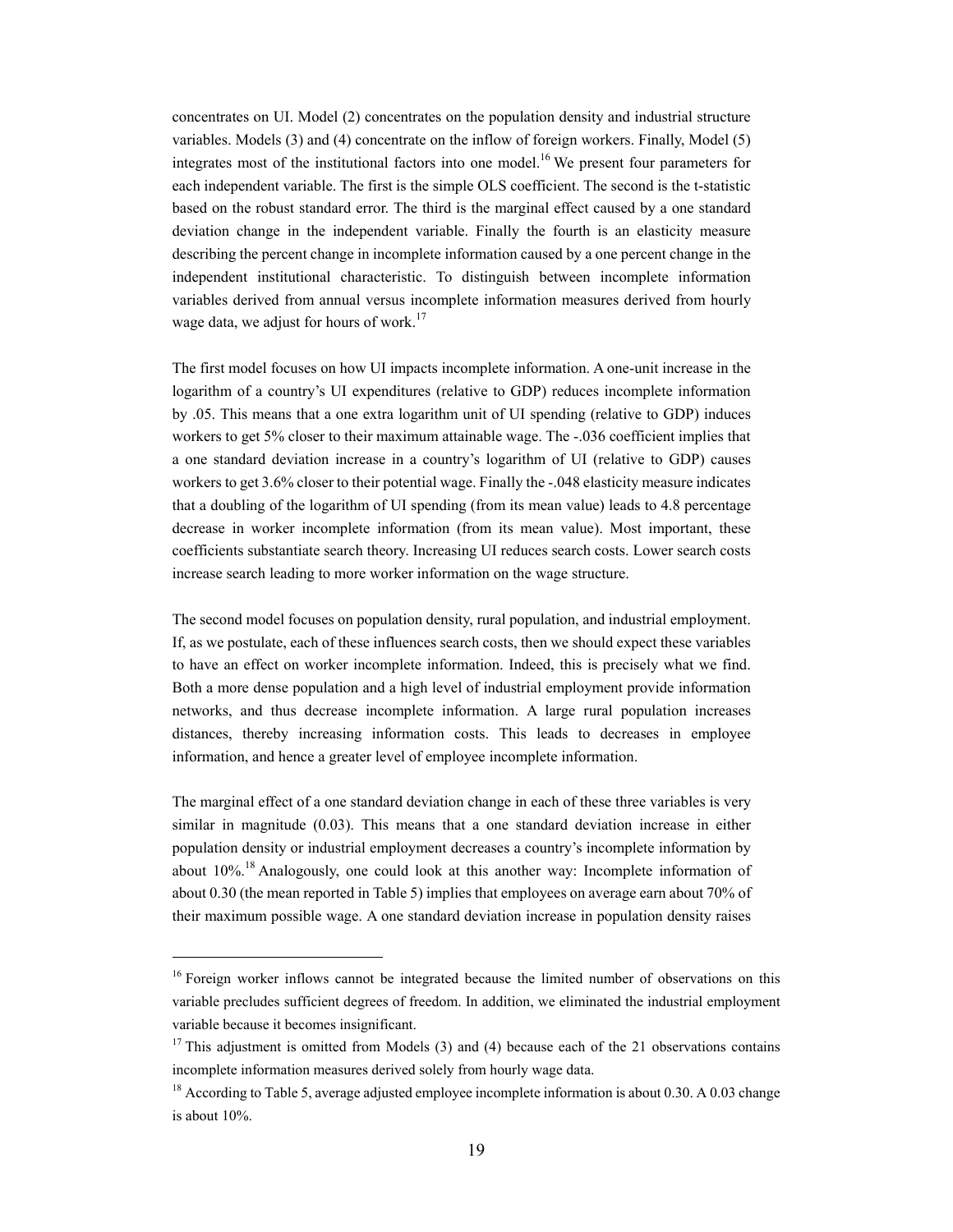concentrates on UI. Model (2) concentrates on the population density and industrial structure variables. Models (3) and (4) concentrate on the inflow of foreign workers. Finally, Model (5) integrates most of the institutional factors into one model.<sup>16</sup> We present four parameters for each independent variable. The first is the simple OLS coefficient. The second is the t-statistic based on the robust standard error. The third is the marginal effect caused by a one standard deviation change in the independent variable. Finally the fourth is an elasticity measure describing the percent change in incomplete information caused by a one percent change in the independent institutional characteristic. To distinguish between incomplete information variables derived from annual versus incomplete information measures derived from hourly wage data, we adjust for hours of work.<sup>17</sup>

The first model focuses on how UI impacts incomplete information. A one-unit increase in the logarithm of a country's UI expenditures (relative to GDP) reduces incomplete information by .05. This means that a one extra logarithm unit of UI spending (relative to GDP) induces workers to get 5% closer to their maximum attainable wage. The -.036 coefficient implies that a one standard deviation increase in a country's logarithm of UI (relative to GDP) causes workers to get 3.6% closer to their potential wage. Finally the -.048 elasticity measure indicates that a doubling of the logarithm of UI spending (from its mean value) leads to 4.8 percentage decrease in worker incomplete information (from its mean value). Most important, these coefficients substantiate search theory. Increasing UI reduces search costs. Lower search costs increase search leading to more worker information on the wage structure.

The second model focuses on population density, rural population, and industrial employment. If, as we postulate, each of these influences search costs, then we should expect these variables to have an effect on worker incomplete information. Indeed, this is precisely what we find. Both a more dense population and a high level of industrial employment provide information networks, and thus decrease incomplete information. A large rural population increases distances, thereby increasing information costs. This leads to decreases in employee information, and hence a greater level of employee incomplete information.

The marginal effect of a one standard deviation change in each of these three variables is very similar in magnitude (0.03). This means that a one standard deviation increase in either population density or industrial employment decreases a country's incomplete information by about  $10\%$ <sup>18</sup> Analogously, one could look at this another way: Incomplete information of about 0.30 (the mean reported in Table 5) implies that employees on average earn about 70% of their maximum possible wage. A one standard deviation increase in population density raises

 $\overline{a}$ 

<sup>&</sup>lt;sup>16</sup> Foreign worker inflows cannot be integrated because the limited number of observations on this variable precludes sufficient degrees of freedom. In addition, we eliminated the industrial employment variable because it becomes insignificant.

 $17$  This adjustment is omitted from Models (3) and (4) because each of the 21 observations contains incomplete information measures derived solely from hourly wage data.

<sup>&</sup>lt;sup>18</sup> According to Table 5, average adjusted employee incomplete information is about 0.30. A 0.03 change is about 10%.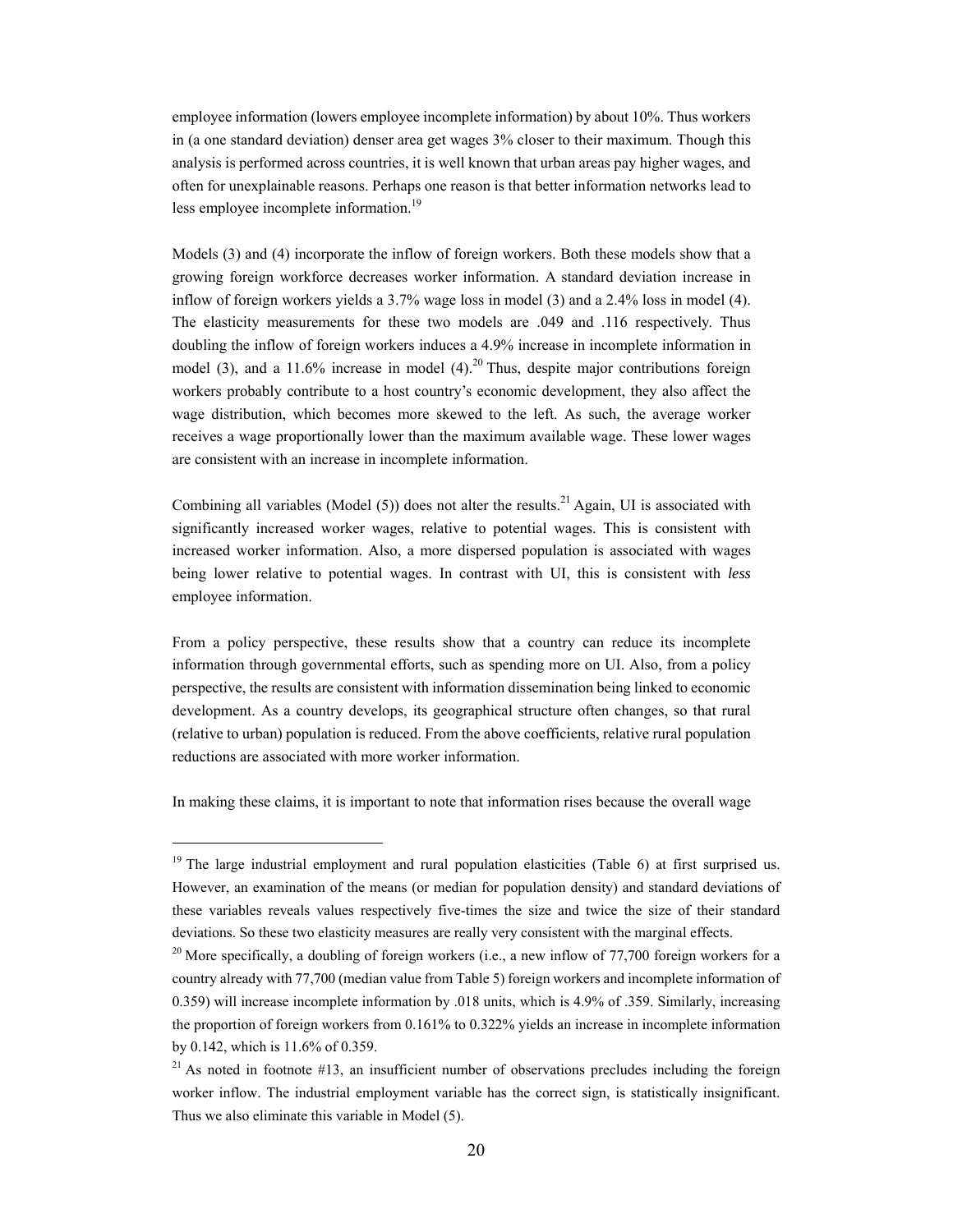employee information (lowers employee incomplete information) by about 10%. Thus workers in (a one standard deviation) denser area get wages 3% closer to their maximum. Though this analysis is performed across countries, it is well known that urban areas pay higher wages, and often for unexplainable reasons. Perhaps one reason is that better information networks lead to less employee incomplete information.<sup>19</sup>

Models (3) and (4) incorporate the inflow of foreign workers. Both these models show that a growing foreign workforce decreases worker information. A standard deviation increase in inflow of foreign workers yields a 3.7% wage loss in model (3) and a 2.4% loss in model (4). The elasticity measurements for these two models are .049 and .116 respectively. Thus doubling the inflow of foreign workers induces a 4.9% increase in incomplete information in model (3), and a 11.6% increase in model (4).<sup>20</sup> Thus, despite major contributions foreign workers probably contribute to a host country's economic development, they also affect the wage distribution, which becomes more skewed to the left. As such, the average worker receives a wage proportionally lower than the maximum available wage. These lower wages are consistent with an increase in incomplete information.

Combining all variables (Model (5)) does not alter the results.<sup>21</sup> Again, UI is associated with significantly increased worker wages, relative to potential wages. This is consistent with increased worker information. Also, a more dispersed population is associated with wages being lower relative to potential wages. In contrast with UI, this is consistent with *less* employee information.

From a policy perspective, these results show that a country can reduce its incomplete information through governmental efforts, such as spending more on UI. Also, from a policy perspective, the results are consistent with information dissemination being linked to economic development. As a country develops, its geographical structure often changes, so that rural (relative to urban) population is reduced. From the above coefficients, relative rural population reductions are associated with more worker information.

In making these claims, it is important to note that information rises because the overall wage

l

<sup>&</sup>lt;sup>19</sup> The large industrial employment and rural population elasticities (Table 6) at first surprised us. However, an examination of the means (or median for population density) and standard deviations of these variables reveals values respectively five-times the size and twice the size of their standard deviations. So these two elasticity measures are really very consistent with the marginal effects.

 $20$  More specifically, a doubling of foreign workers (i.e., a new inflow of 77,700 foreign workers for a country already with 77,700 (median value from Table 5) foreign workers and incomplete information of 0.359) will increase incomplete information by .018 units, which is 4.9% of .359. Similarly, increasing the proportion of foreign workers from 0.161% to 0.322% yields an increase in incomplete information by 0.142, which is 11.6% of 0.359.

 $21$  As noted in footnote #13, an insufficient number of observations precludes including the foreign worker inflow. The industrial employment variable has the correct sign, is statistically insignificant. Thus we also eliminate this variable in Model (5).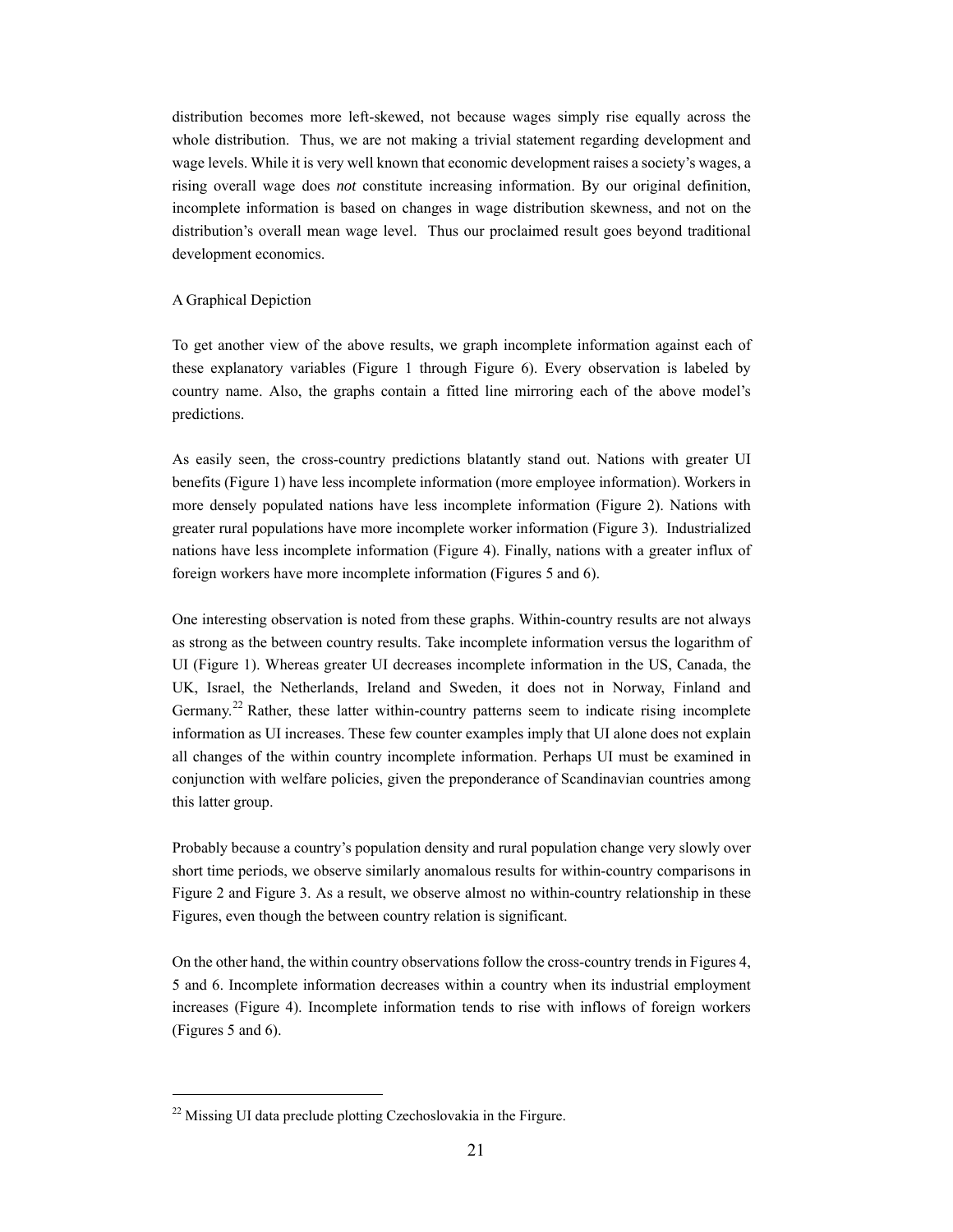distribution becomes more left-skewed, not because wages simply rise equally across the whole distribution. Thus, we are not making a trivial statement regarding development and wage levels. While it is very well known that economic development raises a society's wages, a rising overall wage does *not* constitute increasing information. By our original definition, incomplete information is based on changes in wage distribution skewness, and not on the distribution's overall mean wage level. Thus our proclaimed result goes beyond traditional development economics.

#### A Graphical Depiction

To get another view of the above results, we graph incomplete information against each of these explanatory variables (Figure 1 through Figure 6). Every observation is labeled by country name. Also, the graphs contain a fitted line mirroring each of the above model's predictions.

As easily seen, the cross-country predictions blatantly stand out. Nations with greater UI benefits (Figure 1) have less incomplete information (more employee information). Workers in more densely populated nations have less incomplete information (Figure 2). Nations with greater rural populations have more incomplete worker information (Figure 3). Industrialized nations have less incomplete information (Figure 4). Finally, nations with a greater influx of foreign workers have more incomplete information (Figures 5 and 6).

One interesting observation is noted from these graphs. Within-country results are not always as strong as the between country results. Take incomplete information versus the logarithm of UI (Figure 1). Whereas greater UI decreases incomplete information in the US, Canada, the UK, Israel, the Netherlands, Ireland and Sweden, it does not in Norway, Finland and Germany.<sup>22</sup> Rather, these latter within-country patterns seem to indicate rising incomplete information as UI increases. These few counter examples imply that UI alone does not explain all changes of the within country incomplete information. Perhaps UI must be examined in conjunction with welfare policies, given the preponderance of Scandinavian countries among this latter group.

Probably because a country's population density and rural population change very slowly over short time periods, we observe similarly anomalous results for within-country comparisons in Figure 2 and Figure 3. As a result, we observe almost no within-country relationship in these Figures, even though the between country relation is significant.

On the other hand, the within country observations follow the cross-country trends in Figures 4, 5 and 6. Incomplete information decreases within a country when its industrial employment increases (Figure 4). Incomplete information tends to rise with inflows of foreign workers (Figures 5 and 6).

 $\overline{a}$ 

 $^{22}$  Missing UI data preclude plotting Czechoslovakia in the Firgure.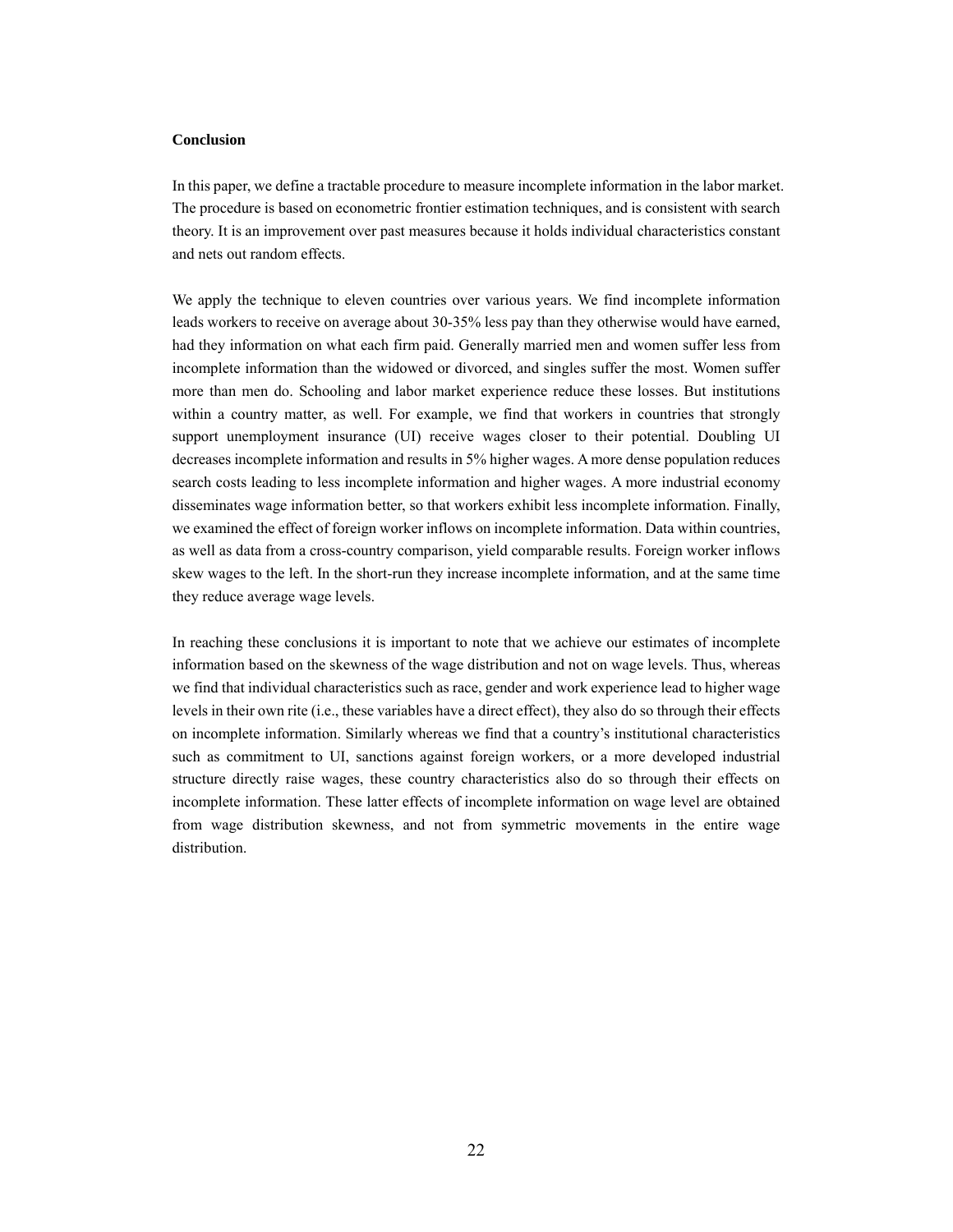#### **Conclusion**

In this paper, we define a tractable procedure to measure incomplete information in the labor market. The procedure is based on econometric frontier estimation techniques, and is consistent with search theory. It is an improvement over past measures because it holds individual characteristics constant and nets out random effects.

We apply the technique to eleven countries over various years. We find incomplete information leads workers to receive on average about 30-35% less pay than they otherwise would have earned, had they information on what each firm paid. Generally married men and women suffer less from incomplete information than the widowed or divorced, and singles suffer the most. Women suffer more than men do. Schooling and labor market experience reduce these losses. But institutions within a country matter, as well. For example, we find that workers in countries that strongly support unemployment insurance (UI) receive wages closer to their potential. Doubling UI decreases incomplete information and results in 5% higher wages. A more dense population reduces search costs leading to less incomplete information and higher wages. A more industrial economy disseminates wage information better, so that workers exhibit less incomplete information. Finally, we examined the effect of foreign worker inflows on incomplete information. Data within countries, as well as data from a cross-country comparison, yield comparable results. Foreign worker inflows skew wages to the left. In the short-run they increase incomplete information, and at the same time they reduce average wage levels.

In reaching these conclusions it is important to note that we achieve our estimates of incomplete information based on the skewness of the wage distribution and not on wage levels. Thus, whereas we find that individual characteristics such as race, gender and work experience lead to higher wage levels in their own rite (i.e., these variables have a direct effect), they also do so through their effects on incomplete information. Similarly whereas we find that a country's institutional characteristics such as commitment to UI, sanctions against foreign workers, or a more developed industrial structure directly raise wages, these country characteristics also do so through their effects on incomplete information. These latter effects of incomplete information on wage level are obtained from wage distribution skewness, and not from symmetric movements in the entire wage distribution.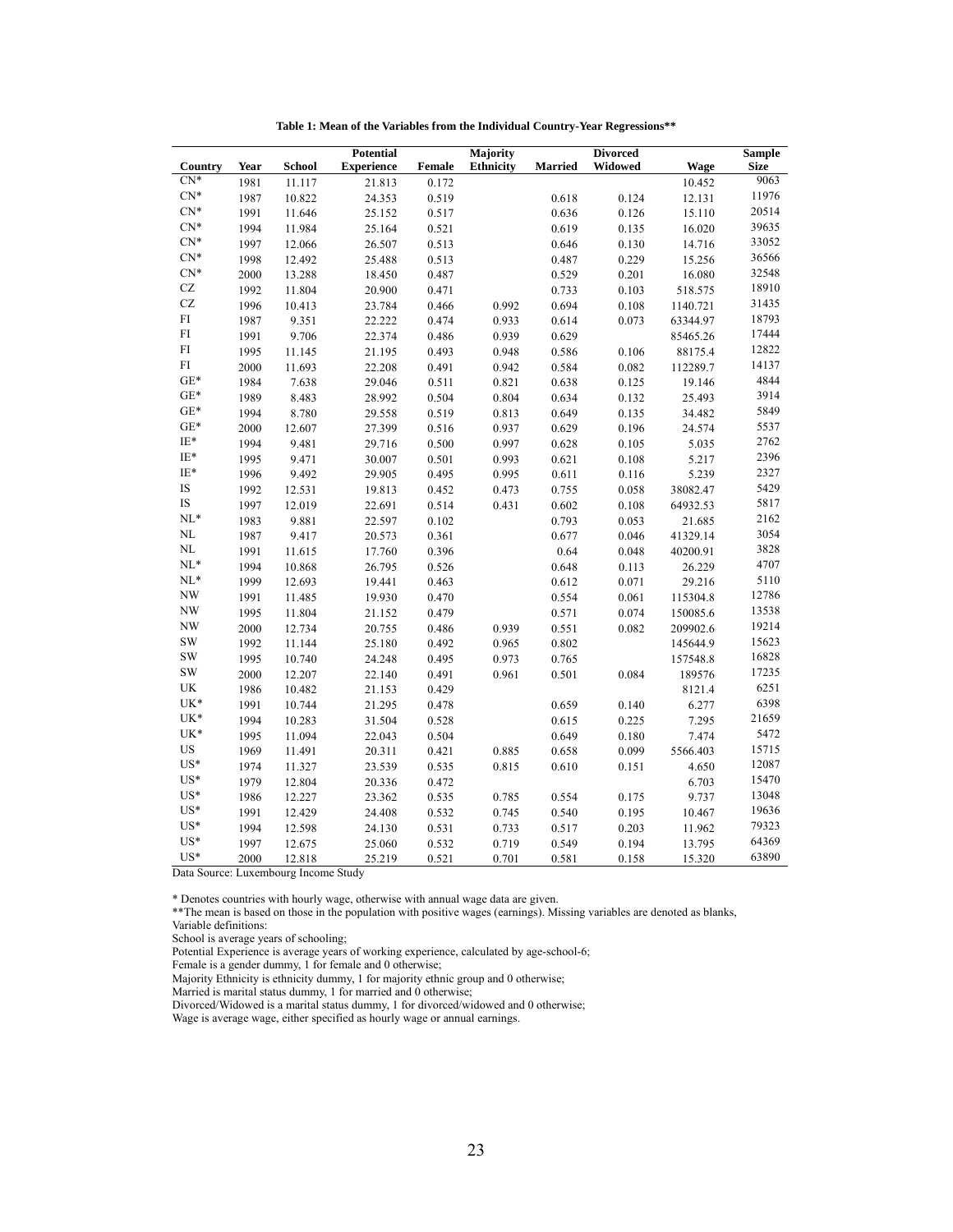|           |      |               | <b>Potential</b>  |        | Majority         |                | <b>Divorced</b> |          | <b>Sample</b> |
|-----------|------|---------------|-------------------|--------|------------------|----------------|-----------------|----------|---------------|
| Country   | Year | <b>School</b> | <b>Experience</b> | Female | <b>Ethnicity</b> | <b>Married</b> | Widowed         | Wage     | <b>Size</b>   |
| $CN*$     | 1981 | 11.117        | 21.813            | 0.172  |                  |                |                 | 10.452   | 9063          |
| $CN*$     | 1987 | 10.822        | 24.353            | 0.519  |                  | 0.618          | 0.124           | 12.131   | 11976         |
| $CN*$     | 1991 | 11.646        | 25.152            | 0.517  |                  | 0.636          | 0.126           | 15.110   | 20514         |
| $CN*$     | 1994 | 11.984        | 25.164            | 0.521  |                  | 0.619          | 0.135           | 16.020   | 39635         |
| $CN*$     | 1997 | 12.066        | 26.507            | 0.513  |                  | 0.646          | 0.130           | 14.716   | 33052         |
| $CN*$     | 1998 | 12.492        | 25.488            | 0.513  |                  | 0.487          | 0.229           | 15.256   | 36566         |
| $CN*$     | 2000 | 13.288        | 18.450            | 0.487  |                  | 0.529          | 0.201           | 16.080   | 32548         |
| CZ        | 1992 | 11.804        | 20.900            | 0.471  |                  | 0.733          | 0.103           | 518.575  | 18910         |
| CZ        | 1996 | 10.413        | 23.784            | 0.466  | 0.992            | 0.694          | 0.108           | 1140.721 | 31435         |
| FI        | 1987 | 9.351         | 22.222            | 0.474  | 0.933            | 0.614          | 0.073           | 63344.97 | 18793         |
| FI        | 1991 | 9.706         | 22.374            | 0.486  | 0.939            | 0.629          |                 | 85465.26 | 17444         |
| FI        | 1995 | 11.145        | 21.195            | 0.493  | 0.948            | 0.586          | 0.106           | 88175.4  | 12822         |
| FI        | 2000 | 11.693        | 22.208            | 0.491  | 0.942            | 0.584          | 0.082           | 112289.7 | 14137         |
| $GE*$     | 1984 | 7.638         | 29.046            | 0.511  | 0.821            | 0.638          | 0.125           | 19.146   | 4844          |
| $GE*$     | 1989 | 8.483         | 28.992            | 0.504  | 0.804            | 0.634          | 0.132           | 25.493   | 3914          |
| $GE*$     | 1994 | 8.780         | 29.558            | 0.519  | 0.813            | 0.649          | 0.135           | 34.482   | 5849          |
| $GE*$     | 2000 | 12.607        | 27.399            | 0.516  | 0.937            | 0.629          | 0.196           | 24.574   | 5537          |
| IE*       | 1994 | 9.481         | 29.716            | 0.500  | 0.997            | 0.628          | 0.105           | 5.035    | 2762          |
| IE*       | 1995 | 9.471         | 30.007            | 0.501  | 0.993            | 0.621          | 0.108           | 5.217    | 2396          |
| IE*       | 1996 | 9.492         | 29.905            | 0.495  | 0.995            | 0.611          | 0.116           | 5.239    | 2327          |
| IS        | 1992 | 12.531        | 19.813            | 0.452  | 0.473            | 0.755          | 0.058           | 38082.47 | 5429          |
| IS        | 1997 | 12.019        | 22.691            | 0.514  | 0.431            | 0.602          | 0.108           | 64932.53 | 5817          |
| $NL^*$    | 1983 | 9.881         | 22.597            | 0.102  |                  | 0.793          | 0.053           | 21.685   | 2162          |
| $\rm NL$  | 1987 | 9.417         | 20.573            | 0.361  |                  | 0.677          | 0.046           | 41329.14 | 3054          |
| NL        | 1991 | 11.615        | 17.760            | 0.396  |                  | 0.64           | 0.048           | 40200.91 | 3828          |
| $NL*$     | 1994 | 10.868        | 26.795            | 0.526  |                  | 0.648          | 0.113           | 26.229   | 4707          |
| $NL^*$    | 1999 | 12.693        | 19.441            | 0.463  |                  | 0.612          | 0.071           | 29.216   | 5110          |
| NW        | 1991 | 11.485        | 19.930            | 0.470  |                  | 0.554          | 0.061           | 115304.8 | 12786         |
| NW        | 1995 | 11.804        | 21.152            | 0.479  |                  | 0.571          | 0.074           | 150085.6 | 13538         |
| NW        | 2000 | 12.734        | 20.755            | 0.486  | 0.939            | 0.551          | 0.082           | 209902.6 | 19214         |
| <b>SW</b> | 1992 | 11.144        | 25.180            | 0.492  | 0.965            | 0.802          |                 | 145644.9 | 15623         |
| <b>SW</b> | 1995 | 10.740        | 24.248            | 0.495  | 0.973            | 0.765          |                 | 157548.8 | 16828         |
| <b>SW</b> | 2000 | 12.207        | 22.140            | 0.491  | 0.961            | 0.501          | 0.084           | 189576   | 17235         |
| UK        | 1986 | 10.482        | 21.153            | 0.429  |                  |                |                 | 8121.4   | 6251          |
| UK*       | 1991 | 10.744        | 21.295            | 0.478  |                  | 0.659          | 0.140           | 6.277    | 6398          |
| UK*       | 1994 | 10.283        | 31.504            | 0.528  |                  | 0.615          | 0.225           | 7.295    | 21659         |
| UK*       | 1995 | 11.094        | 22.043            | 0.504  |                  | 0.649          | 0.180           | 7.474    | 5472          |
| US        | 1969 | 11.491        | 20.311            | 0.421  | 0.885            | 0.658          | 0.099           | 5566.403 | 15715         |
| US*       | 1974 | 11.327        | 23.539            | 0.535  | 0.815            | 0.610          | 0.151           | 4.650    | 12087         |
| US*       | 1979 | 12.804        | 20.336            | 0.472  |                  |                |                 | 6.703    | 15470         |
| $US^*$    | 1986 | 12.227        | 23.362            | 0.535  | 0.785            | 0.554          | 0.175           | 9.737    | 13048         |
| US*       | 1991 | 12.429        | 24.408            | 0.532  | 0.745            | 0.540          | 0.195           | 10.467   | 19636         |
| $US^*$    | 1994 | 12.598        | 24.130            | 0.531  | 0.733            | 0.517          | 0.203           | 11.962   | 79323         |
| US*       | 1997 | 12.675        | 25.060            | 0.532  | 0.719            | 0.549          | 0.194           | 13.795   | 64369         |
| $US^*$    | 2000 | 12.818        | 25.219            | 0.521  | 0.701            | 0.581          | 0.158           | 15.320   | 63890         |

**Table 1: Mean of the Variables from the Individual Country-Year Regressions\*\*** 

Data Source: Luxembourg Income Study

\* Denotes countries with hourly wage, otherwise with annual wage data are given.

\*\*The mean is based on those in the population with positive wages (earnings). Missing variables are denoted as blanks,

Variable definitions:

School is average years of schooling; Potential Experience is average years of working experience, calculated by age-school-6;

Female is a gender dummy, 1 for female and 0 otherwise;

Majority Ethnicity is ethnicity dummy, 1 for majority ethnic group and 0 otherwise;

Married is marital status dummy, 1 for married and 0 otherwise;

Divorced/Widowed is a marital status dummy, 1 for divorced/widowed and 0 otherwise;

Wage is average wage, either specified as hourly wage or annual earnings.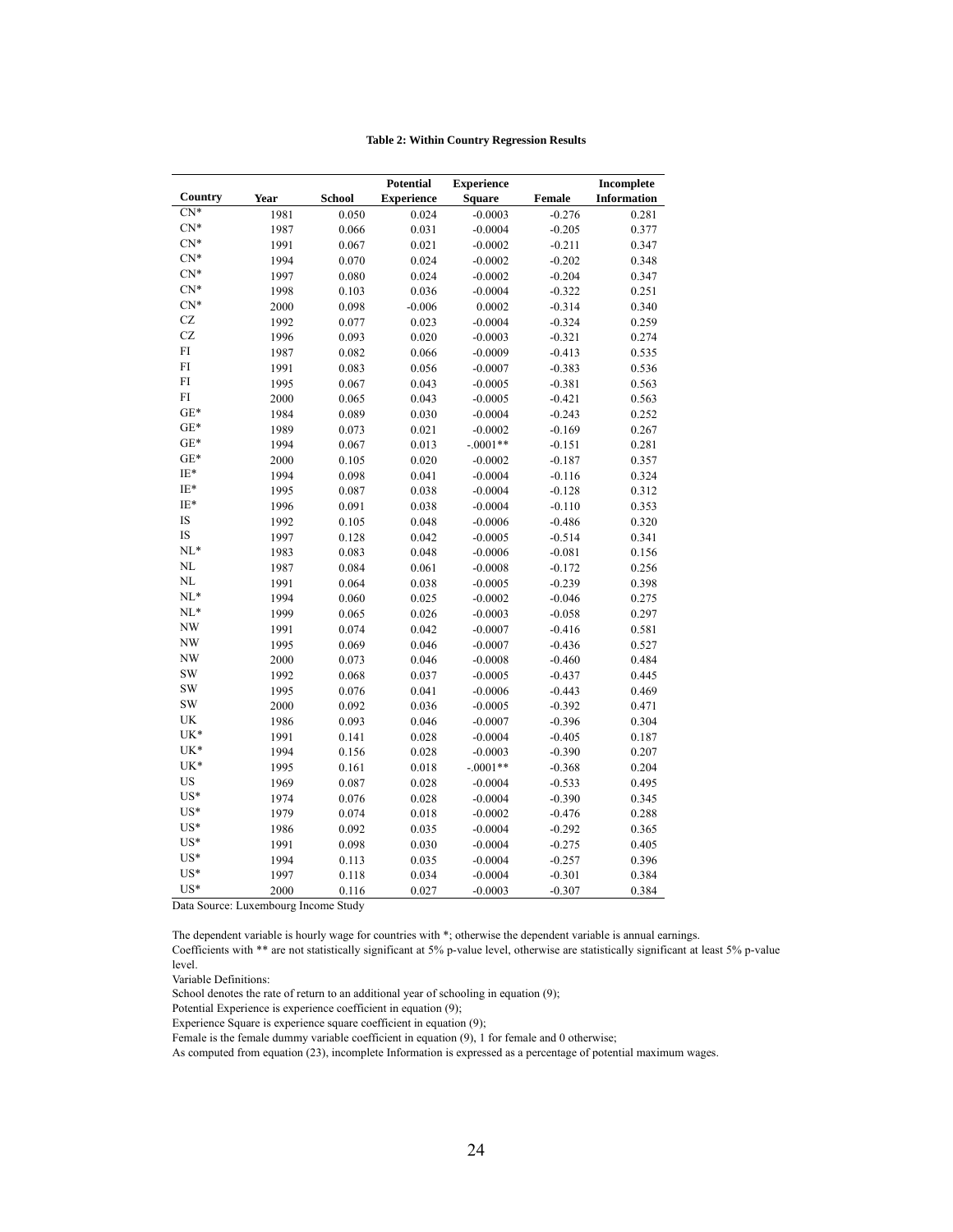#### **Table 2: Within Country Regression Results**

|                         |      |               | Potential         | <b>Experience</b> |          | Incomplete         |
|-------------------------|------|---------------|-------------------|-------------------|----------|--------------------|
| Country                 | Year | <b>School</b> | <b>Experience</b> | <b>Square</b>     | Female   | <b>Information</b> |
| $\overline{\text{CN*}}$ | 1981 | 0.050         | 0.024             | $-0.0003$         | $-0.276$ | 0.281              |
| $CN*$                   | 1987 | 0.066         | 0.031             | $-0.0004$         | $-0.205$ | 0.377              |
| $CN*$                   | 1991 | 0.067         | 0.021             | $-0.0002$         | $-0.211$ | 0.347              |
| $CN*$                   | 1994 | 0.070         | 0.024             | $-0.0002$         | $-0.202$ | 0.348              |
| $CN*$                   | 1997 | 0.080         | 0.024             | $-0.0002$         | $-0.204$ | 0.347              |
| $CN*$                   | 1998 | 0.103         | 0.036             | $-0.0004$         | $-0.322$ | 0.251              |
| $CN*$                   | 2000 | 0.098         | $-0.006$          | 0.0002            | $-0.314$ | 0.340              |
| CZ                      | 1992 | 0.077         | 0.023             | $-0.0004$         | $-0.324$ | 0.259              |
| CZ                      | 1996 | 0.093         | 0.020             | $-0.0003$         | $-0.321$ | 0.274              |
| FI                      | 1987 | 0.082         | 0.066             | $-0.0009$         | $-0.413$ | 0.535              |
| FI                      | 1991 | 0.083         | 0.056             | $-0.0007$         | $-0.383$ | 0.536              |
| FI                      | 1995 | 0.067         | 0.043             | $-0.0005$         | $-0.381$ | 0.563              |
| FI                      | 2000 | 0.065         | 0.043             | $-0.0005$         | $-0.421$ | 0.563              |
| $GE*$                   | 1984 | 0.089         | 0.030             | $-0.0004$         | $-0.243$ | 0.252              |
| $GE*$                   | 1989 | 0.073         | 0.021             | $-0.0002$         | $-0.169$ | 0.267              |
| $GE*$                   | 1994 | 0.067         | 0.013             | $-.0001**$        | $-0.151$ | 0.281              |
| $GE*$                   | 2000 | 0.105         | 0.020             | $-0.0002$         | $-0.187$ | 0.357              |
| IE*                     | 1994 | 0.098         | 0.041             | $-0.0004$         | $-0.116$ | 0.324              |
| IE*                     | 1995 | 0.087         | 0.038             | $-0.0004$         | $-0.128$ | 0.312              |
| IE*                     | 1996 | 0.091         | 0.038             | $-0.0004$         | $-0.110$ | 0.353              |
| IS                      | 1992 | 0.105         | 0.048             | $-0.0006$         | $-0.486$ | 0.320              |
| IS                      | 1997 | 0.128         | 0.042             | $-0.0005$         | $-0.514$ | 0.341              |
| $NL^*$                  | 1983 | 0.083         | 0.048             | $-0.0006$         | $-0.081$ | 0.156              |
| NL                      | 1987 | 0.084         | 0.061             | $-0.0008$         | $-0.172$ | 0.256              |
| NL                      | 1991 | 0.064         | 0.038             | $-0.0005$         | $-0.239$ | 0.398              |
| $NL*$                   | 1994 | 0.060         | 0.025             | $-0.0002$         | $-0.046$ | 0.275              |
| $NL^*$                  | 1999 | 0.065         | 0.026             | $-0.0003$         | $-0.058$ | 0.297              |
| NW                      | 1991 | 0.074         | 0.042             | $-0.0007$         | $-0.416$ | 0.581              |
| NW                      | 1995 | 0.069         | 0.046             | $-0.0007$         | $-0.436$ | 0.527              |
| NW                      | 2000 | 0.073         | 0.046             | $-0.0008$         | $-0.460$ | 0.484              |
| <b>SW</b>               | 1992 | 0.068         | 0.037             | $-0.0005$         | $-0.437$ | 0.445              |
| <b>SW</b>               | 1995 | 0.076         | 0.041             | $-0.0006$         | $-0.443$ | 0.469              |
| <b>SW</b>               | 2000 | 0.092         | 0.036             | $-0.0005$         | $-0.392$ | 0.471              |
| UK                      | 1986 | 0.093         | 0.046             | $-0.0007$         | $-0.396$ | 0.304              |
| UK*                     | 1991 | 0.141         | 0.028             | $-0.0004$         | $-0.405$ | 0.187              |
| UK*                     | 1994 | 0.156         | 0.028             | $-0.0003$         | $-0.390$ | 0.207              |
| UK*                     | 1995 | 0.161         | 0.018             | $-.0001**$        | $-0.368$ | 0.204              |
| <b>US</b>               | 1969 | 0.087         | 0.028             | $-0.0004$         | $-0.533$ | 0.495              |
| $US*$                   | 1974 | 0.076         | 0.028             | $-0.0004$         | $-0.390$ | 0.345              |
| US*                     | 1979 | 0.074         | 0.018             | $-0.0002$         | $-0.476$ | 0.288              |
| $US^*$                  | 1986 | 0.092         | 0.035             | $-0.0004$         | $-0.292$ | 0.365              |
| US*                     | 1991 | 0.098         | 0.030             | $-0.0004$         | $-0.275$ | 0.405              |
| $US^*$                  | 1994 | 0.113         | 0.035             | $-0.0004$         | $-0.257$ | 0.396              |
| $US^*$                  | 1997 | 0.118         | 0.034             | $-0.0004$         | $-0.301$ | 0.384              |
| US*                     | 2000 | 0.116         | 0.027             | $-0.0003$         | $-0.307$ | 0.384              |

Data Source: Luxembourg Income Study

The dependent variable is hourly wage for countries with  $*$ ; otherwise the dependent variable is annual earnings.

Coefficients with \*\* are not statistically significant at 5% p-value level, otherwise are statistically significant at least 5% p-value level.

Variable Definitions:

School denotes the rate of return to an additional year of schooling in equation (9);

Potential Experience is experience coefficient in equation (9);

Experience Square is experience square coefficient in equation (9);

Female is the female dummy variable coefficient in equation (9), 1 for female and 0 otherwise;

As computed from equation (23), incomplete Information is expressed as a percentage of potential maximum wages.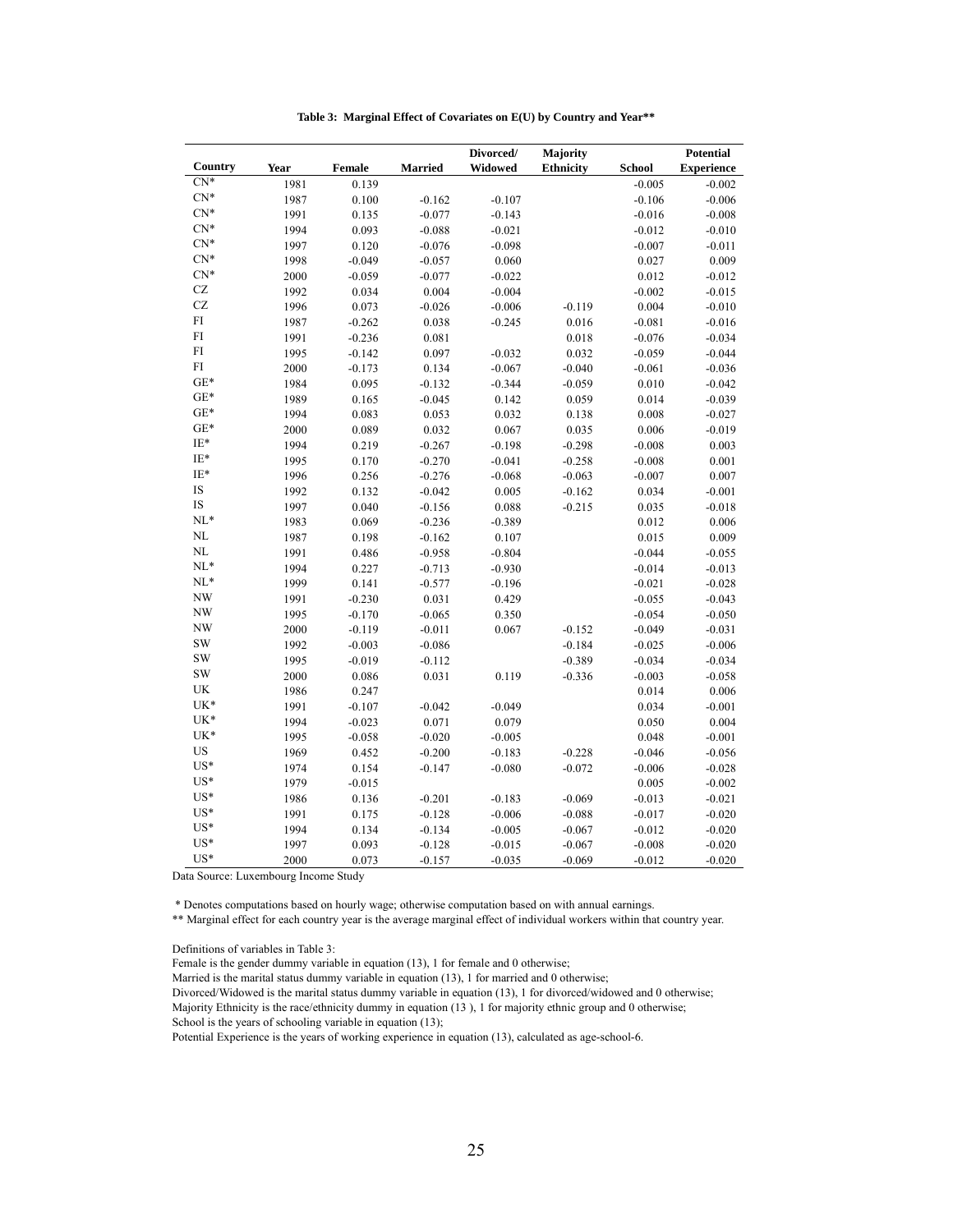|                                 |              |                |                | Divorced/            | Majority             |          | Potential         |
|---------------------------------|--------------|----------------|----------------|----------------------|----------------------|----------|-------------------|
| Country                         | Year         | Female         | <b>Married</b> | Widowed              | Ethnicity            | School   | <b>Experience</b> |
| $CN*$                           | 1981         | 0.139          |                |                      |                      | $-0.005$ | $-0.002$          |
| $CN*$                           | 1987         | 0.100          | $-0.162$       | $-0.107$             |                      | $-0.106$ | $-0.006$          |
| $CN^*$                          | 1991         | 0.135          | $-0.077$       | $-0.143$             |                      | $-0.016$ | $-0.008$          |
| $CN*$                           | 1994         | 0.093          | $-0.088$       | $-0.021$             |                      | $-0.012$ | $-0.010$          |
| $CN*$                           | 1997         | 0.120          | $-0.076$       | $-0.098$             |                      | $-0.007$ | $-0.011$          |
| $CN^*$                          | 1998         | $-0.049$       | $-0.057$       | 0.060                |                      | 0.027    | 0.009             |
| $CN*$                           | 2000         | $-0.059$       | $-0.077$       | $-0.022$             |                      | 0.012    | $-0.012$          |
| $\operatorname{CZ}$             | 1992         | 0.034          | 0.004          | $-0.004$             |                      | $-0.002$ | $-0.015$          |
| $\operatorname{CZ}$             | 1996         | 0.073          | $-0.026$       | $-0.006$             | $-0.119$             | 0.004    | $-0.010$          |
| ${\rm FI}$                      | 1987         | $-0.262$       | 0.038          | $-0.245$             | 0.016                | $-0.081$ | $-0.016$          |
| ${\rm FI}$                      | 1991         | $-0.236$       | 0.081          |                      | 0.018                | $-0.076$ | $-0.034$          |
| FI                              | 1995         | $-0.142$       | 0.097          | $-0.032$             | 0.032                | $-0.059$ | $-0.044$          |
| ${\rm FI}$                      | 2000         | $-0.173$       | 0.134          | $-0.067$             | $-0.040$             | $-0.061$ | $-0.036$          |
| $GE*$                           | 1984         | 0.095          | $-0.132$       | $-0.344$             | $-0.059$             | 0.010    | $-0.042$          |
| $GE*$                           | 1989         | 0.165          | $-0.045$       | 0.142                | 0.059                | 0.014    | $-0.039$          |
| $GE*$                           | 1994         | 0.083          | 0.053          | 0.032                | 0.138                | 0.008    | $-0.027$          |
| $GE*$                           | 2000         | 0.089          | 0.032          | 0.067                | 0.035                | 0.006    | $-0.019$          |
| $\rm IE^*$                      | 1994         | 0.219          | $-0.267$       | $-0.198$             | $-0.298$             | $-0.008$ | 0.003             |
| $\rm IE^*$                      | 1995         | 0.170          | $-0.270$       | $-0.041$             | $-0.258$             | $-0.008$ | 0.001             |
| $\rm IE^*$                      | 1996         | 0.256          | $-0.276$       | $-0.068$             | $-0.063$             | $-0.007$ | 0.007             |
| IS                              | 1992         | 0.132          | $-0.042$       | 0.005                | $-0.162$             | 0.034    | $-0.001$          |
| IS                              | 1997         | 0.040          | $-0.156$       | 0.088                | $-0.215$             | 0.035    | $-0.018$          |
| $NL^*$                          | 1983         | 0.069          | $-0.236$       | $-0.389$             |                      | 0.012    | 0.006             |
| $\rm NL$                        | 1987         | 0.198          | $-0.162$       | 0.107                |                      | 0.015    | 0.009             |
| $\rm NL$                        | 1991         | 0.486          | $-0.958$       | $-0.804$             |                      | $-0.044$ | $-0.055$          |
| $NL*$                           | 1994         | 0.227          | $-0.713$       | $-0.930$             |                      | $-0.014$ | $-0.013$          |
| $NL^*$                          | 1999         | 0.141          | $-0.577$       | $-0.196$             |                      | $-0.021$ | $-0.028$          |
| NW                              | 1991         | $-0.230$       | 0.031          | 0.429                |                      | $-0.055$ | $-0.043$          |
| NW                              | 1995         | $-0.170$       | $-0.065$       | 0.350                |                      | $-0.054$ | $-0.050$          |
| NW                              | 2000         | $-0.119$       | $-0.011$       | 0.067                | $-0.152$             | $-0.049$ | $-0.031$          |
| SW<br>SW                        | 1992         | $-0.003$       | $-0.086$       |                      | $-0.184$             | $-0.025$ | $-0.006$          |
| <b>SW</b>                       | 1995         | $-0.019$       | $-0.112$       |                      | $-0.389$             | $-0.034$ | $-0.034$          |
| $\ensuremath{\text{UK}}\xspace$ | 2000         | 0.086          | 0.031          | 0.119                | $-0.336$             | $-0.003$ | $-0.058$          |
| UK*                             | 1986         | 0.247          |                |                      |                      | 0.014    | 0.006             |
| UK*                             | 1991         | $-0.107$       | $-0.042$       | $-0.049$             |                      | 0.034    | $-0.001$          |
| $\mathrm{UK}^*$                 | 1994         | $-0.023$       | 0.071          | 0.079                |                      | 0.050    | 0.004             |
| US                              | 1995         | $-0.058$       | $-0.020$       | $-0.005$             |                      | 0.048    | $-0.001$          |
| US*                             | 1969         | 0.452          | $-0.200$       | $-0.183$             | $-0.228$             | $-0.046$ | $-0.056$          |
| $US*$                           | 1974         | 0.154          | $-0.147$       | $-0.080$             | $-0.072$             | $-0.006$ | $-0.028$          |
| $US*$                           | 1979         | $-0.015$       |                |                      |                      | 0.005    | $-0.002$          |
| $US^*$                          | 1986         | 0.136          | $-0.201$       | $-0.183$             | $-0.069$             | $-0.013$ | $-0.021$          |
| US*                             | 1991<br>1994 | 0.175<br>0.134 | $-0.128$       | $-0.006$<br>$-0.005$ | $-0.088$<br>$-0.067$ | $-0.017$ | $-0.020$          |
| US*                             | 1997         |                | $-0.134$       |                      |                      | $-0.012$ | $-0.020$          |
| US*                             |              | 0.093          | $-0.128$       | $-0.015$             | $-0.067$             | $-0.008$ | $-0.020$          |
|                                 | 2000         | 0.073          | $-0.157$       | $-0.035$             | $-0.069$             | $-0.012$ | $-0.020$          |

**Table 3: Marginal Effect of Covariates on E(U) by Country and Year\*\*** 

Data Source: Luxembourg Income Study

\* Denotes computations based on hourly wage; otherwise computation based on with annual earnings.

\*\* Marginal effect for each country year is the average marginal effect of individual workers within that country year.

Definitions of variables in Table 3:

Female is the gender dummy variable in equation (13), 1 for female and 0 otherwise;

Married is the marital status dummy variable in equation (13), 1 for married and 0 otherwise;

Divorced/Widowed is the marital status dummy variable in equation (13), 1 for divorced/widowed and 0 otherwise; Majority Ethnicity is the race/ethnicity dummy in equation (13 ), 1 for majority ethnic group and 0 otherwise;

School is the years of schooling variable in equation (13);

Potential Experience is the years of working experience in equation (13), calculated as age-school-6.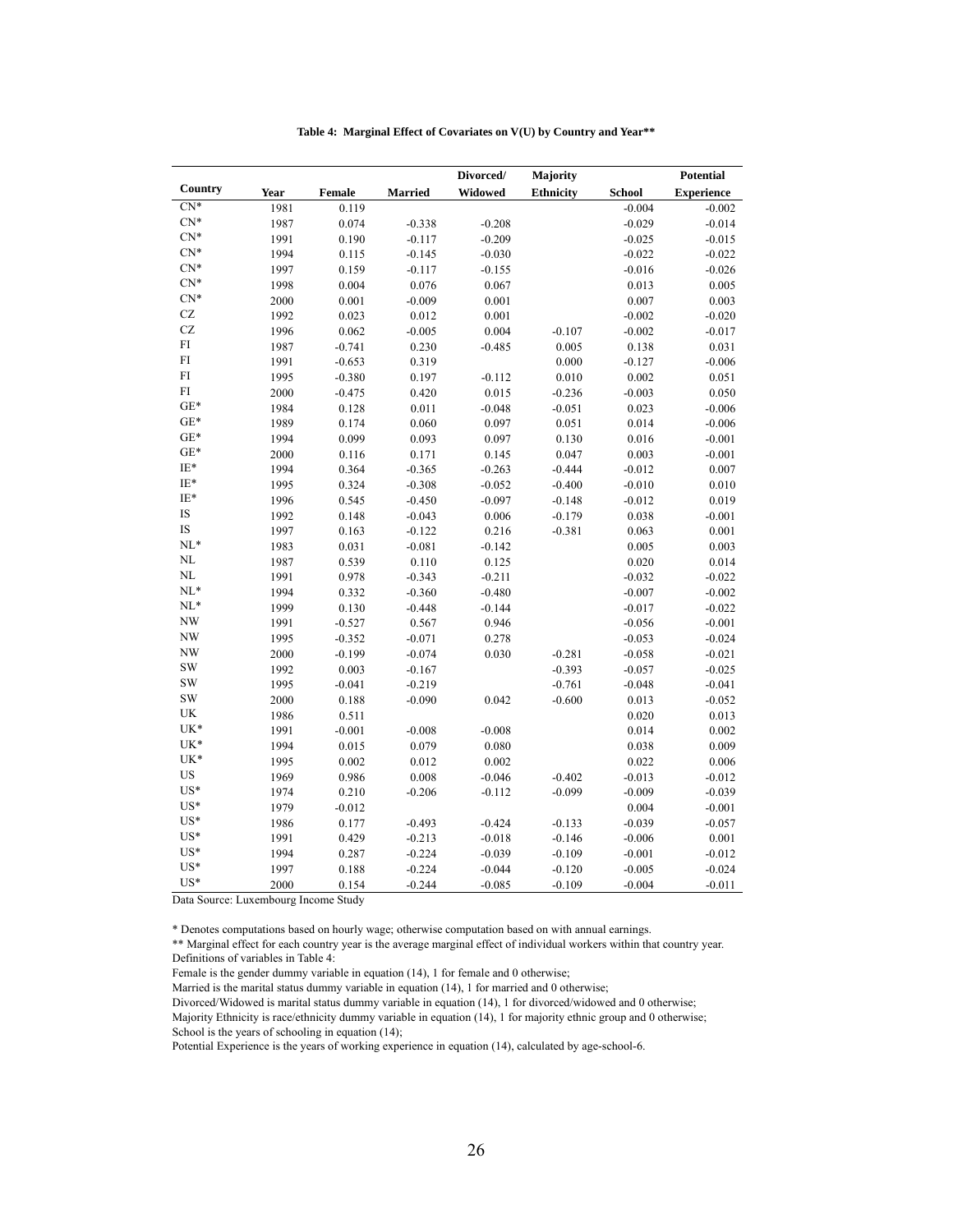|                     |              |                |                   | Divorced/         | Majority         |                | <b>Potential</b>  |
|---------------------|--------------|----------------|-------------------|-------------------|------------------|----------------|-------------------|
| Country             | Year         | Female         | <b>Married</b>    | Widowed           | <b>Ethnicity</b> | <b>School</b>  | <b>Experience</b> |
| $CN*$               | 1981         | 0.119          |                   |                   |                  | $-0.004$       | $-0.002$          |
| $CN*$               | 1987         | 0.074          | $-0.338$          | $-0.208$          |                  | $-0.029$       | $-0.014$          |
| $CN^*$              | 1991         | 0.190          | $-0.117$          | $-0.209$          |                  | $-0.025$       | $-0.015$          |
| $CN^*$              | 1994         | 0.115          | $-0.145$          | $-0.030$          |                  | $-0.022$       | $-0.022$          |
| $CN*$               | 1997         | 0.159          | $-0.117$          | $-0.155$          |                  | $-0.016$       | $-0.026$          |
| $CN*$               | 1998         | 0.004          | 0.076             | 0.067             |                  | 0.013          | 0.005             |
| $CN^*$              | 2000         | 0.001          | $-0.009$          | 0.001             |                  | 0.007          | 0.003             |
| CZ                  | 1992         | 0.023          | 0.012             | 0.001             |                  | $-0.002$       | $-0.020$          |
| $\operatorname{CZ}$ | 1996         | 0.062          | $-0.005$          | 0.004             | $-0.107$         | $-0.002$       | $-0.017$          |
| ${\rm FI}$          | 1987         | $-0.741$       | 0.230             | $-0.485$          | 0.005            | 0.138          | 0.031             |
| FI                  | 1991         | $-0.653$       | 0.319             |                   | 0.000            | $-0.127$       | $-0.006$          |
| FI                  | 1995         | $-0.380$       | 0.197             | $-0.112$          | 0.010            | 0.002          | 0.051             |
| ${\rm FI}$          | 2000         | $-0.475$       | 0.420             | 0.015             | $-0.236$         | $-0.003$       | 0.050             |
| $GE*$<br>$GE*$      | 1984         | 0.128          | 0.011             | $-0.048$          | $-0.051$         | 0.023          | $-0.006$          |
| $GE*$               | 1989         | 0.174          | 0.060             | 0.097             | 0.051            | 0.014          | $-0.006$          |
| $GE*$               | 1994         | 0.099          | 0.093             | 0.097             | 0.130            | 0.016          | $-0.001$          |
| $\rm IE^*$          | 2000         | 0.116          | 0.171             | 0.145             | 0.047            | 0.003          | $-0.001$          |
| $\rm IE^*$          | 1994         | 0.364          | $-0.365$          | $-0.263$          | $-0.444$         | $-0.012$       | 0.007             |
| IE*                 | 1995         | 0.324          | $-0.308$          | $-0.052$          | $-0.400$         | $-0.010$       | 0.010             |
| IS                  | 1996         | 0.545          | $-0.450$          | $-0.097$          | $-0.148$         | $-0.012$       | 0.019             |
| <b>IS</b>           | 1992<br>1997 | 0.148          | $-0.043$          | 0.006             | $-0.179$         | 0.038          | $-0.001$          |
| $\mathrm{NL}^*$     | 1983         | 0.163          | $-0.122$          | 0.216             | $-0.381$         | 0.063          | 0.001             |
| $\rm NL$            | 1987         | 0.031<br>0.539 | $-0.081$<br>0.110 | $-0.142$<br>0.125 |                  | 0.005<br>0.020 | 0.003<br>0.014    |
| $\rm NL$            | 1991         | 0.978          | $-0.343$          | $-0.211$          |                  | $-0.032$       | $-0.022$          |
| $NL*$               | 1994         | 0.332          | $-0.360$          | $-0.480$          |                  | $-0.007$       | $-0.002$          |
| $NL^*$              | 1999         | 0.130          | $-0.448$          | $-0.144$          |                  | $-0.017$       | $-0.022$          |
| NW                  | 1991         | $-0.527$       | 0.567             | 0.946             |                  | $-0.056$       | $-0.001$          |
| NW                  | 1995         | $-0.352$       | $-0.071$          | 0.278             |                  | $-0.053$       | $-0.024$          |
| NW                  | 2000         | $-0.199$       | $-0.074$          | 0.030             | $-0.281$         | $-0.058$       | $-0.021$          |
| <b>SW</b>           | 1992         | 0.003          | $-0.167$          |                   | $-0.393$         | $-0.057$       | $-0.025$          |
| <b>SW</b>           | 1995         | $-0.041$       | $-0.219$          |                   | $-0.761$         | $-0.048$       | $-0.041$          |
| <b>SW</b>           | 2000         | 0.188          | $-0.090$          | 0.042             | $-0.600$         | 0.013          | $-0.052$          |
| UK                  | 1986         | 0.511          |                   |                   |                  | 0.020          | 0.013             |
| UK*                 | 1991         | $-0.001$       | $-0.008$          | $-0.008$          |                  | 0.014          | 0.002             |
| UK*                 | 1994         | 0.015          | 0.079             | 0.080             |                  | 0.038          | 0.009             |
| UK*                 | 1995         | 0.002          | 0.012             | 0.002             |                  | 0.022          | 0.006             |
| $_{\rm US}$         | 1969         | 0.986          | 0.008             | $-0.046$          | $-0.402$         | $-0.013$       | $-0.012$          |
| $US^*$              | 1974         | 0.210          | $-0.206$          | $-0.112$          | $-0.099$         | $-0.009$       | $-0.039$          |
| US*                 | 1979         | $-0.012$       |                   |                   |                  | 0.004          | $-0.001$          |
| $US*$               | 1986         | 0.177          | $-0.493$          | $-0.424$          | $-0.133$         | $-0.039$       | $-0.057$          |
| $US^*$              | 1991         | 0.429          | $-0.213$          | $-0.018$          | $-0.146$         | $-0.006$       | 0.001             |
| $_{\rm US*}$        | 1994         | 0.287          | $-0.224$          | $-0.039$          | $-0.109$         | $-0.001$       | $-0.012$          |
| US*                 | 1997         | 0.188          | $-0.224$          | $-0.044$          | $-0.120$         | $-0.005$       | $-0.024$          |
| $US*$               | 2000         | 0.154          | $-0.244$          | $-0.085$          | $-0.109$         | $-0.004$       | $-0.011$          |

**Table 4: Marginal Effect of Covariates on V(U) by Country and Year\*\*** 

Data Source: Luxembourg Income Study

\* Denotes computations based on hourly wage; otherwise computation based on with annual earnings.

\*\* Marginal effect for each country year is the average marginal effect of individual workers within that country year. Definitions of variables in Table 4:

Female is the gender dummy variable in equation (14), 1 for female and 0 otherwise;

Married is the marital status dummy variable in equation (14), 1 for married and 0 otherwise;

Divorced/Widowed is marital status dummy variable in equation (14), 1 for divorced/widowed and 0 otherwise; Majority Ethnicity is race/ethnicity dummy variable in equation (14), 1 for majority ethnic group and 0 otherwise; School is the years of schooling in equation (14);

Potential Experience is the years of working experience in equation (14), calculated by age-school-6.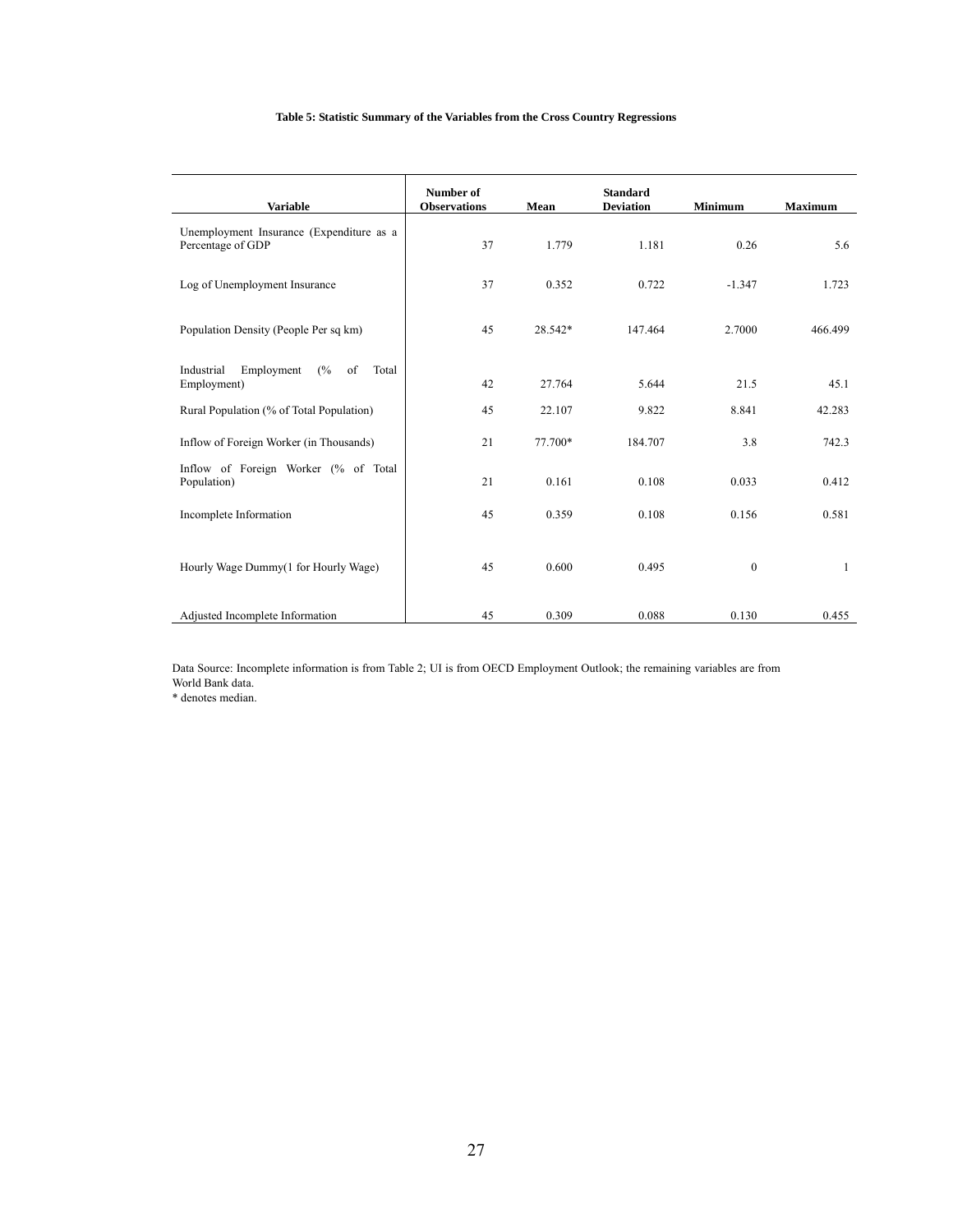# **Table 5: Statistic Summary of the Variables from the Cross Country Regressions**

| <b>Variable</b>                                               | Number of<br><b>Observations</b> | Mean    | <b>Standard</b><br><b>Deviation</b> | <b>Minimum</b> | <b>Maximum</b> |
|---------------------------------------------------------------|----------------------------------|---------|-------------------------------------|----------------|----------------|
| Unemployment Insurance (Expenditure as a<br>Percentage of GDP | 37                               | 1.779   | 1.181                               | 0.26           | 5.6            |
| Log of Unemployment Insurance                                 | 37                               | 0.352   | 0.722                               | $-1.347$       | 1.723          |
| Population Density (People Per sq km)                         | 45                               | 28.542* | 147.464                             | 2.7000         | 466.499        |
| Industrial<br>Employment<br>(%<br>of<br>Total<br>Employment)  | 42                               | 27.764  | 5.644                               | 21.5           | 45.1           |
| Rural Population (% of Total Population)                      | 45                               | 22.107  | 9.822                               | 8.841          | 42.283         |
| Inflow of Foreign Worker (in Thousands)                       | 21                               | 77.700* | 184.707                             | 3.8            | 742.3          |
| Inflow of Foreign Worker (% of Total<br>Population)           | 21                               | 0.161   | 0.108                               | 0.033          | 0.412          |
| Incomplete Information                                        | 45                               | 0.359   | 0.108                               | 0.156          | 0.581          |
| Hourly Wage Dummy (1 for Hourly Wage)                         | 45                               | 0.600   | 0.495                               | $\mathbf{0}$   | $\mathbf{1}$   |
| Adjusted Incomplete Information                               | 45                               | 0.309   | 0.088                               | 0.130          | 0.455          |

Data Source: Incomplete information is from Table 2; UI is from OECD Employment Outlook; the remaining variables are from World Bank data.

\* denotes median.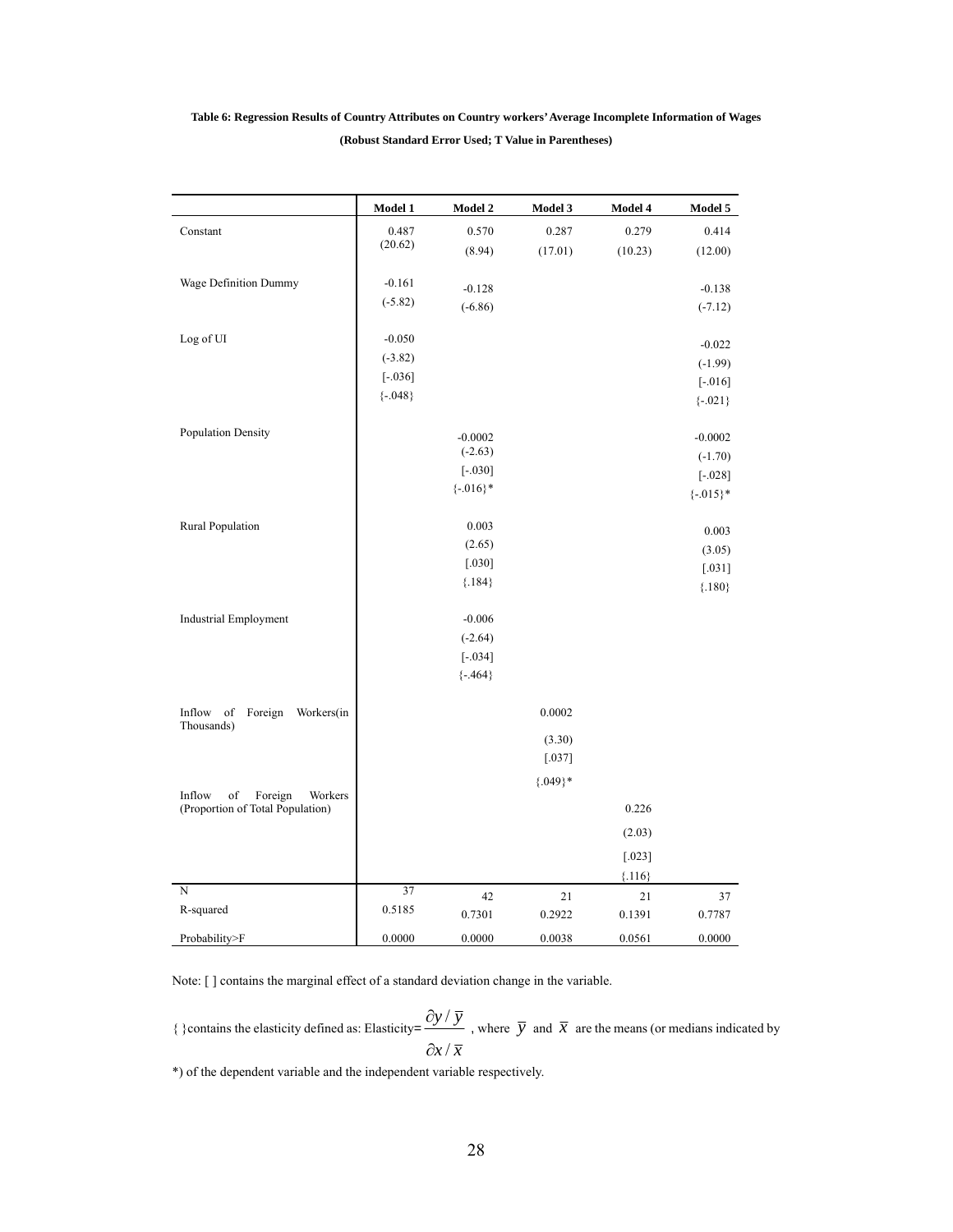|                                       | Model 1     | Model 2        | Model 3 | Model 4  | Model 5       |
|---------------------------------------|-------------|----------------|---------|----------|---------------|
| Constant                              | 0.487       | 0.570          | 0.287   | 0.279    | 0.414         |
|                                       | (20.62)     | (8.94)         | (17.01) | (10.23)  | (12.00)       |
| Wage Definition Dummy                 | $-0.161$    | $-0.128$       |         |          | $-0.138$      |
|                                       | $(-5.82)$   | $(-6.86)$      |         |          | $(-7.12)$     |
| Log of UI                             | $-0.050$    |                |         |          | $-0.022$      |
|                                       | $(-3.82)$   |                |         |          | $(-1.99)$     |
|                                       | $[-.036]$   |                |         |          | $[-.016]$     |
|                                       | $\{-.048\}$ |                |         |          | $\{-.021\}$   |
| Population Density                    |             | $-0.0002$      |         |          | $-0.0002$     |
|                                       |             | $(-2.63)$      |         |          | $(-1.70)$     |
|                                       |             | $[-.030]$      |         |          | $[-.028]$     |
|                                       |             | $\{-0.016\}$ * |         |          | $\{-.015\}$ * |
| Rural Population                      |             | 0.003          |         |          | 0.003         |
|                                       |             | (2.65)         |         |          | (3.05)        |
|                                       |             | $[.030]$       |         |          | [.031]        |
|                                       |             | ${.184}$       |         |          | ${.180}$      |
| <b>Industrial Employment</b>          |             | $-0.006$       |         |          |               |
|                                       |             | $(-2.64)$      |         |          |               |
|                                       |             | $[-034]$       |         |          |               |
|                                       |             | ${-.464}$      |         |          |               |
| Inflow<br>of<br>Foreign<br>Workers(in |             |                | 0.0002  |          |               |
| Thousands)                            |             |                | (3.30)  |          |               |
|                                       |             |                | [.037]  |          |               |
| Inflow<br>Workers<br>of<br>Foreign    |             |                | ${049}$ |          |               |
| (Proportion of Total Population)      |             |                |         | 0.226    |               |
|                                       |             |                |         | (2.03)   |               |
|                                       |             |                |         | $[.023]$ |               |
|                                       |             |                |         | ${.116}$ |               |
| N                                     | 37          | 42             | 21      | 21       | 37            |
| R-squared                             | 0.5185      | 0.7301         | 0.2922  | 0.1391   | 0.7787        |
| Probability>F                         | 0.0000      | 0.0000         | 0.0038  | 0.0561   | 0.0000        |

**Table 6: Regression Results of Country Attributes on Country workers' Average Incomplete Information of Wages (Robust Standard Error Used; T Value in Parentheses)** 

Note: [ ] contains the marginal effect of a standard deviation change in the variable.

{ } contains the elasticity defined as: Elasticity=  $\frac{\partial y}{\partial y}$ , where  $\overline{y}$  and  $\overline{x}$  are the means (or medians indicated by  $\partial x / \bar{x}$ 

\*) of the dependent variable and the independent variable respectively.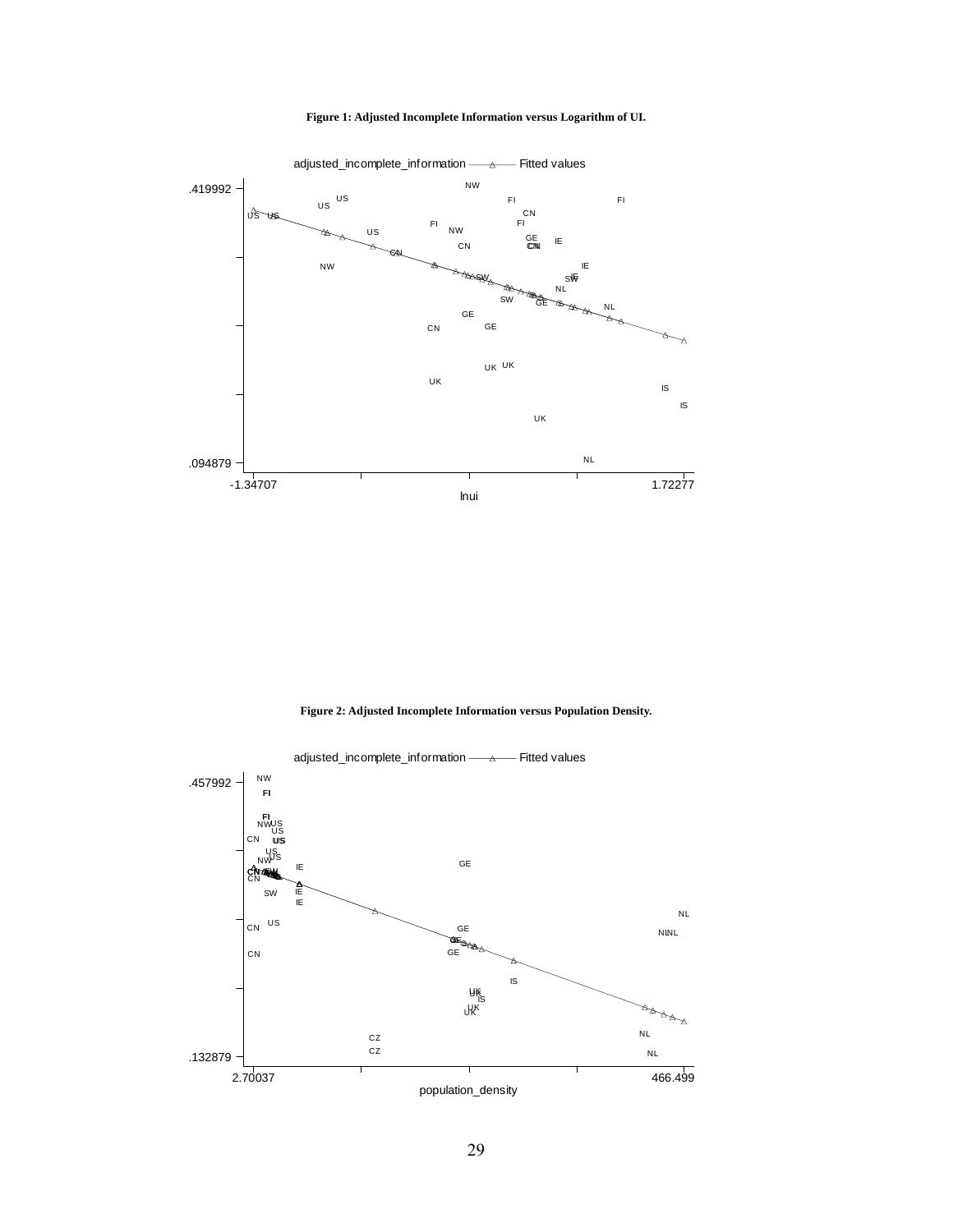

**Figure 1: Adjusted Incomplete Information versus Logarithm of UI.**

**Figure 2: Adjusted Incomplete Information versus Population Density.** 

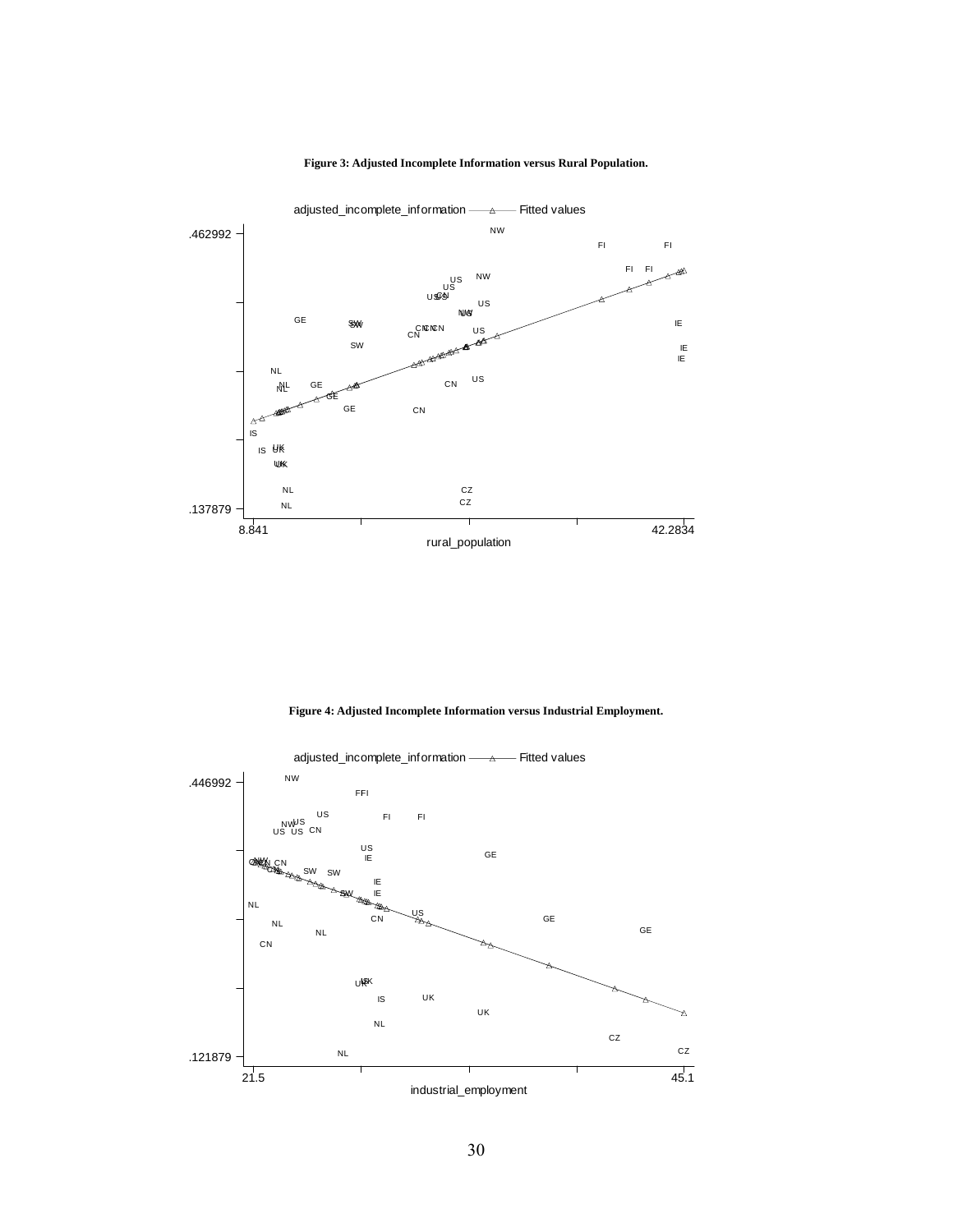

# **Figure 3: Adjusted Incomplete Information versus Rural Population.**

**Figure 4: Adjusted Incomplete Information versus Industrial Employment.** 

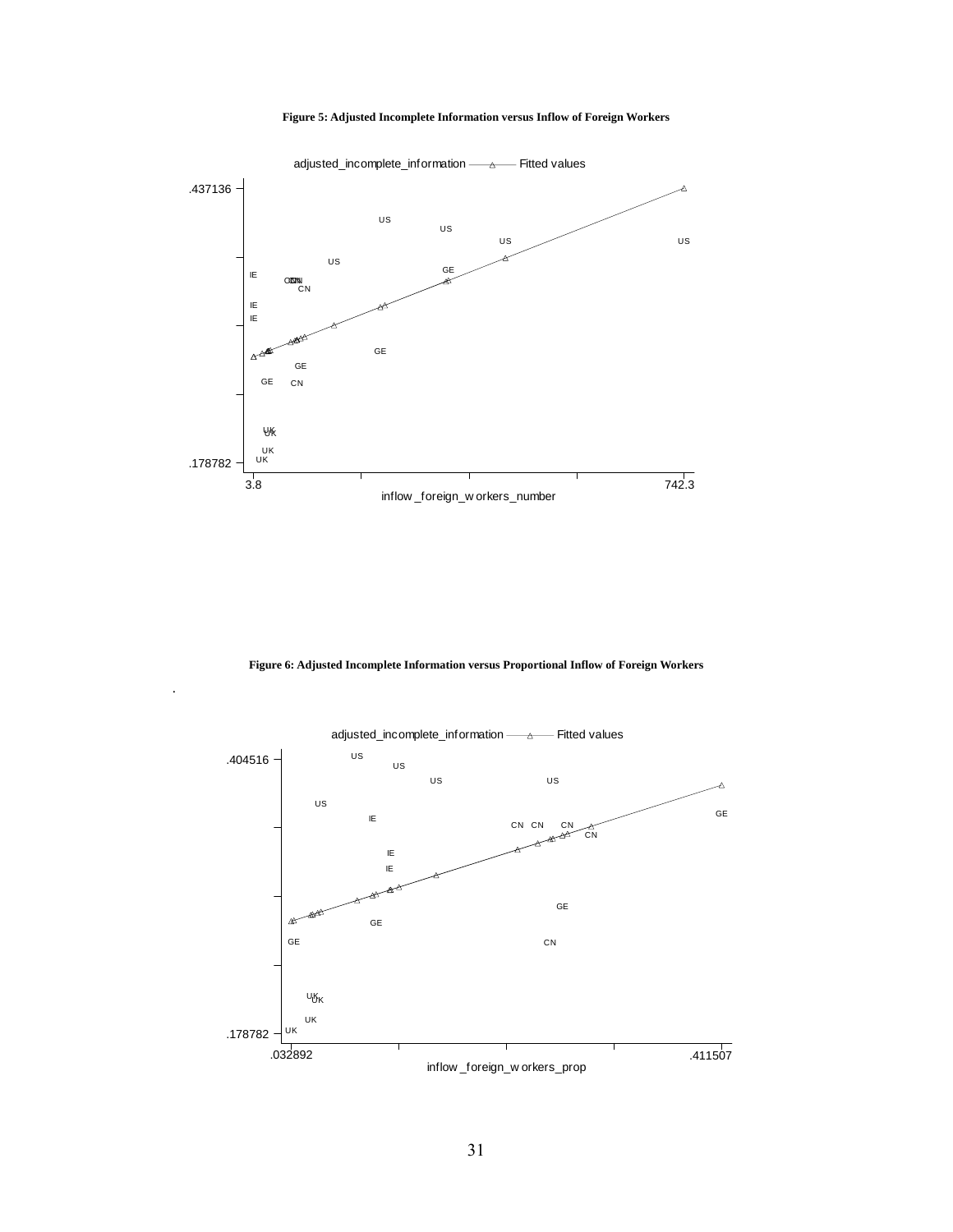



**Figure 6: Adjusted Incomplete Information versus Proportional Inflow of Foreign Workers** 

.

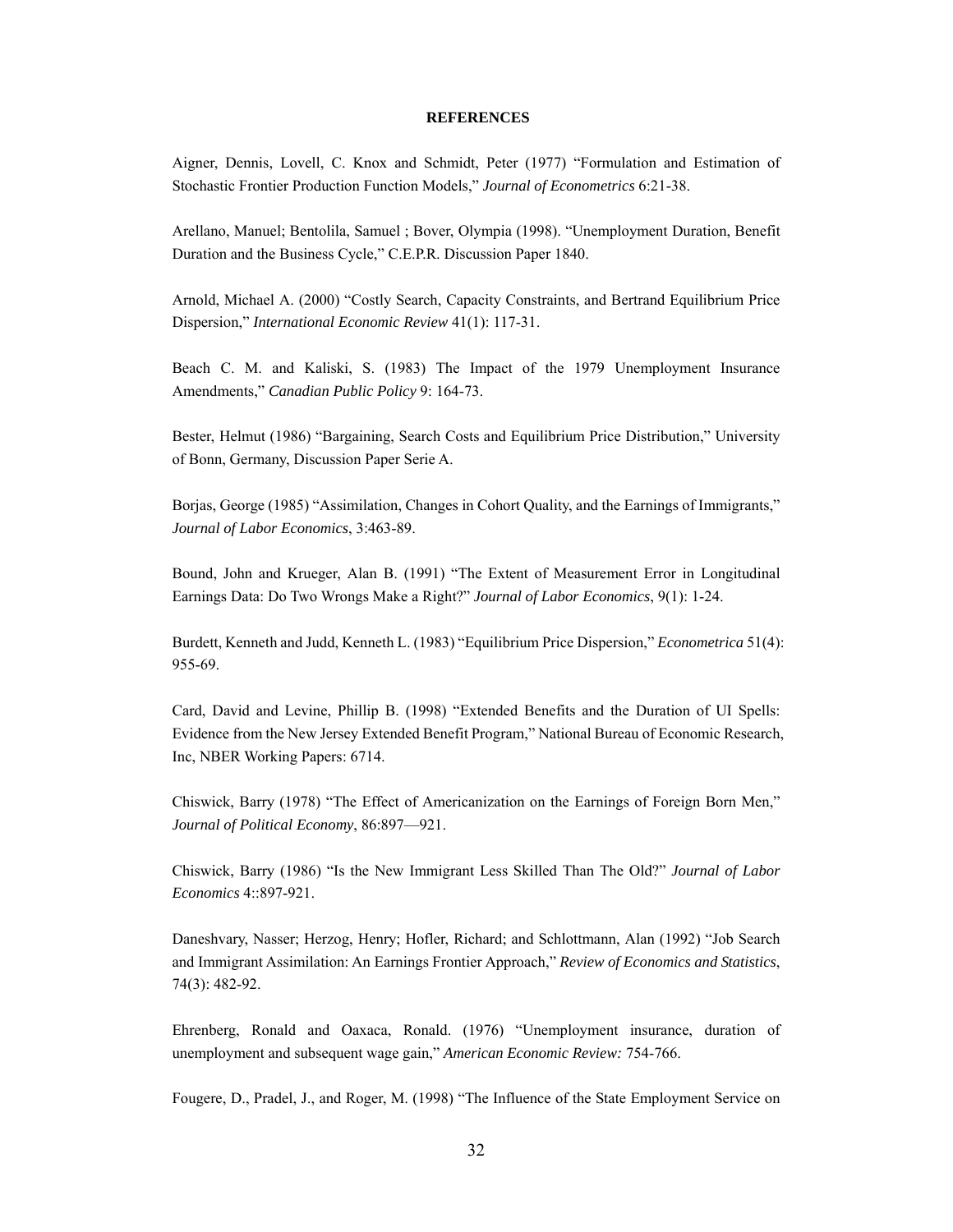#### **REFERENCES**

Aigner, Dennis, Lovell, C. Knox and Schmidt, Peter (1977) "Formulation and Estimation of Stochastic Frontier Production Function Models," *Journal of Econometrics* 6:21-38.

Arellano, Manuel; Bentolila, Samuel ; Bover, Olympia (1998). "Unemployment Duration, Benefit Duration and the Business Cycle," C.E.P.R. Discussion Paper 1840.

Arnold, Michael A. (2000) "Costly Search, Capacity Constraints, and Bertrand Equilibrium Price Dispersion," *International Economic Review* 41(1): 117-31.

Beach C. M. and Kaliski, S. (1983) The Impact of the 1979 Unemployment Insurance Amendments," *Canadian Public Policy* 9: 164-73.

Bester, Helmut (1986) "Bargaining, Search Costs and Equilibrium Price Distribution," University of Bonn, Germany, Discussion Paper Serie A.

Borjas, George (1985) "Assimilation, Changes in Cohort Quality, and the Earnings of Immigrants," *Journal of Labor Economics*, 3:463-89.

Bound, John and Krueger, Alan B. (1991) "The Extent of Measurement Error in Longitudinal Earnings Data: Do Two Wrongs Make a Right?" *Journal of Labor Economics*, 9(1): 1-24.

Burdett, Kenneth and Judd, Kenneth L. (1983) "Equilibrium Price Dispersion," *Econometrica* 51(4): 955-69.

Card, David and Levine, Phillip B. (1998) "Extended Benefits and the Duration of UI Spells: Evidence from the New Jersey Extended Benefit Program," National Bureau of Economic Research, Inc, NBER Working Papers: 6714.

Chiswick, Barry (1978) "The Effect of Americanization on the Earnings of Foreign Born Men," *Journal of Political Economy*, 86:897—921.

Chiswick, Barry (1986) "Is the New Immigrant Less Skilled Than The Old?" *Journal of Labor Economics* 4::897-921.

Daneshvary, Nasser; Herzog, Henry; Hofler, Richard; and Schlottmann, Alan (1992) "Job Search and Immigrant Assimilation: An Earnings Frontier Approach," *Review of Economics and Statistics*, 74(3): 482-92.

Ehrenberg, Ronald and Oaxaca, Ronald. (1976) "Unemployment insurance, duration of unemployment and subsequent wage gain," *American Economic Review:* 754-766.

Fougere, D., Pradel, J., and Roger, M. (1998) "The Influence of the State Employment Service on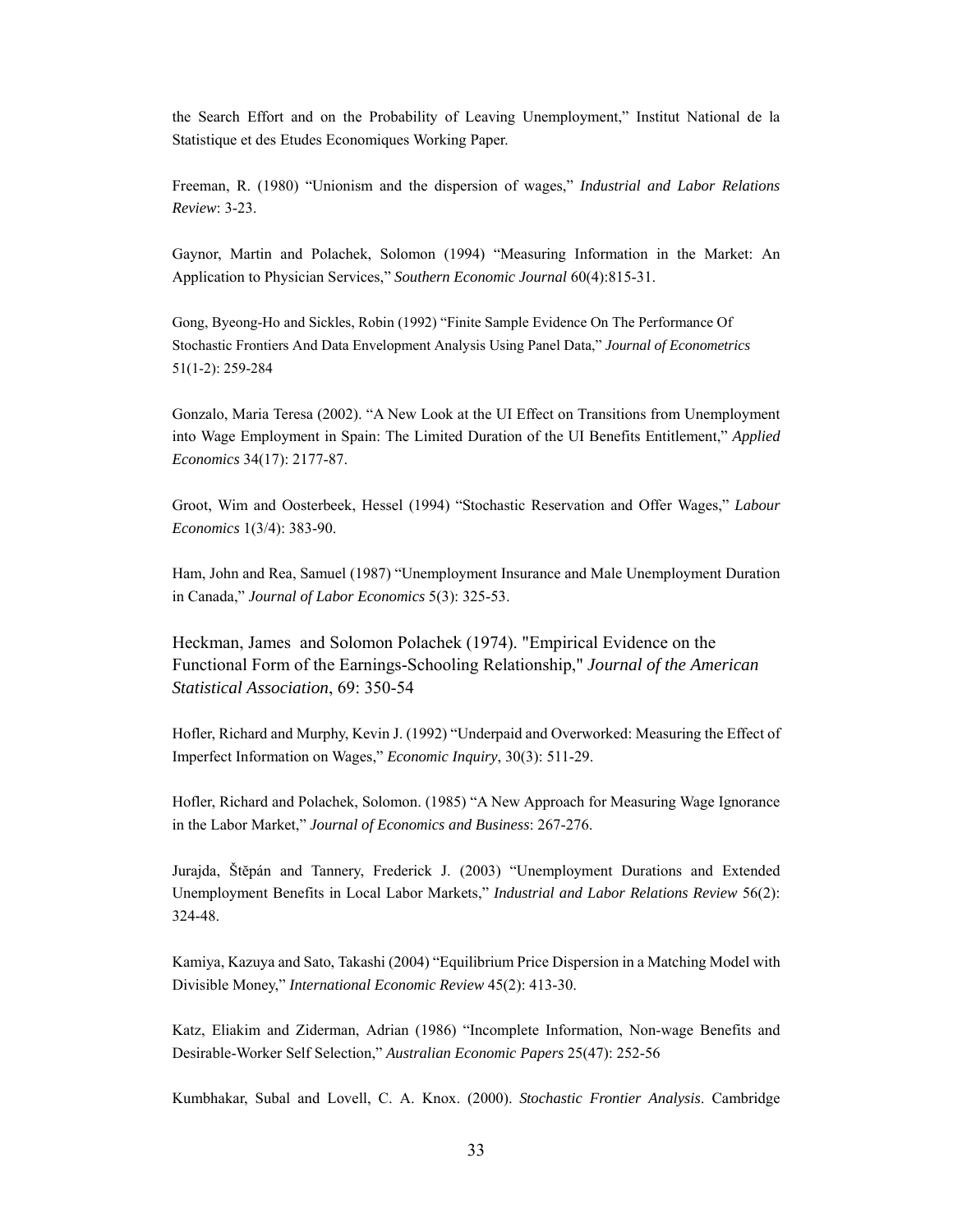the Search Effort and on the Probability of Leaving Unemployment," Institut National de la Statistique et des Etudes Economiques Working Paper.

Freeman, R. (1980) "Unionism and the dispersion of wages," *Industrial and Labor Relations Review*: 3-23.

Gaynor, Martin and Polachek, Solomon (1994) "Measuring Information in the Market: An Application to Physician Services," *Southern Economic Journal* 60(4):815-31.

Gong, Byeong-Ho and Sickles, Robin (1992) "Finite Sample Evidence On The Performance Of Stochastic Frontiers And Data Envelopment Analysis Using Panel Data," *Journal of Econometrics* 51(1-2): 259-284

Gonzalo, Maria Teresa (2002). "A New Look at the UI Effect on Transitions from Unemployment into Wage Employment in Spain: The Limited Duration of the UI Benefits Entitlement," *Applied Economics* 34(17): 2177-87.

Groot, Wim and Oosterbeek, Hessel (1994) "Stochastic Reservation and Offer Wages," *Labour Economics* 1(3/4): 383-90.

Ham, John and Rea, Samuel (1987) "Unemployment Insurance and Male Unemployment Duration in Canada," *Journal of Labor Economics* 5(3): 325-53.

Heckman, James and Solomon Polachek (1974). "Empirical Evidence on the Functional Form of the Earnings-Schooling Relationship," *Journal of the American Statistical Association*, 69: 350-54

Hofler, Richard and Murphy, Kevin J. (1992) "Underpaid and Overworked: Measuring the Effect of Imperfect Information on Wages," *Economic Inquiry*, 30(3): 511-29.

Hofler, Richard and Polachek, Solomon. (1985) "A New Approach for Measuring Wage Ignorance in the Labor Market," *Journal of Economics and Business*: 267-276.

Jurajda, Štĕpán and Tannery, Frederick J. (2003) "Unemployment Durations and Extended Unemployment Benefits in Local Labor Markets," *Industrial and Labor Relations Review* 56(2): 324-48.

Kamiya, Kazuya and Sato, Takashi (2004) "Equilibrium Price Dispersion in a Matching Model with Divisible Money," *International Economic Review* 45(2): 413-30.

Katz, Eliakim and Ziderman, Adrian (1986) "Incomplete Information, Non-wage Benefits and Desirable-Worker Self Selection," *Australian Economic Papers* 25(47): 252-56

Kumbhakar, Subal and Lovell, C. A. Knox. (2000). *Stochastic Frontier Analysis*. Cambridge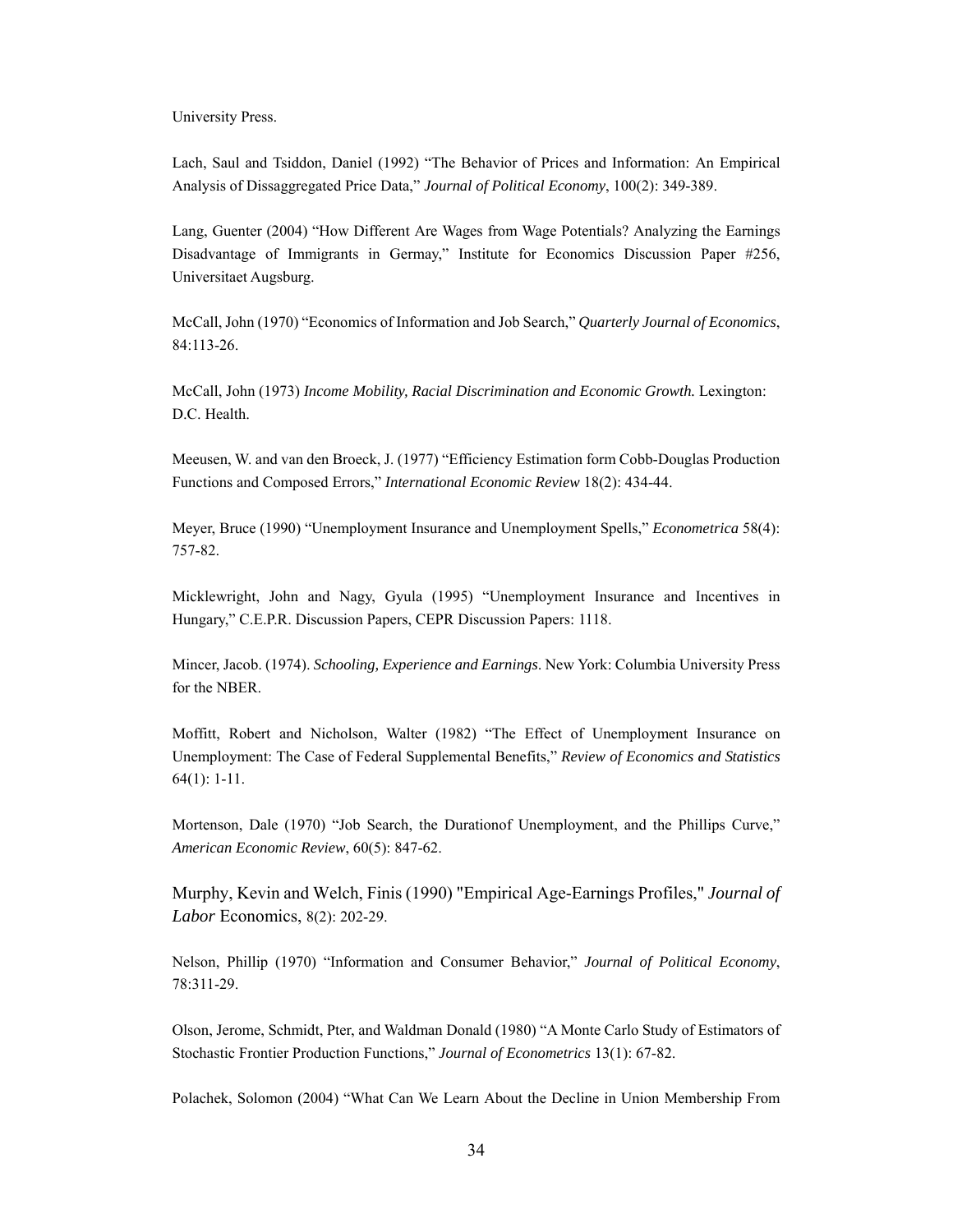University Press.

Lach, Saul and Tsiddon, Daniel (1992) "The Behavior of Prices and Information: An Empirical Analysis of Dissaggregated Price Data," *Journal of Political Economy*, 100(2): 349-389.

Lang, Guenter (2004) "How Different Are Wages from Wage Potentials? Analyzing the Earnings Disadvantage of Immigrants in Germay," Institute for Economics Discussion Paper #256, Universitaet Augsburg.

McCall, John (1970) "Economics of Information and Job Search," *Quarterly Journal of Economics*, 84:113-26.

McCall, John (1973) *Income Mobility, Racial Discrimination and Economic Growth.* Lexington: D.C. Health.

Meeusen, W. and van den Broeck, J. (1977) "Efficiency Estimation form Cobb-Douglas Production Functions and Composed Errors," *International Economic Review* 18(2): 434-44.

Meyer, Bruce (1990) "Unemployment Insurance and Unemployment Spells," *Econometrica* 58(4): 757-82.

Micklewright, John and Nagy, Gyula (1995) "Unemployment Insurance and Incentives in Hungary," C.E.P.R. Discussion Papers, CEPR Discussion Papers: 1118.

Mincer, Jacob. (1974). *Schooling, Experience and Earnings*. New York: Columbia University Press for the NBER.

Moffitt, Robert and Nicholson, Walter (1982) "The Effect of Unemployment Insurance on Unemployment: The Case of Federal Supplemental Benefits," *Review of Economics and Statistics* 64(1): 1-11.

Mortenson, Dale (1970) "Job Search, the Durationof Unemployment, and the Phillips Curve," *American Economic Review*, 60(5): 847-62.

Murphy, Kevin and Welch, Finis (1990) "Empirical Age-Earnings Profiles," *Journal of Labor* Economics, 8(2): 202-29.

Nelson, Phillip (1970) "Information and Consumer Behavior," *Journal of Political Economy*, 78:311-29.

Olson, Jerome, Schmidt, Pter, and Waldman Donald (1980) "A Monte Carlo Study of Estimators of Stochastic Frontier Production Functions," *Journal of Econometrics* 13(1): 67-82.

Polachek, Solomon (2004) "What Can We Learn About the Decline in Union Membership From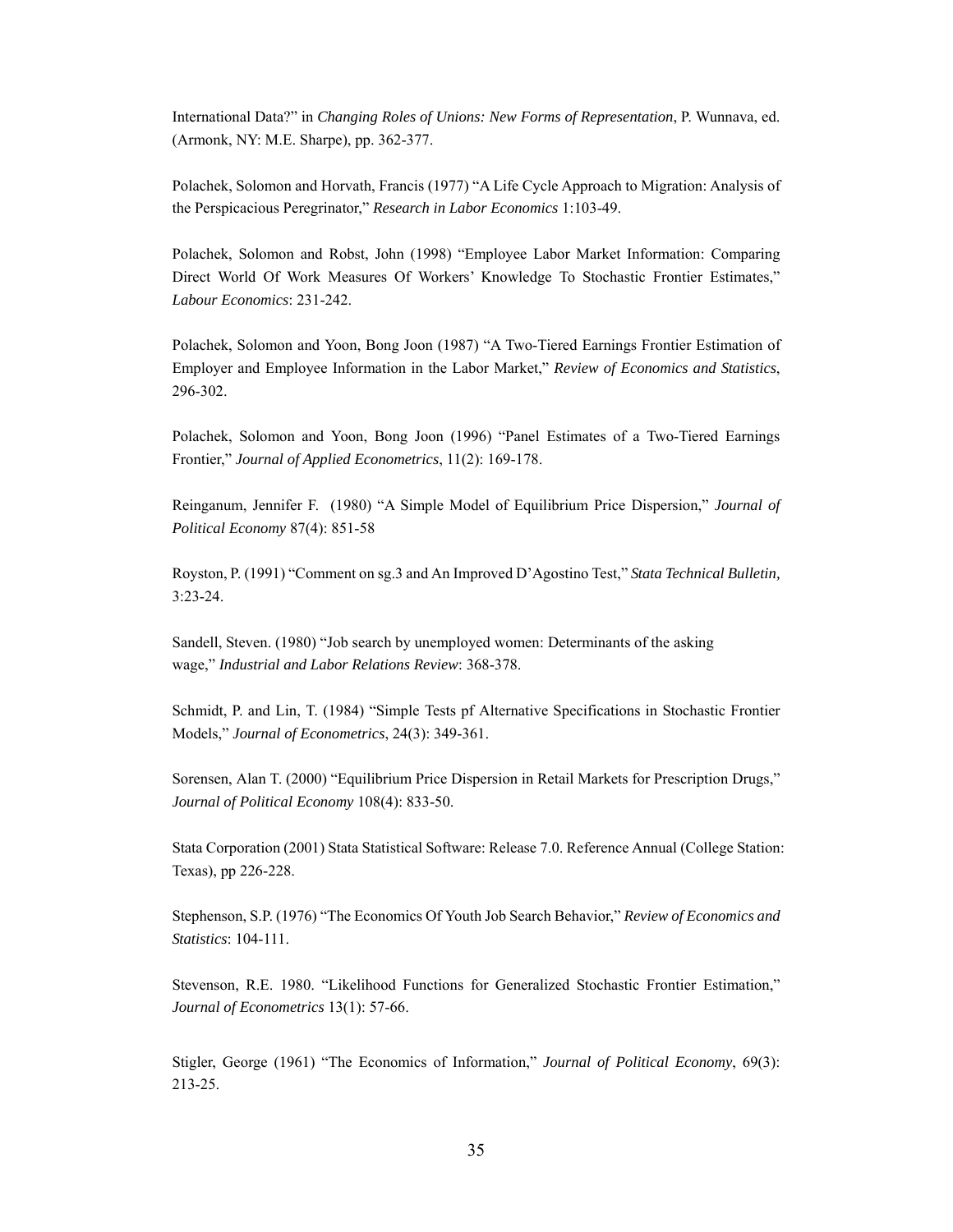International Data?" in *Changing Roles of Unions: New Forms of Representation*, P. Wunnava, ed. (Armonk, NY: M.E. Sharpe), pp. 362-377.

Polachek, Solomon and Horvath, Francis (1977) "A Life Cycle Approach to Migration: Analysis of the Perspicacious Peregrinator," *Research in Labor Economics* 1:103-49.

Polachek, Solomon and Robst, John (1998) "Employee Labor Market Information: Comparing Direct World Of Work Measures Of Workers' Knowledge To Stochastic Frontier Estimates," *Labour Economics*: 231-242.

Polachek, Solomon and Yoon, Bong Joon (1987) "A Two-Tiered Earnings Frontier Estimation of Employer and Employee Information in the Labor Market," *Review of Economics and Statistics*, 296-302.

Polachek, Solomon and Yoon, Bong Joon (1996) "Panel Estimates of a Two-Tiered Earnings Frontier," *Journal of Applied Econometrics*, 11(2): 169-178.

Reinganum, Jennifer F. (1980) "A Simple Model of Equilibrium Price Dispersion," *Journal of Political Economy* 87(4): 851-58

Royston, P. (1991) "Comment on sg.3 and An Improved D'Agostino Test," *Stata Technical Bulletin,* 3:23-24.

Sandell, Steven. (1980) "Job search by unemployed women: Determinants of the asking wage," *Industrial and Labor Relations Review*: 368-378.

Schmidt, P. and Lin, T. (1984) "Simple Tests pf Alternative Specifications in Stochastic Frontier Models," *Journal of Econometrics*, 24(3): 349-361.

Sorensen, Alan T. (2000) "Equilibrium Price Dispersion in Retail Markets for Prescription Drugs," *Journal of Political Economy* 108(4): 833-50.

Stata Corporation (2001) Stata Statistical Software: Release 7.0. Reference Annual (College Station: Texas), pp 226-228.

Stephenson, S.P. (1976) "The Economics Of Youth Job Search Behavior," *Review of Economics and Statistics*: 104-111.

Stevenson, R.E. 1980. "Likelihood Functions for Generalized Stochastic Frontier Estimation," *Journal of Econometrics* 13(1): 57-66.

Stigler, George (1961) "The Economics of Information," *Journal of Political Economy*, 69(3): 213-25.